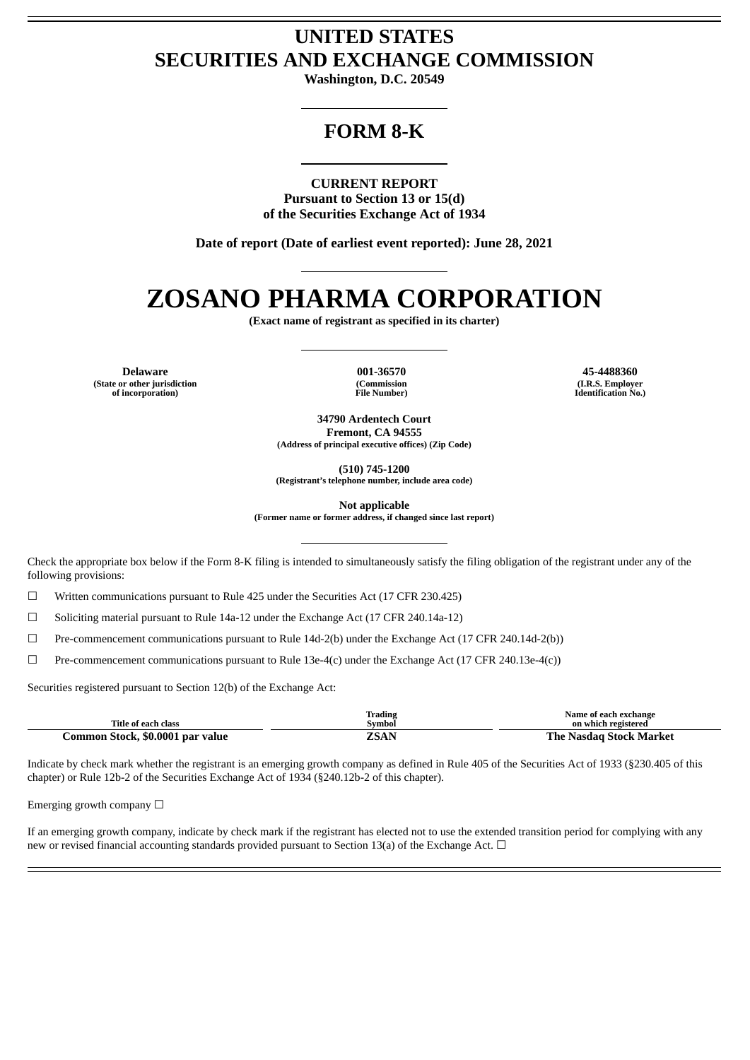# **UNITED STATES SECURITIES AND EXCHANGE COMMISSION**

**Washington, D.C. 20549**

# **FORM 8-K**

**CURRENT REPORT**

**Pursuant to Section 13 or 15(d) of the Securities Exchange Act of 1934**

**Date of report (Date of earliest event reported): June 28, 2021**

# **ZOSANO PHARMA CORPORATION**

**(Exact name of registrant as specified in its charter)**

**Delaware 001-36570 45-4488360 (State or other jurisdiction of incorporation)**

**(Commission File Number)**

**(I.R.S. Employer Identification No.)**

**34790 Ardentech Court Fremont, CA 94555 (Address of principal executive offices) (Zip Code)**

**(510) 745-1200**

**(Registrant's telephone number, include area code)**

**Not applicable**

**(Former name or former address, if changed since last report)**

Check the appropriate box below if the Form 8-K filing is intended to simultaneously satisfy the filing obligation of the registrant under any of the following provisions:

☐ Written communications pursuant to Rule 425 under the Securities Act (17 CFR 230.425)

 $\Box$  Soliciting material pursuant to Rule 14a-12 under the Exchange Act (17 CFR 240.14a-12)

☐ Pre-commencement communications pursuant to Rule 14d-2(b) under the Exchange Act (17 CFR 240.14d-2(b))

☐ Pre-commencement communications pursuant to Rule 13e-4(c) under the Exchange Act (17 CFR 240.13e-4(c))

Securities registered pursuant to Section 12(b) of the Exchange Act:

| Title of each class              | <b>Trading</b><br>Svmbol | Name of each exchange<br>on which registered |  |
|----------------------------------|--------------------------|----------------------------------------------|--|
| Common Stock, \$0.0001 par value | ZSAN                     | The Nasdag Stock Market                      |  |

Indicate by check mark whether the registrant is an emerging growth company as defined in Rule 405 of the Securities Act of 1933 (§230.405 of this chapter) or Rule 12b-2 of the Securities Exchange Act of 1934 (§240.12b-2 of this chapter).

Emerging growth company ☐

If an emerging growth company, indicate by check mark if the registrant has elected not to use the extended transition period for complying with any new or revised financial accounting standards provided pursuant to Section 13(a) of the Exchange Act. □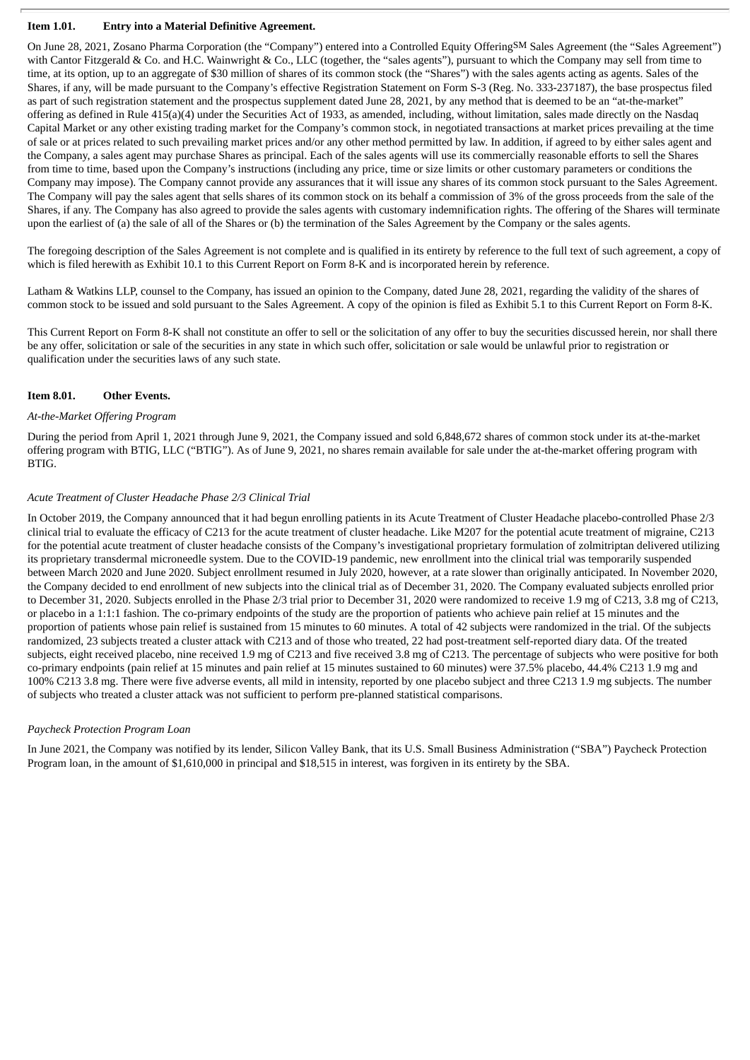## **Item 1.01. Entry into a Material Definitive Agreement.**

On June 28, 2021, Zosano Pharma Corporation (the "Company") entered into a Controlled Equity OfferingSM Sales Agreement (the "Sales Agreement") with Cantor Fitzgerald & Co. and H.C. Wainwright & Co., LLC (together, the "sales agents"), pursuant to which the Company may sell from time to time, at its option, up to an aggregate of \$30 million of shares of its common stock (the "Shares") with the sales agents acting as agents. Sales of the Shares, if any, will be made pursuant to the Company's effective Registration Statement on Form S-3 (Reg. No. 333-237187), the base prospectus filed as part of such registration statement and the prospectus supplement dated June 28, 2021, by any method that is deemed to be an "at-the-market" offering as defined in Rule 415(a)(4) under the Securities Act of 1933, as amended, including, without limitation, sales made directly on the Nasdaq Capital Market or any other existing trading market for the Company's common stock, in negotiated transactions at market prices prevailing at the time of sale or at prices related to such prevailing market prices and/or any other method permitted by law. In addition, if agreed to by either sales agent and the Company, a sales agent may purchase Shares as principal. Each of the sales agents will use its commercially reasonable efforts to sell the Shares from time to time, based upon the Company's instructions (including any price, time or size limits or other customary parameters or conditions the Company may impose). The Company cannot provide any assurances that it will issue any shares of its common stock pursuant to the Sales Agreement. The Company will pay the sales agent that sells shares of its common stock on its behalf a commission of 3% of the gross proceeds from the sale of the Shares, if any. The Company has also agreed to provide the sales agents with customary indemnification rights. The offering of the Shares will terminate upon the earliest of (a) the sale of all of the Shares or (b) the termination of the Sales Agreement by the Company or the sales agents.

The foregoing description of the Sales Agreement is not complete and is qualified in its entirety by reference to the full text of such agreement, a copy of which is filed herewith as Exhibit 10.1 to this Current Report on Form 8-K and is incorporated herein by reference.

Latham & Watkins LLP, counsel to the Company, has issued an opinion to the Company, dated June 28, 2021, regarding the validity of the shares of common stock to be issued and sold pursuant to the Sales Agreement. A copy of the opinion is filed as Exhibit 5.1 to this Current Report on Form 8-K.

This Current Report on Form 8-K shall not constitute an offer to sell or the solicitation of any offer to buy the securities discussed herein, nor shall there be any offer, solicitation or sale of the securities in any state in which such offer, solicitation or sale would be unlawful prior to registration or qualification under the securities laws of any such state.

#### **Item 8.01. Other Events.**

#### *At-the-Market Offering Program*

During the period from April 1, 2021 through June 9, 2021, the Company issued and sold 6,848,672 shares of common stock under its at-the-market offering program with BTIG, LLC ("BTIG"). As of June 9, 2021, no shares remain available for sale under the at-the-market offering program with BTIG.

#### *Acute Treatment of Cluster Headache Phase 2/3 Clinical Trial*

In October 2019, the Company announced that it had begun enrolling patients in its Acute Treatment of Cluster Headache placebo-controlled Phase 2/3 clinical trial to evaluate the efficacy of C213 for the acute treatment of cluster headache. Like M207 for the potential acute treatment of migraine, C213 for the potential acute treatment of cluster headache consists of the Company's investigational proprietary formulation of zolmitriptan delivered utilizing its proprietary transdermal microneedle system. Due to the COVID-19 pandemic, new enrollment into the clinical trial was temporarily suspended between March 2020 and June 2020. Subject enrollment resumed in July 2020, however, at a rate slower than originally anticipated. In November 2020, the Company decided to end enrollment of new subjects into the clinical trial as of December 31, 2020. The Company evaluated subjects enrolled prior to December 31, 2020. Subjects enrolled in the Phase 2/3 trial prior to December 31, 2020 were randomized to receive 1.9 mg of C213, 3.8 mg of C213, or placebo in a 1:1:1 fashion. The co-primary endpoints of the study are the proportion of patients who achieve pain relief at 15 minutes and the proportion of patients whose pain relief is sustained from 15 minutes to 60 minutes. A total of 42 subjects were randomized in the trial. Of the subjects randomized, 23 subjects treated a cluster attack with C213 and of those who treated, 22 had post-treatment self-reported diary data. Of the treated subjects, eight received placebo, nine received 1.9 mg of C213 and five received 3.8 mg of C213. The percentage of subjects who were positive for both co-primary endpoints (pain relief at 15 minutes and pain relief at 15 minutes sustained to 60 minutes) were 37.5% placebo, 44.4% C213 1.9 mg and 100% C213 3.8 mg. There were five adverse events, all mild in intensity, reported by one placebo subject and three C213 1.9 mg subjects. The number of subjects who treated a cluster attack was not sufficient to perform pre-planned statistical comparisons.

#### *Paycheck Protection Program Loan*

In June 2021, the Company was notified by its lender, Silicon Valley Bank, that its U.S. Small Business Administration ("SBA") Paycheck Protection Program loan, in the amount of \$1,610,000 in principal and \$18,515 in interest, was forgiven in its entirety by the SBA.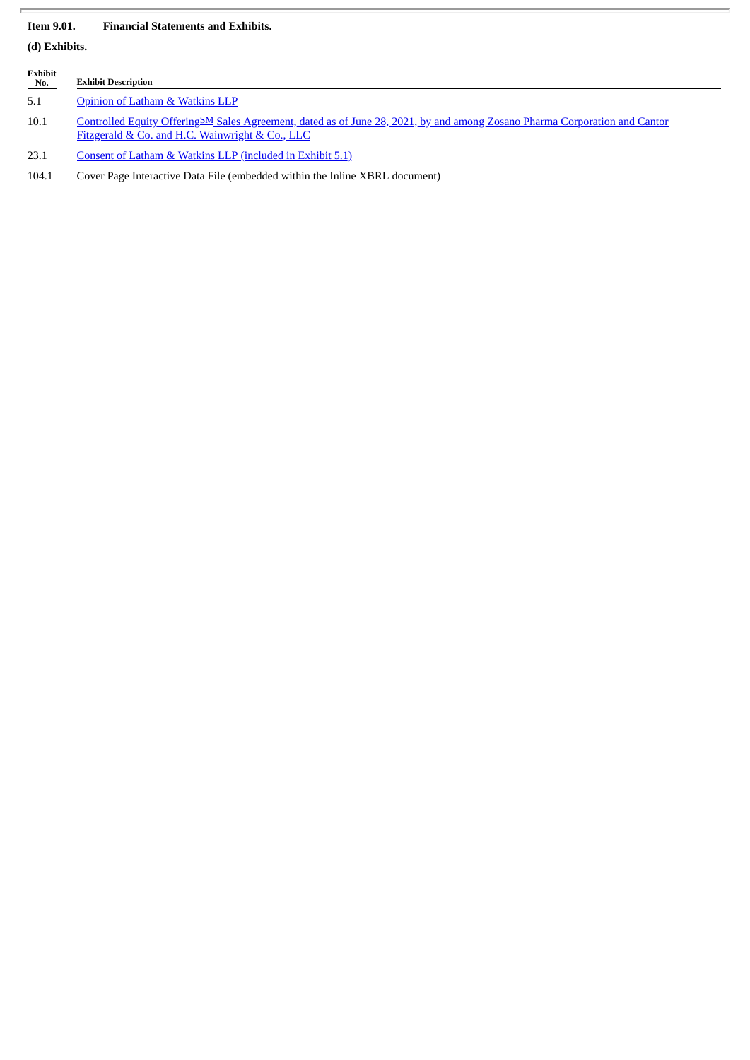# **Item 9.01. Financial Statements and Exhibits.**

**(d) Exhibits.**

| Exhibit<br>No. | <b>Exhibit Description</b>                                                                                                                                                    |
|----------------|-------------------------------------------------------------------------------------------------------------------------------------------------------------------------------|
| 5.1            | Opinion of Latham & Watkins LLP                                                                                                                                               |
| 10.1           | Controlled Equity OfferingSM Sales Agreement, dated as of June 28, 2021, by and among Zosano Pharma Corporation and Cantor<br>Fitzgerald & Co. and H.C. Wainwright & Co., LLC |
| 23.1           | Consent of Latham & Watkins LLP (included in Exhibit 5.1)                                                                                                                     |

104.1 Cover Page Interactive Data File (embedded within the Inline XBRL document)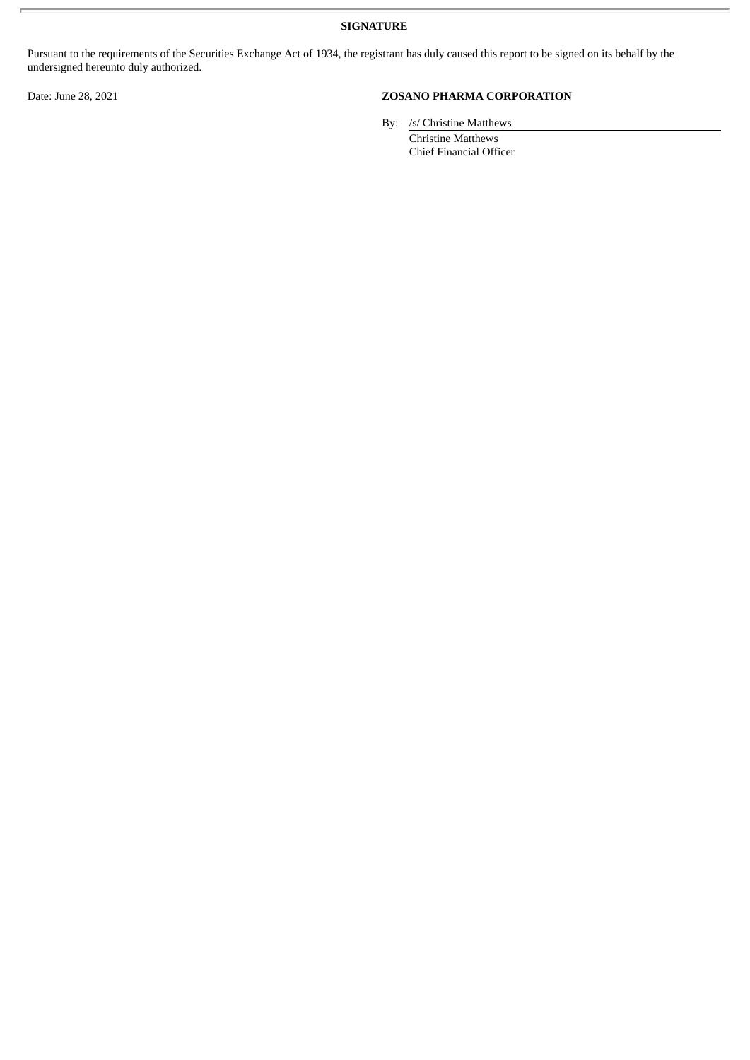**SIGNATURE**

Pursuant to the requirements of the Securities Exchange Act of 1934, the registrant has duly caused this report to be signed on its behalf by the undersigned hereunto duly authorized.

# Date: June 28, 2021 **ZOSANO PHARMA CORPORATION**

By: /s/ Christine Matthews

Christine Matthews Chief Financial Officer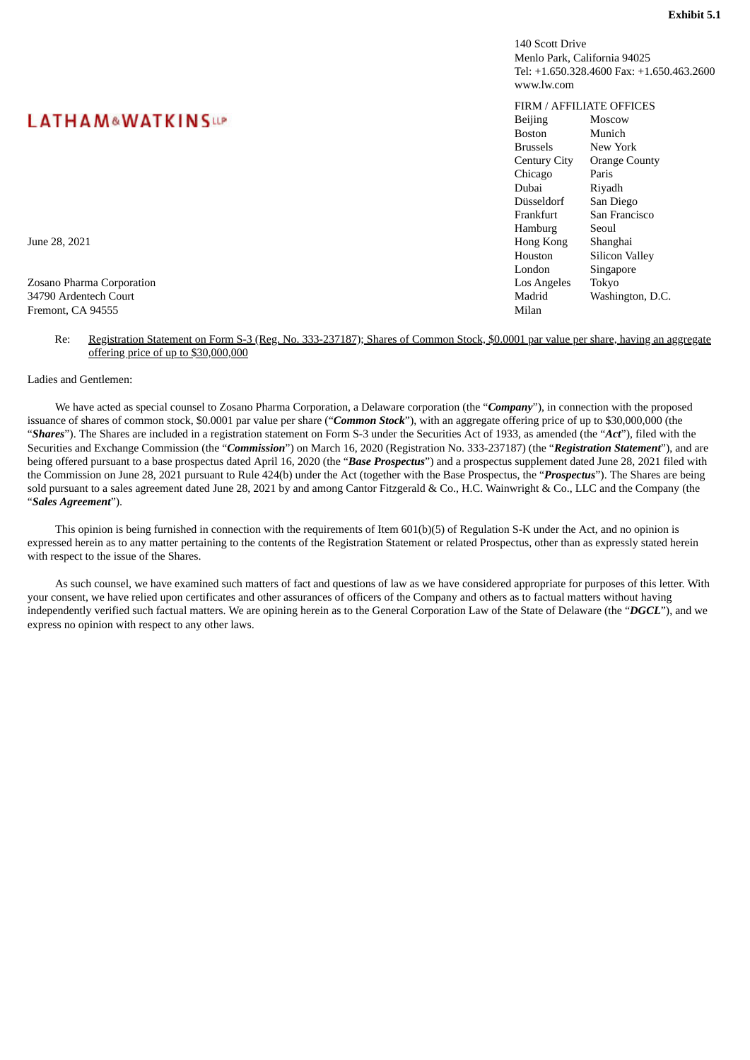140 Scott Drive Menlo Park, California 94025 Tel: +1.650.328.4600 Fax: +1.650.463.2600 www.lw.com

# FIRM / AFFILIATE OFFICES

<span id="page-4-0"></span>

| <b>LATHAM&amp;WATKINSUP</b> | <b>Beijing</b>                         | Moscow                |
|-----------------------------|----------------------------------------|-----------------------|
|                             | <b>Boston</b>                          | Munich                |
|                             | <b>Brussels</b>                        | New York              |
|                             | Century City                           | <b>Orange County</b>  |
|                             | Chicago                                | Paris                 |
|                             | Dubai                                  | Rivadh                |
|                             | Düsseldorf                             | San Diego             |
|                             | Frankfurt                              | San Francisco         |
|                             | Hamburg                                | Seoul                 |
| June 28, 2021               | Hong Kong                              | Shanghai              |
|                             | Houston                                | <b>Silicon Valley</b> |
|                             | London                                 | Singapore             |
| Zosano Pharma Corporation   | Los Angeles                            | Tokyo                 |
| 34790 Ardentech Court       | Madrid                                 | Washington, D.C.      |
| <b>P. 0 A O 4FFF</b>        | $\mathbf{A}$ $\mathbf{A}$ $\mathbf{A}$ |                       |

# **LATHAM&WATKINSUP**

Zosano Pharma Corporation 34790 Ardentech Court Fremont, CA 94555 Milan

#### Re: Registration Statement on Form S-3 (Reg. No. 333-237187); Shares of Common Stock, \$0.0001 par value per share, having an aggregate offering price of up to \$30,000,000

Ladies and Gentlemen:

We have acted as special counsel to Zosano Pharma Corporation, a Delaware corporation (the "*Company*"), in connection with the proposed issuance of shares of common stock, \$0.0001 par value per share ("*Common Stock*"), with an aggregate offering price of up to \$30,000,000 (the "*Shares*"). The Shares are included in a registration statement on Form S-3 under the Securities Act of 1933, as amended (the "*Act*"), filed with the Securities and Exchange Commission (the "*Commission*") on March 16, 2020 (Registration No. 333-237187) (the "*Registration Statement*"), and are being offered pursuant to a base prospectus dated April 16, 2020 (the "*Base Prospectus*") and a prospectus supplement dated June 28, 2021 filed with the Commission on June 28, 2021 pursuant to Rule 424(b) under the Act (together with the Base Prospectus, the "*Prospectus*"). The Shares are being sold pursuant to a sales agreement dated June 28, 2021 by and among Cantor Fitzgerald & Co., H.C. Wainwright & Co., LLC and the Company (the "*Sales Agreement*").

This opinion is being furnished in connection with the requirements of Item 601(b)(5) of Regulation S-K under the Act, and no opinion is expressed herein as to any matter pertaining to the contents of the Registration Statement or related Prospectus, other than as expressly stated herein with respect to the issue of the Shares.

As such counsel, we have examined such matters of fact and questions of law as we have considered appropriate for purposes of this letter. With your consent, we have relied upon certificates and other assurances of officers of the Company and others as to factual matters without having independently verified such factual matters. We are opining herein as to the General Corporation Law of the State of Delaware (the "*DGCL*"), and we express no opinion with respect to any other laws.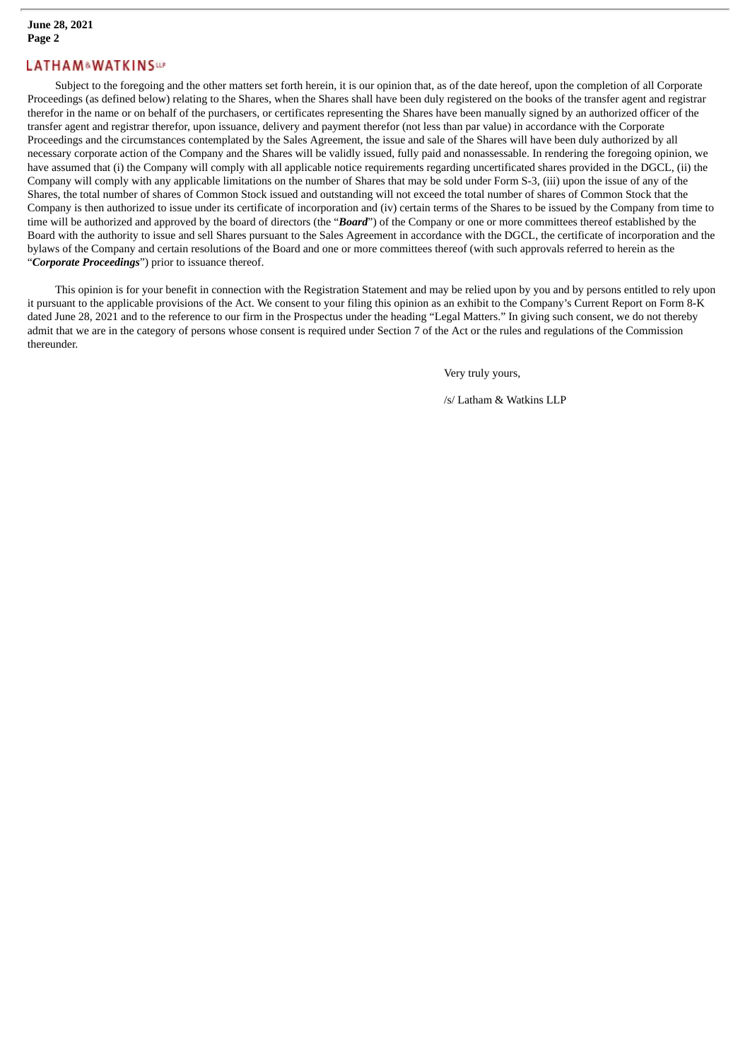# **LATHAM&WATKINSar**

Subject to the foregoing and the other matters set forth herein, it is our opinion that, as of the date hereof, upon the completion of all Corporate Proceedings (as defined below) relating to the Shares, when the Shares shall have been duly registered on the books of the transfer agent and registrar therefor in the name or on behalf of the purchasers, or certificates representing the Shares have been manually signed by an authorized officer of the transfer agent and registrar therefor, upon issuance, delivery and payment therefor (not less than par value) in accordance with the Corporate Proceedings and the circumstances contemplated by the Sales Agreement, the issue and sale of the Shares will have been duly authorized by all necessary corporate action of the Company and the Shares will be validly issued, fully paid and nonassessable. In rendering the foregoing opinion, we have assumed that (i) the Company will comply with all applicable notice requirements regarding uncertificated shares provided in the DGCL, (ii) the Company will comply with any applicable limitations on the number of Shares that may be sold under Form S-3, (iii) upon the issue of any of the Shares, the total number of shares of Common Stock issued and outstanding will not exceed the total number of shares of Common Stock that the Company is then authorized to issue under its certificate of incorporation and (iv) certain terms of the Shares to be issued by the Company from time to time will be authorized and approved by the board of directors (the "*Board*") of the Company or one or more committees thereof established by the Board with the authority to issue and sell Shares pursuant to the Sales Agreement in accordance with the DGCL, the certificate of incorporation and the bylaws of the Company and certain resolutions of the Board and one or more committees thereof (with such approvals referred to herein as the "*Corporate Proceedings*") prior to issuance thereof.

This opinion is for your benefit in connection with the Registration Statement and may be relied upon by you and by persons entitled to rely upon it pursuant to the applicable provisions of the Act. We consent to your filing this opinion as an exhibit to the Company's Current Report on Form 8-K dated June 28, 2021 and to the reference to our firm in the Prospectus under the heading "Legal Matters." In giving such consent, we do not thereby admit that we are in the category of persons whose consent is required under Section 7 of the Act or the rules and regulations of the Commission thereunder.

Very truly yours,

/s/ Latham & Watkins LLP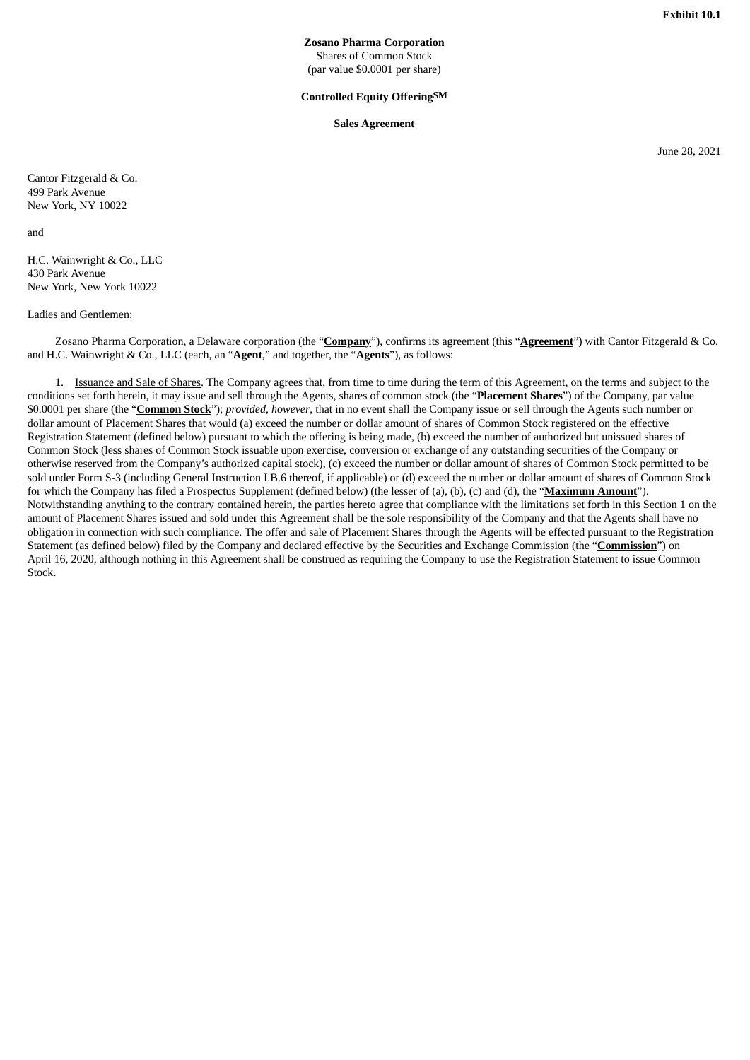**Zosano Pharma Corporation** Shares of Common Stock (par value \$0.0001 per share)

#### **Controlled Equity OfferingSM**

## **Sales Agreement**

June 28, 2021

<span id="page-6-0"></span>Cantor Fitzgerald & Co. 499 Park Avenue New York, NY 10022

and

H.C. Wainwright & Co., LLC 430 Park Avenue New York, New York 10022

Ladies and Gentlemen:

Zosano Pharma Corporation, a Delaware corporation (the "**Company**"), confirms its agreement (this "**Agreement**") with Cantor Fitzgerald & Co. and H.C. Wainwright & Co., LLC (each, an "**Agent**," and together, the "**Agents**"), as follows:

1. Issuance and Sale of Shares. The Company agrees that, from time to time during the term of this Agreement, on the terms and subject to the conditions set forth herein, it may issue and sell through the Agents, shares of common stock (the "**Placement Shares**") of the Company, par value \$0.0001 per share (the "**Common Stock**"); *provided*, *however*, that in no event shall the Company issue or sell through the Agents such number or dollar amount of Placement Shares that would (a) exceed the number or dollar amount of shares of Common Stock registered on the effective Registration Statement (defined below) pursuant to which the offering is being made, (b) exceed the number of authorized but unissued shares of Common Stock (less shares of Common Stock issuable upon exercise, conversion or exchange of any outstanding securities of the Company or otherwise reserved from the Company's authorized capital stock), (c) exceed the number or dollar amount of shares of Common Stock permitted to be sold under Form S-3 (including General Instruction I.B.6 thereof, if applicable) or (d) exceed the number or dollar amount of shares of Common Stock for which the Company has filed a Prospectus Supplement (defined below) (the lesser of (a), (b), (c) and (d), the "**Maximum Amount**"). Notwithstanding anything to the contrary contained herein, the parties hereto agree that compliance with the limitations set forth in this Section 1 on the amount of Placement Shares issued and sold under this Agreement shall be the sole responsibility of the Company and that the Agents shall have no obligation in connection with such compliance. The offer and sale of Placement Shares through the Agents will be effected pursuant to the Registration Statement (as defined below) filed by the Company and declared effective by the Securities and Exchange Commission (the "**Commission**") on April 16, 2020, although nothing in this Agreement shall be construed as requiring the Company to use the Registration Statement to issue Common Stock.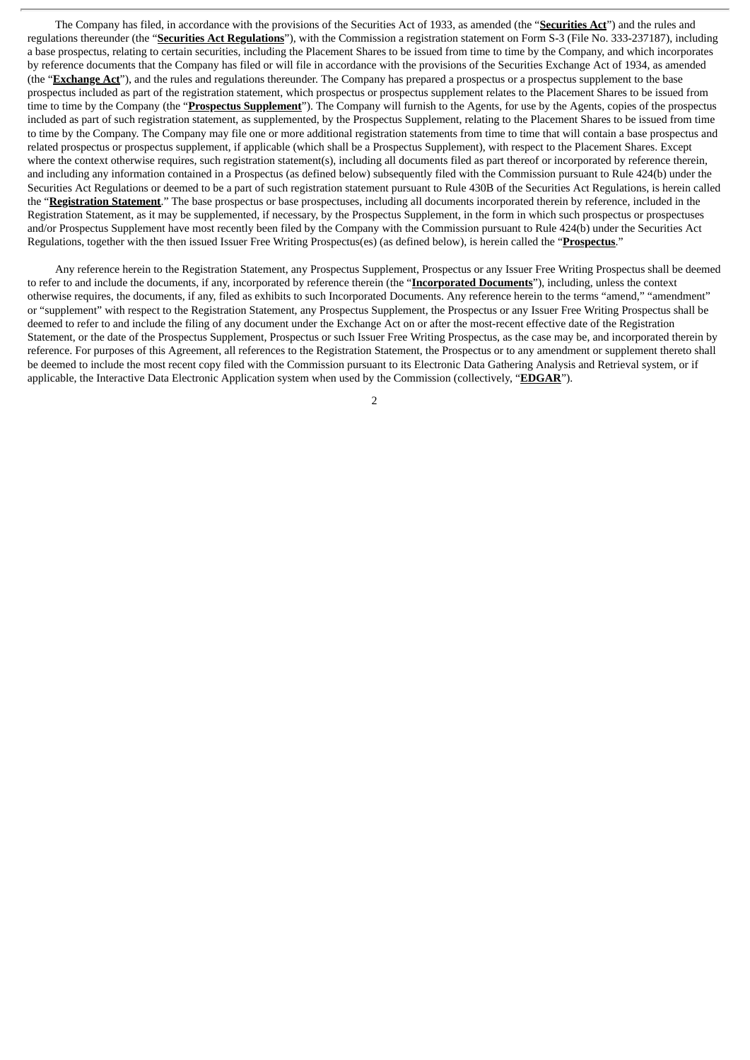The Company has filed, in accordance with the provisions of the Securities Act of 1933, as amended (the "**Securities Act**") and the rules and regulations thereunder (the "**Securities Act Regulations**"), with the Commission a registration statement on Form S-3 (File No. 333-237187), including a base prospectus, relating to certain securities, including the Placement Shares to be issued from time to time by the Company, and which incorporates by reference documents that the Company has filed or will file in accordance with the provisions of the Securities Exchange Act of 1934, as amended (the "**Exchange Act**"), and the rules and regulations thereunder. The Company has prepared a prospectus or a prospectus supplement to the base prospectus included as part of the registration statement, which prospectus or prospectus supplement relates to the Placement Shares to be issued from time to time by the Company (the "**Prospectus Supplement**"). The Company will furnish to the Agents, for use by the Agents, copies of the prospectus included as part of such registration statement, as supplemented, by the Prospectus Supplement, relating to the Placement Shares to be issued from time to time by the Company. The Company may file one or more additional registration statements from time to time that will contain a base prospectus and related prospectus or prospectus supplement, if applicable (which shall be a Prospectus Supplement), with respect to the Placement Shares. Except where the context otherwise requires, such registration statement(s), including all documents filed as part thereof or incorporated by reference therein, and including any information contained in a Prospectus (as defined below) subsequently filed with the Commission pursuant to Rule 424(b) under the Securities Act Regulations or deemed to be a part of such registration statement pursuant to Rule 430B of the Securities Act Regulations, is herein called the "**Registration Statement**." The base prospectus or base prospectuses, including all documents incorporated therein by reference, included in the Registration Statement, as it may be supplemented, if necessary, by the Prospectus Supplement, in the form in which such prospectus or prospectuses and/or Prospectus Supplement have most recently been filed by the Company with the Commission pursuant to Rule 424(b) under the Securities Act Regulations, together with the then issued Issuer Free Writing Prospectus(es) (as defined below), is herein called the "**Prospectus**."

Any reference herein to the Registration Statement, any Prospectus Supplement, Prospectus or any Issuer Free Writing Prospectus shall be deemed to refer to and include the documents, if any, incorporated by reference therein (the "**Incorporated Documents**"), including, unless the context otherwise requires, the documents, if any, filed as exhibits to such Incorporated Documents. Any reference herein to the terms "amend," "amendment" or "supplement" with respect to the Registration Statement, any Prospectus Supplement, the Prospectus or any Issuer Free Writing Prospectus shall be deemed to refer to and include the filing of any document under the Exchange Act on or after the most-recent effective date of the Registration Statement, or the date of the Prospectus Supplement, Prospectus or such Issuer Free Writing Prospectus, as the case may be, and incorporated therein by reference. For purposes of this Agreement, all references to the Registration Statement, the Prospectus or to any amendment or supplement thereto shall be deemed to include the most recent copy filed with the Commission pursuant to its Electronic Data Gathering Analysis and Retrieval system, or if applicable, the Interactive Data Electronic Application system when used by the Commission (collectively, "**EDGAR**").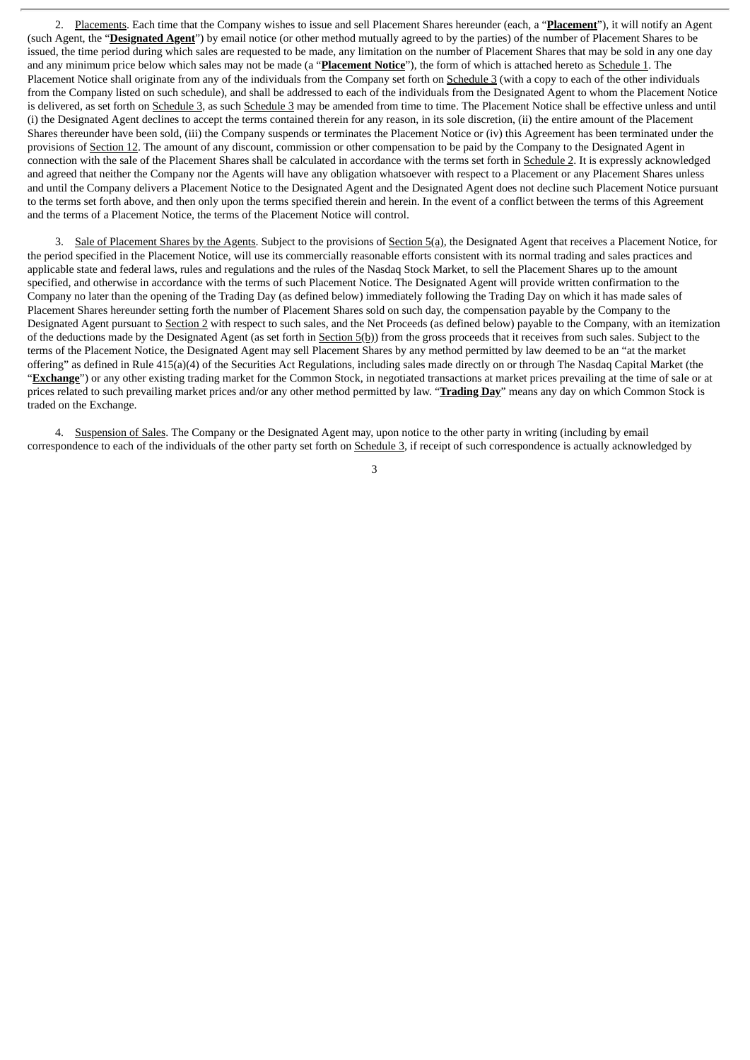2. Placements. Each time that the Company wishes to issue and sell Placement Shares hereunder (each, a "**Placement**"), it will notify an Agent (such Agent, the "**Designated Agent**") by email notice (or other method mutually agreed to by the parties) of the number of Placement Shares to be issued, the time period during which sales are requested to be made, any limitation on the number of Placement Shares that may be sold in any one day and any minimum price below which sales may not be made (a "**Placement Notice**"), the form of which is attached hereto as Schedule 1. The Placement Notice shall originate from any of the individuals from the Company set forth on Schedule 3 (with a copy to each of the other individuals from the Company listed on such schedule), and shall be addressed to each of the individuals from the Designated Agent to whom the Placement Notice is delivered, as set forth on Schedule 3, as such Schedule 3 may be amended from time to time. The Placement Notice shall be effective unless and until (i) the Designated Agent declines to accept the terms contained therein for any reason, in its sole discretion, (ii) the entire amount of the Placement Shares thereunder have been sold, (iii) the Company suspends or terminates the Placement Notice or (iv) this Agreement has been terminated under the provisions of Section 12. The amount of any discount, commission or other compensation to be paid by the Company to the Designated Agent in connection with the sale of the Placement Shares shall be calculated in accordance with the terms set forth in Schedule 2. It is expressly acknowledged and agreed that neither the Company nor the Agents will have any obligation whatsoever with respect to a Placement or any Placement Shares unless and until the Company delivers a Placement Notice to the Designated Agent and the Designated Agent does not decline such Placement Notice pursuant to the terms set forth above, and then only upon the terms specified therein and herein. In the event of a conflict between the terms of this Agreement and the terms of a Placement Notice, the terms of the Placement Notice will control.

3. Sale of Placement Shares by the Agents. Subject to the provisions of Section 5(a), the Designated Agent that receives a Placement Notice, for the period specified in the Placement Notice, will use its commercially reasonable efforts consistent with its normal trading and sales practices and applicable state and federal laws, rules and regulations and the rules of the Nasdaq Stock Market, to sell the Placement Shares up to the amount specified, and otherwise in accordance with the terms of such Placement Notice. The Designated Agent will provide written confirmation to the Company no later than the opening of the Trading Day (as defined below) immediately following the Trading Day on which it has made sales of Placement Shares hereunder setting forth the number of Placement Shares sold on such day, the compensation payable by the Company to the Designated Agent pursuant to Section 2 with respect to such sales, and the Net Proceeds (as defined below) payable to the Company, with an itemization of the deductions made by the Designated Agent (as set forth in Section 5(b)) from the gross proceeds that it receives from such sales. Subject to the terms of the Placement Notice, the Designated Agent may sell Placement Shares by any method permitted by law deemed to be an "at the market offering" as defined in Rule 415(a)(4) of the Securities Act Regulations, including sales made directly on or through The Nasdaq Capital Market (the "**Exchange**") or any other existing trading market for the Common Stock, in negotiated transactions at market prices prevailing at the time of sale or at prices related to such prevailing market prices and/or any other method permitted by law. "**Trading Day**" means any day on which Common Stock is traded on the Exchange.

4. Suspension of Sales. The Company or the Designated Agent may, upon notice to the other party in writing (including by email correspondence to each of the individuals of the other party set forth on Schedule 3, if receipt of such correspondence is actually acknowledged by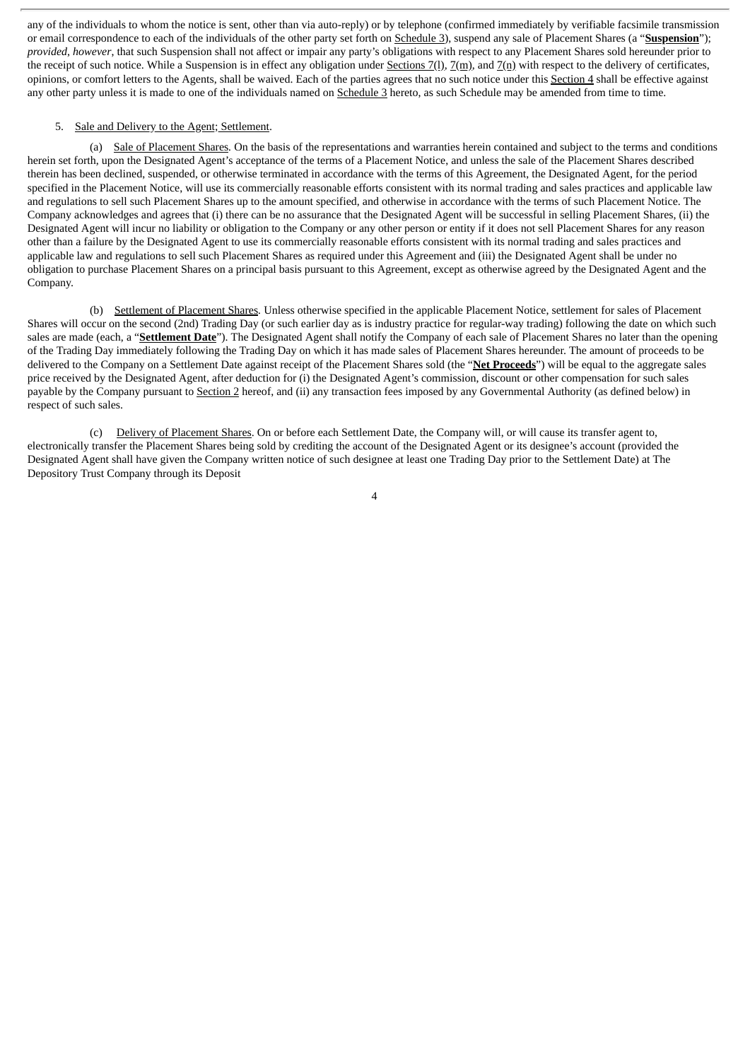any of the individuals to whom the notice is sent, other than via auto-reply) or by telephone (confirmed immediately by verifiable facsimile transmission or email correspondence to each of the individuals of the other party set forth on Schedule 3), suspend any sale of Placement Shares (a "**Suspension**"); *provided*, *however*, that such Suspension shall not affect or impair any party's obligations with respect to any Placement Shares sold hereunder prior to the receipt of such notice. While a Suspension is in effect any obligation under Sections 7(1),  $\mathbb{Z}(m)$ , and  $\mathbb{Z}(n)$  with respect to the delivery of certificates, opinions, or comfort letters to the Agents, shall be waived. Each of the parties agrees that no such notice under this Section 4 shall be effective against any other party unless it is made to one of the individuals named on Schedule 3 hereto, as such Schedule may be amended from time to time.

#### 5. Sale and Delivery to the Agent; Settlement.

(a) Sale of Placement Shares*.* On the basis of the representations and warranties herein contained and subject to the terms and conditions herein set forth, upon the Designated Agent's acceptance of the terms of a Placement Notice, and unless the sale of the Placement Shares described therein has been declined, suspended, or otherwise terminated in accordance with the terms of this Agreement, the Designated Agent, for the period specified in the Placement Notice, will use its commercially reasonable efforts consistent with its normal trading and sales practices and applicable law and regulations to sell such Placement Shares up to the amount specified, and otherwise in accordance with the terms of such Placement Notice. The Company acknowledges and agrees that (i) there can be no assurance that the Designated Agent will be successful in selling Placement Shares, (ii) the Designated Agent will incur no liability or obligation to the Company or any other person or entity if it does not sell Placement Shares for any reason other than a failure by the Designated Agent to use its commercially reasonable efforts consistent with its normal trading and sales practices and applicable law and regulations to sell such Placement Shares as required under this Agreement and (iii) the Designated Agent shall be under no obligation to purchase Placement Shares on a principal basis pursuant to this Agreement, except as otherwise agreed by the Designated Agent and the Company.

(b) Settlement of Placement Shares*.* Unless otherwise specified in the applicable Placement Notice, settlement for sales of Placement Shares will occur on the second (2nd) Trading Day (or such earlier day as is industry practice for regular-way trading) following the date on which such sales are made (each, a "**Settlement Date**"). The Designated Agent shall notify the Company of each sale of Placement Shares no later than the opening of the Trading Day immediately following the Trading Day on which it has made sales of Placement Shares hereunder. The amount of proceeds to be delivered to the Company on a Settlement Date against receipt of the Placement Shares sold (the "**Net Proceeds**") will be equal to the aggregate sales price received by the Designated Agent, after deduction for (i) the Designated Agent's commission, discount or other compensation for such sales payable by the Company pursuant to Section 2 hereof, and (ii) any transaction fees imposed by any Governmental Authority (as defined below) in respect of such sales.

(c) Delivery of Placement Shares. On or before each Settlement Date, the Company will, or will cause its transfer agent to, electronically transfer the Placement Shares being sold by crediting the account of the Designated Agent or its designee's account (provided the Designated Agent shall have given the Company written notice of such designee at least one Trading Day prior to the Settlement Date) at The Depository Trust Company through its Deposit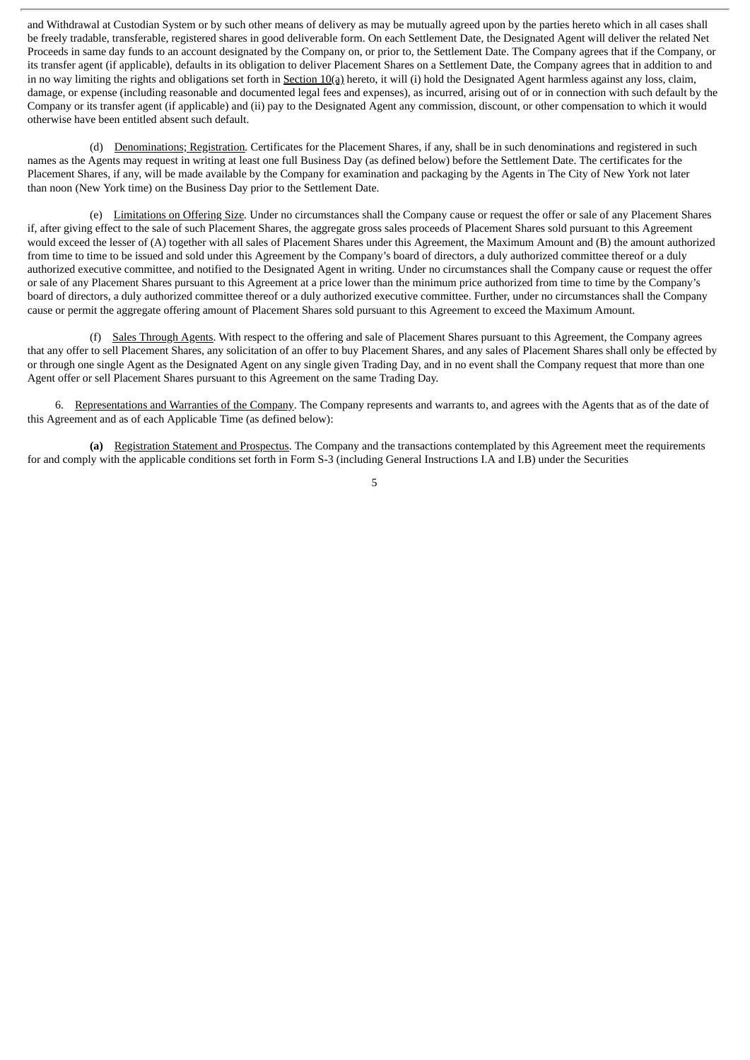and Withdrawal at Custodian System or by such other means of delivery as may be mutually agreed upon by the parties hereto which in all cases shall be freely tradable, transferable, registered shares in good deliverable form. On each Settlement Date, the Designated Agent will deliver the related Net Proceeds in same day funds to an account designated by the Company on, or prior to, the Settlement Date. The Company agrees that if the Company, or its transfer agent (if applicable), defaults in its obligation to deliver Placement Shares on a Settlement Date, the Company agrees that in addition to and in no way limiting the rights and obligations set forth in Section  $10(a)$  hereto, it will (i) hold the Designated Agent harmless against any loss, claim, damage, or expense (including reasonable and documented legal fees and expenses), as incurred, arising out of or in connection with such default by the Company or its transfer agent (if applicable) and (ii) pay to the Designated Agent any commission, discount, or other compensation to which it would otherwise have been entitled absent such default.

(d) Denominations; Registration*.* Certificates for the Placement Shares, if any, shall be in such denominations and registered in such names as the Agents may request in writing at least one full Business Day (as defined below) before the Settlement Date. The certificates for the Placement Shares, if any, will be made available by the Company for examination and packaging by the Agents in The City of New York not later than noon (New York time) on the Business Day prior to the Settlement Date.

(e) Limitations on Offering Size*.* Under no circumstances shall the Company cause or request the offer or sale of any Placement Shares if, after giving effect to the sale of such Placement Shares, the aggregate gross sales proceeds of Placement Shares sold pursuant to this Agreement would exceed the lesser of (A) together with all sales of Placement Shares under this Agreement, the Maximum Amount and (B) the amount authorized from time to time to be issued and sold under this Agreement by the Company's board of directors, a duly authorized committee thereof or a duly authorized executive committee, and notified to the Designated Agent in writing. Under no circumstances shall the Company cause or request the offer or sale of any Placement Shares pursuant to this Agreement at a price lower than the minimum price authorized from time to time by the Company's board of directors, a duly authorized committee thereof or a duly authorized executive committee. Further, under no circumstances shall the Company cause or permit the aggregate offering amount of Placement Shares sold pursuant to this Agreement to exceed the Maximum Amount.

(f) Sales Through Agents. With respect to the offering and sale of Placement Shares pursuant to this Agreement, the Company agrees that any offer to sell Placement Shares, any solicitation of an offer to buy Placement Shares, and any sales of Placement Shares shall only be effected by or through one single Agent as the Designated Agent on any single given Trading Day, and in no event shall the Company request that more than one Agent offer or sell Placement Shares pursuant to this Agreement on the same Trading Day.

6. Representations and Warranties of the Company. The Company represents and warrants to, and agrees with the Agents that as of the date of this Agreement and as of each Applicable Time (as defined below):

**(a)** Registration Statement and Prospectus. The Company and the transactions contemplated by this Agreement meet the requirements for and comply with the applicable conditions set forth in Form S-3 (including General Instructions I.A and I.B) under the Securities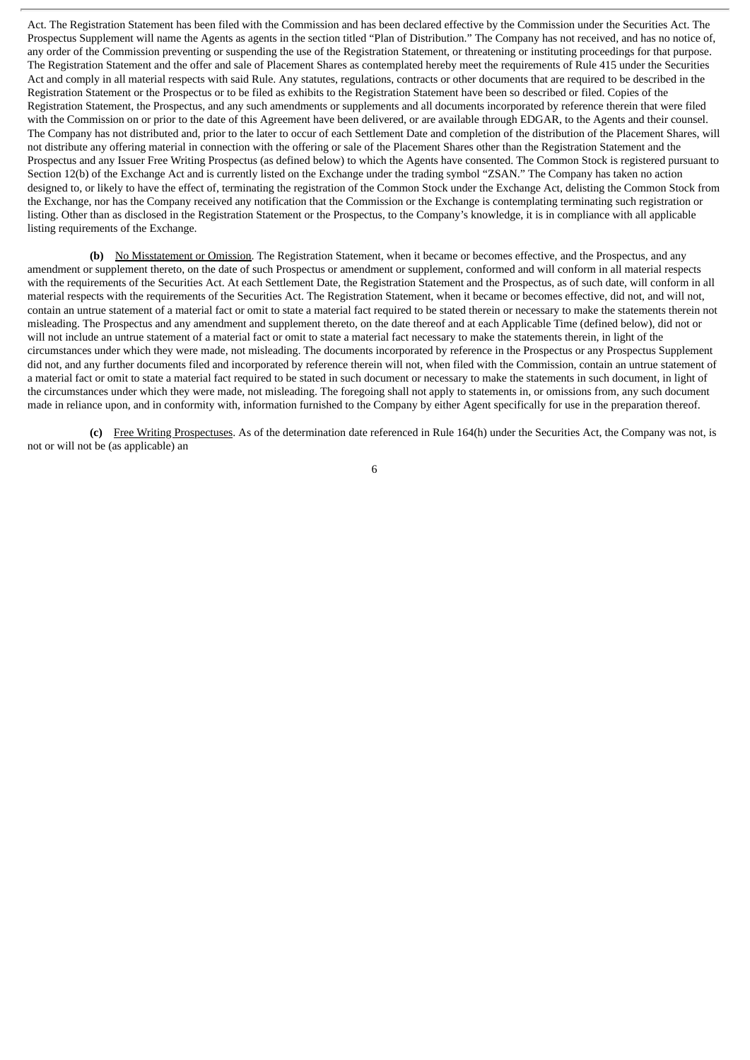Act. The Registration Statement has been filed with the Commission and has been declared effective by the Commission under the Securities Act. The Prospectus Supplement will name the Agents as agents in the section titled "Plan of Distribution." The Company has not received, and has no notice of, any order of the Commission preventing or suspending the use of the Registration Statement, or threatening or instituting proceedings for that purpose. The Registration Statement and the offer and sale of Placement Shares as contemplated hereby meet the requirements of Rule 415 under the Securities Act and comply in all material respects with said Rule. Any statutes, regulations, contracts or other documents that are required to be described in the Registration Statement or the Prospectus or to be filed as exhibits to the Registration Statement have been so described or filed. Copies of the Registration Statement, the Prospectus, and any such amendments or supplements and all documents incorporated by reference therein that were filed with the Commission on or prior to the date of this Agreement have been delivered, or are available through EDGAR, to the Agents and their counsel. The Company has not distributed and, prior to the later to occur of each Settlement Date and completion of the distribution of the Placement Shares, will not distribute any offering material in connection with the offering or sale of the Placement Shares other than the Registration Statement and the Prospectus and any Issuer Free Writing Prospectus (as defined below) to which the Agents have consented. The Common Stock is registered pursuant to Section 12(b) of the Exchange Act and is currently listed on the Exchange under the trading symbol "ZSAN." The Company has taken no action designed to, or likely to have the effect of, terminating the registration of the Common Stock under the Exchange Act, delisting the Common Stock from the Exchange, nor has the Company received any notification that the Commission or the Exchange is contemplating terminating such registration or listing. Other than as disclosed in the Registration Statement or the Prospectus, to the Company's knowledge, it is in compliance with all applicable listing requirements of the Exchange.

**(b)** No Misstatement or Omission. The Registration Statement, when it became or becomes effective, and the Prospectus, and any amendment or supplement thereto, on the date of such Prospectus or amendment or supplement, conformed and will conform in all material respects with the requirements of the Securities Act. At each Settlement Date, the Registration Statement and the Prospectus, as of such date, will conform in all material respects with the requirements of the Securities Act. The Registration Statement, when it became or becomes effective, did not, and will not, contain an untrue statement of a material fact or omit to state a material fact required to be stated therein or necessary to make the statements therein not misleading. The Prospectus and any amendment and supplement thereto, on the date thereof and at each Applicable Time (defined below), did not or will not include an untrue statement of a material fact or omit to state a material fact necessary to make the statements therein, in light of the circumstances under which they were made, not misleading. The documents incorporated by reference in the Prospectus or any Prospectus Supplement did not, and any further documents filed and incorporated by reference therein will not, when filed with the Commission, contain an untrue statement of a material fact or omit to state a material fact required to be stated in such document or necessary to make the statements in such document, in light of the circumstances under which they were made, not misleading. The foregoing shall not apply to statements in, or omissions from, any such document made in reliance upon, and in conformity with, information furnished to the Company by either Agent specifically for use in the preparation thereof.

**(c)** Free Writing Prospectuses. As of the determination date referenced in Rule 164(h) under the Securities Act, the Company was not, is not or will not be (as applicable) an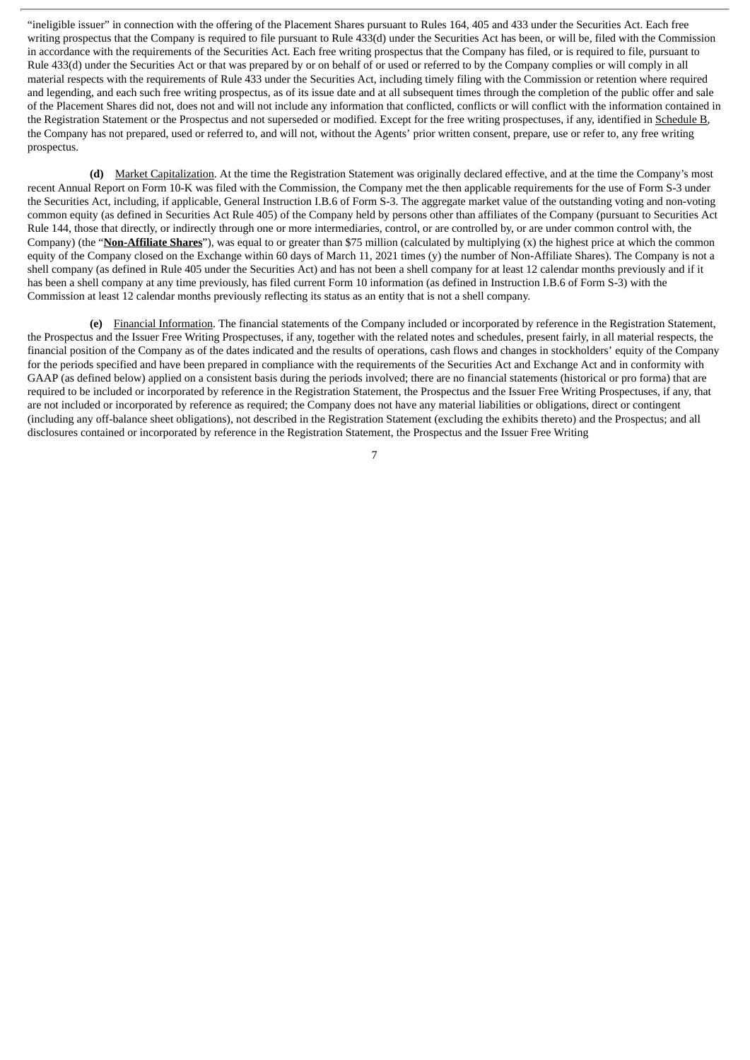"ineligible issuer" in connection with the offering of the Placement Shares pursuant to Rules 164, 405 and 433 under the Securities Act. Each free writing prospectus that the Company is required to file pursuant to Rule 433(d) under the Securities Act has been, or will be, filed with the Commission in accordance with the requirements of the Securities Act. Each free writing prospectus that the Company has filed, or is required to file, pursuant to Rule 433(d) under the Securities Act or that was prepared by or on behalf of or used or referred to by the Company complies or will comply in all material respects with the requirements of Rule 433 under the Securities Act, including timely filing with the Commission or retention where required and legending, and each such free writing prospectus, as of its issue date and at all subsequent times through the completion of the public offer and sale of the Placement Shares did not, does not and will not include any information that conflicted, conflicts or will conflict with the information contained in the Registration Statement or the Prospectus and not superseded or modified. Except for the free writing prospectuses, if any, identified in Schedule B, the Company has not prepared, used or referred to, and will not, without the Agents' prior written consent, prepare, use or refer to, any free writing prospectus.

**(d)** Market Capitalization. At the time the Registration Statement was originally declared effective, and at the time the Company's most recent Annual Report on Form 10-K was filed with the Commission, the Company met the then applicable requirements for the use of Form S-3 under the Securities Act, including, if applicable, General Instruction I.B.6 of Form S-3. The aggregate market value of the outstanding voting and non-voting common equity (as defined in Securities Act Rule 405) of the Company held by persons other than affiliates of the Company (pursuant to Securities Act Rule 144, those that directly, or indirectly through one or more intermediaries, control, or are controlled by, or are under common control with, the Company) (the "**Non-Affiliate Shares**"), was equal to or greater than \$75 million (calculated by multiplying (x) the highest price at which the common equity of the Company closed on the Exchange within 60 days of March 11, 2021 times (y) the number of Non-Affiliate Shares). The Company is not a shell company (as defined in Rule 405 under the Securities Act) and has not been a shell company for at least 12 calendar months previously and if it has been a shell company at any time previously, has filed current Form 10 information (as defined in Instruction I.B.6 of Form S-3) with the Commission at least 12 calendar months previously reflecting its status as an entity that is not a shell company.

**(e)** Financial Information. The financial statements of the Company included or incorporated by reference in the Registration Statement, the Prospectus and the Issuer Free Writing Prospectuses, if any, together with the related notes and schedules, present fairly, in all material respects, the financial position of the Company as of the dates indicated and the results of operations, cash flows and changes in stockholders' equity of the Company for the periods specified and have been prepared in compliance with the requirements of the Securities Act and Exchange Act and in conformity with GAAP (as defined below) applied on a consistent basis during the periods involved; there are no financial statements (historical or pro forma) that are required to be included or incorporated by reference in the Registration Statement, the Prospectus and the Issuer Free Writing Prospectuses, if any, that are not included or incorporated by reference as required; the Company does not have any material liabilities or obligations, direct or contingent (including any off-balance sheet obligations), not described in the Registration Statement (excluding the exhibits thereto) and the Prospectus; and all disclosures contained or incorporated by reference in the Registration Statement, the Prospectus and the Issuer Free Writing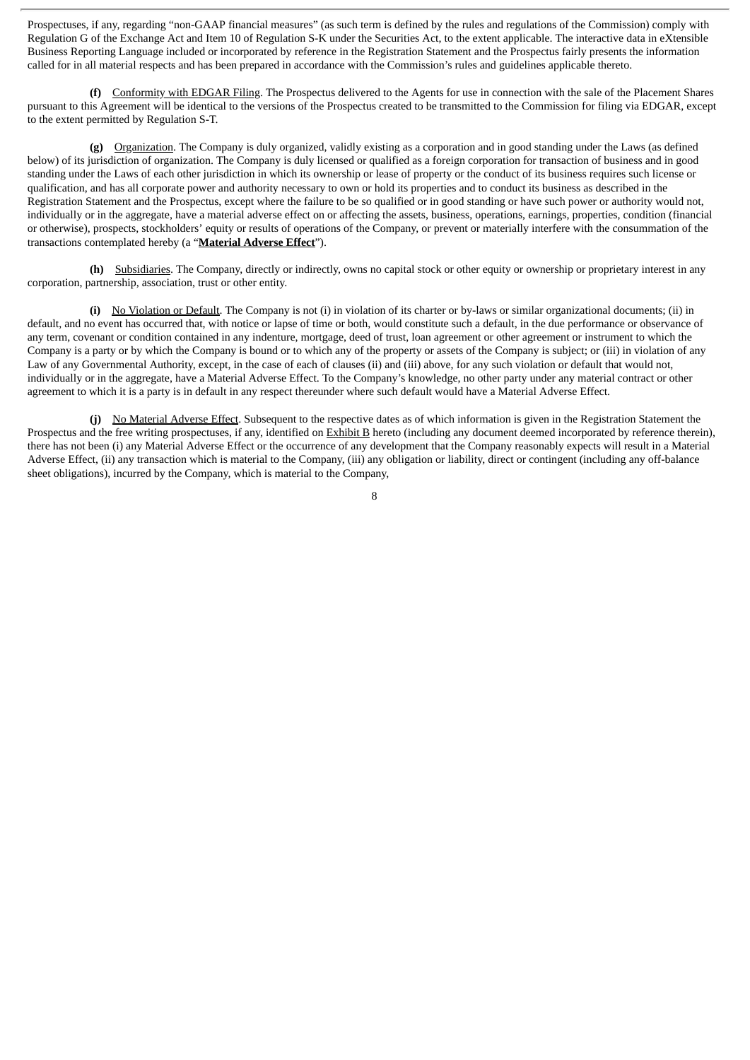Prospectuses, if any, regarding "non-GAAP financial measures" (as such term is defined by the rules and regulations of the Commission) comply with Regulation G of the Exchange Act and Item 10 of Regulation S-K under the Securities Act, to the extent applicable. The interactive data in eXtensible Business Reporting Language included or incorporated by reference in the Registration Statement and the Prospectus fairly presents the information called for in all material respects and has been prepared in accordance with the Commission's rules and guidelines applicable thereto.

**(f)** Conformity with EDGAR Filing. The Prospectus delivered to the Agents for use in connection with the sale of the Placement Shares pursuant to this Agreement will be identical to the versions of the Prospectus created to be transmitted to the Commission for filing via EDGAR, except to the extent permitted by Regulation S-T.

**(g)** Organization. The Company is duly organized, validly existing as a corporation and in good standing under the Laws (as defined below) of its jurisdiction of organization. The Company is duly licensed or qualified as a foreign corporation for transaction of business and in good standing under the Laws of each other jurisdiction in which its ownership or lease of property or the conduct of its business requires such license or qualification, and has all corporate power and authority necessary to own or hold its properties and to conduct its business as described in the Registration Statement and the Prospectus, except where the failure to be so qualified or in good standing or have such power or authority would not, individually or in the aggregate, have a material adverse effect on or affecting the assets, business, operations, earnings, properties, condition (financial or otherwise), prospects, stockholders' equity or results of operations of the Company, or prevent or materially interfere with the consummation of the transactions contemplated hereby (a "**Material Adverse Effect**").

**(h)** Subsidiaries. The Company, directly or indirectly, owns no capital stock or other equity or ownership or proprietary interest in any corporation, partnership, association, trust or other entity.

(i) No Violation or Default. The Company is not (i) in violation of its charter or by-laws or similar organizational documents; (ii) in default, and no event has occurred that, with notice or lapse of time or both, would constitute such a default, in the due performance or observance of any term, covenant or condition contained in any indenture, mortgage, deed of trust, loan agreement or other agreement or instrument to which the Company is a party or by which the Company is bound or to which any of the property or assets of the Company is subject; or (iii) in violation of any Law of any Governmental Authority, except, in the case of each of clauses (ii) and (iii) above, for any such violation or default that would not, individually or in the aggregate, have a Material Adverse Effect. To the Company's knowledge, no other party under any material contract or other agreement to which it is a party is in default in any respect thereunder where such default would have a Material Adverse Effect.

**(j)** No Material Adverse Effect. Subsequent to the respective dates as of which information is given in the Registration Statement the Prospectus and the free writing prospectuses, if any, identified on **Exhibit B** hereto (including any document deemed incorporated by reference therein), there has not been (i) any Material Adverse Effect or the occurrence of any development that the Company reasonably expects will result in a Material Adverse Effect, (ii) any transaction which is material to the Company, (iii) any obligation or liability, direct or contingent (including any off-balance sheet obligations), incurred by the Company, which is material to the Company,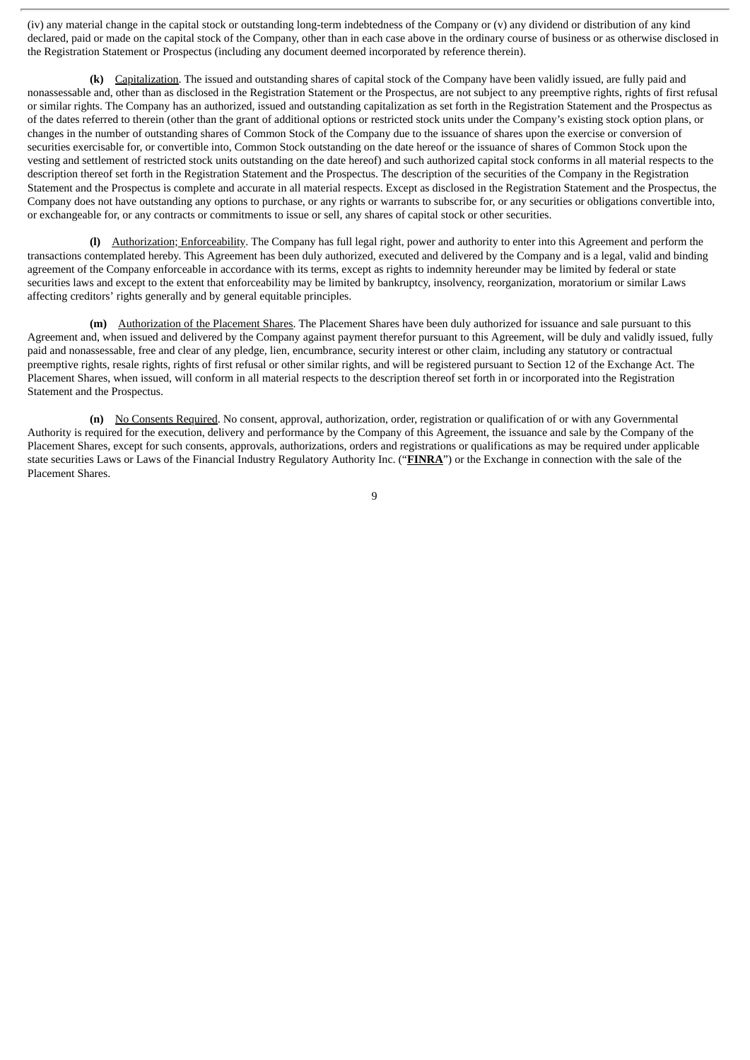(iv) any material change in the capital stock or outstanding long-term indebtedness of the Company or (v) any dividend or distribution of any kind declared, paid or made on the capital stock of the Company, other than in each case above in the ordinary course of business or as otherwise disclosed in the Registration Statement or Prospectus (including any document deemed incorporated by reference therein).

**(k)** Capitalization. The issued and outstanding shares of capital stock of the Company have been validly issued, are fully paid and nonassessable and, other than as disclosed in the Registration Statement or the Prospectus, are not subject to any preemptive rights, rights of first refusal or similar rights. The Company has an authorized, issued and outstanding capitalization as set forth in the Registration Statement and the Prospectus as of the dates referred to therein (other than the grant of additional options or restricted stock units under the Company's existing stock option plans, or changes in the number of outstanding shares of Common Stock of the Company due to the issuance of shares upon the exercise or conversion of securities exercisable for, or convertible into, Common Stock outstanding on the date hereof or the issuance of shares of Common Stock upon the vesting and settlement of restricted stock units outstanding on the date hereof) and such authorized capital stock conforms in all material respects to the description thereof set forth in the Registration Statement and the Prospectus. The description of the securities of the Company in the Registration Statement and the Prospectus is complete and accurate in all material respects. Except as disclosed in the Registration Statement and the Prospectus, the Company does not have outstanding any options to purchase, or any rights or warrants to subscribe for, or any securities or obligations convertible into, or exchangeable for, or any contracts or commitments to issue or sell, any shares of capital stock or other securities.

**(l)** Authorization; Enforceability. The Company has full legal right, power and authority to enter into this Agreement and perform the transactions contemplated hereby. This Agreement has been duly authorized, executed and delivered by the Company and is a legal, valid and binding agreement of the Company enforceable in accordance with its terms, except as rights to indemnity hereunder may be limited by federal or state securities laws and except to the extent that enforceability may be limited by bankruptcy, insolvency, reorganization, moratorium or similar Laws affecting creditors' rights generally and by general equitable principles.

**(m)** Authorization of the Placement Shares. The Placement Shares have been duly authorized for issuance and sale pursuant to this Agreement and, when issued and delivered by the Company against payment therefor pursuant to this Agreement, will be duly and validly issued, fully paid and nonassessable, free and clear of any pledge, lien, encumbrance, security interest or other claim, including any statutory or contractual preemptive rights, resale rights, rights of first refusal or other similar rights, and will be registered pursuant to Section 12 of the Exchange Act. The Placement Shares, when issued, will conform in all material respects to the description thereof set forth in or incorporated into the Registration Statement and the Prospectus.

**(n)** No Consents Required. No consent, approval, authorization, order, registration or qualification of or with any Governmental Authority is required for the execution, delivery and performance by the Company of this Agreement, the issuance and sale by the Company of the Placement Shares, except for such consents, approvals, authorizations, orders and registrations or qualifications as may be required under applicable state securities Laws or Laws of the Financial Industry Regulatory Authority Inc. ("**FINRA**") or the Exchange in connection with the sale of the Placement Shares.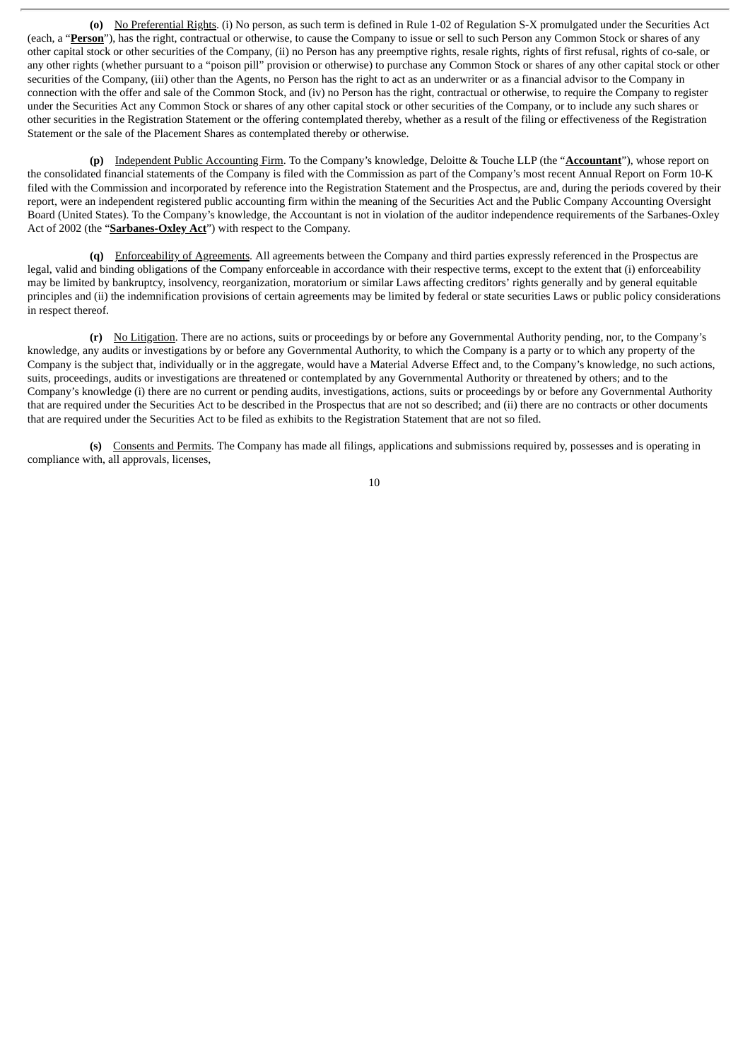**(o)** No Preferential Rights. (i) No person, as such term is defined in Rule 1-02 of Regulation S-X promulgated under the Securities Act (each, a "**Person**"), has the right, contractual or otherwise, to cause the Company to issue or sell to such Person any Common Stock or shares of any other capital stock or other securities of the Company, (ii) no Person has any preemptive rights, resale rights, rights of first refusal, rights of co-sale, or any other rights (whether pursuant to a "poison pill" provision or otherwise) to purchase any Common Stock or shares of any other capital stock or other securities of the Company, (iii) other than the Agents, no Person has the right to act as an underwriter or as a financial advisor to the Company in connection with the offer and sale of the Common Stock, and (iv) no Person has the right, contractual or otherwise, to require the Company to register under the Securities Act any Common Stock or shares of any other capital stock or other securities of the Company, or to include any such shares or other securities in the Registration Statement or the offering contemplated thereby, whether as a result of the filing or effectiveness of the Registration Statement or the sale of the Placement Shares as contemplated thereby or otherwise.

**(p)** Independent Public Accounting Firm. To the Company's knowledge, Deloitte & Touche LLP (the "**Accountant**"), whose report on the consolidated financial statements of the Company is filed with the Commission as part of the Company's most recent Annual Report on Form 10-K filed with the Commission and incorporated by reference into the Registration Statement and the Prospectus, are and, during the periods covered by their report, were an independent registered public accounting firm within the meaning of the Securities Act and the Public Company Accounting Oversight Board (United States). To the Company's knowledge, the Accountant is not in violation of the auditor independence requirements of the Sarbanes-Oxley Act of 2002 (the "**Sarbanes-Oxley Act**") with respect to the Company.

**(q)** Enforceability of Agreements. All agreements between the Company and third parties expressly referenced in the Prospectus are legal, valid and binding obligations of the Company enforceable in accordance with their respective terms, except to the extent that (i) enforceability may be limited by bankruptcy, insolvency, reorganization, moratorium or similar Laws affecting creditors' rights generally and by general equitable principles and (ii) the indemnification provisions of certain agreements may be limited by federal or state securities Laws or public policy considerations in respect thereof.

**(r)** No Litigation. There are no actions, suits or proceedings by or before any Governmental Authority pending, nor, to the Company's knowledge, any audits or investigations by or before any Governmental Authority, to which the Company is a party or to which any property of the Company is the subject that, individually or in the aggregate, would have a Material Adverse Effect and, to the Company's knowledge, no such actions, suits, proceedings, audits or investigations are threatened or contemplated by any Governmental Authority or threatened by others; and to the Company's knowledge (i) there are no current or pending audits, investigations, actions, suits or proceedings by or before any Governmental Authority that are required under the Securities Act to be described in the Prospectus that are not so described; and (ii) there are no contracts or other documents that are required under the Securities Act to be filed as exhibits to the Registration Statement that are not so filed.

**(s)** Consents and Permits. The Company has made all filings, applications and submissions required by, possesses and is operating in compliance with, all approvals, licenses,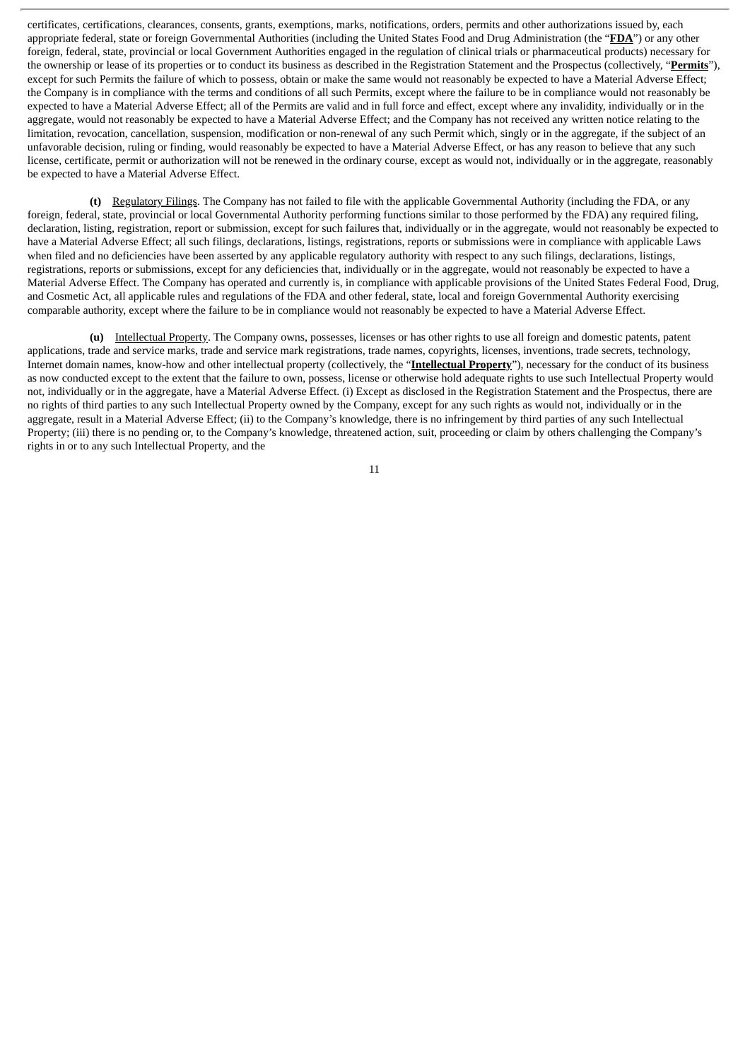certificates, certifications, clearances, consents, grants, exemptions, marks, notifications, orders, permits and other authorizations issued by, each appropriate federal, state or foreign Governmental Authorities (including the United States Food and Drug Administration (the "**FDA**") or any other foreign, federal, state, provincial or local Government Authorities engaged in the regulation of clinical trials or pharmaceutical products) necessary for the ownership or lease of its properties or to conduct its business as described in the Registration Statement and the Prospectus (collectively, "**Permits**"), except for such Permits the failure of which to possess, obtain or make the same would not reasonably be expected to have a Material Adverse Effect; the Company is in compliance with the terms and conditions of all such Permits, except where the failure to be in compliance would not reasonably be expected to have a Material Adverse Effect; all of the Permits are valid and in full force and effect, except where any invalidity, individually or in the aggregate, would not reasonably be expected to have a Material Adverse Effect; and the Company has not received any written notice relating to the limitation, revocation, cancellation, suspension, modification or non-renewal of any such Permit which, singly or in the aggregate, if the subject of an unfavorable decision, ruling or finding, would reasonably be expected to have a Material Adverse Effect, or has any reason to believe that any such license, certificate, permit or authorization will not be renewed in the ordinary course, except as would not, individually or in the aggregate, reasonably be expected to have a Material Adverse Effect.

**(t)** Regulatory Filings. The Company has not failed to file with the applicable Governmental Authority (including the FDA, or any foreign, federal, state, provincial or local Governmental Authority performing functions similar to those performed by the FDA) any required filing, declaration, listing, registration, report or submission, except for such failures that, individually or in the aggregate, would not reasonably be expected to have a Material Adverse Effect; all such filings, declarations, listings, registrations, reports or submissions were in compliance with applicable Laws when filed and no deficiencies have been asserted by any applicable regulatory authority with respect to any such filings, declarations, listings, registrations, reports or submissions, except for any deficiencies that, individually or in the aggregate, would not reasonably be expected to have a Material Adverse Effect. The Company has operated and currently is, in compliance with applicable provisions of the United States Federal Food, Drug, and Cosmetic Act, all applicable rules and regulations of the FDA and other federal, state, local and foreign Governmental Authority exercising comparable authority, except where the failure to be in compliance would not reasonably be expected to have a Material Adverse Effect.

**(u)** Intellectual Property. The Company owns, possesses, licenses or has other rights to use all foreign and domestic patents, patent applications, trade and service marks, trade and service mark registrations, trade names, copyrights, licenses, inventions, trade secrets, technology, Internet domain names, know-how and other intellectual property (collectively, the "**Intellectual Property**"), necessary for the conduct of its business as now conducted except to the extent that the failure to own, possess, license or otherwise hold adequate rights to use such Intellectual Property would not, individually or in the aggregate, have a Material Adverse Effect. (i) Except as disclosed in the Registration Statement and the Prospectus, there are no rights of third parties to any such Intellectual Property owned by the Company, except for any such rights as would not, individually or in the aggregate, result in a Material Adverse Effect; (ii) to the Company's knowledge, there is no infringement by third parties of any such Intellectual Property; (iii) there is no pending or, to the Company's knowledge, threatened action, suit, proceeding or claim by others challenging the Company's rights in or to any such Intellectual Property, and the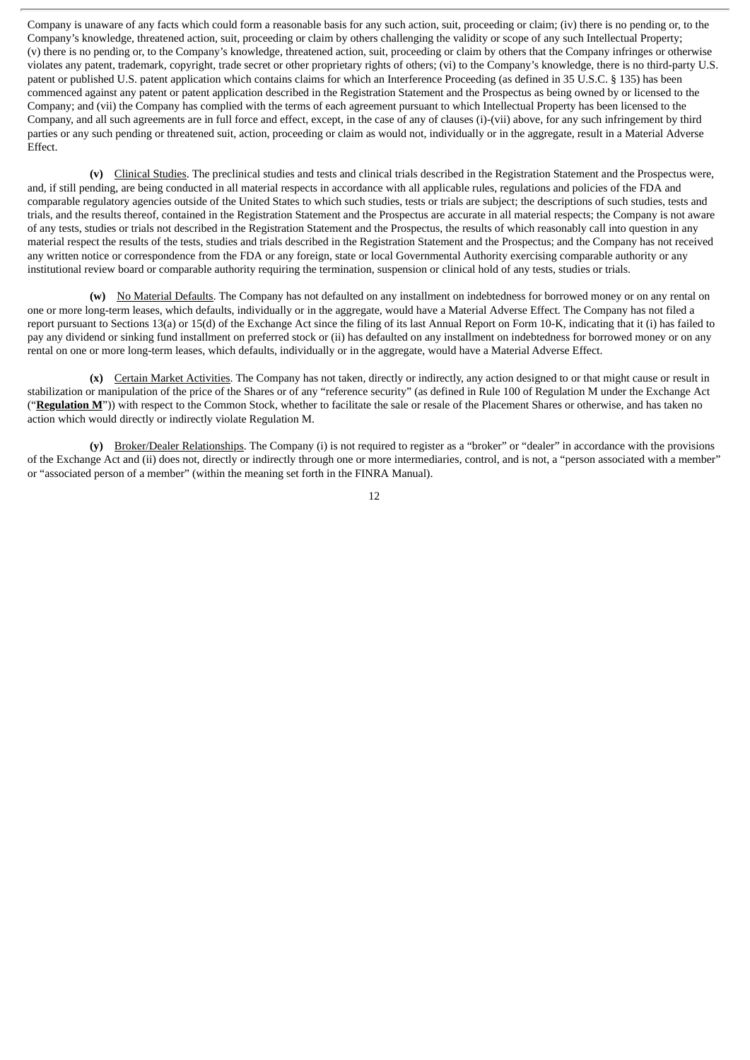Company is unaware of any facts which could form a reasonable basis for any such action, suit, proceeding or claim; (iv) there is no pending or, to the Company's knowledge, threatened action, suit, proceeding or claim by others challenging the validity or scope of any such Intellectual Property; (v) there is no pending or, to the Company's knowledge, threatened action, suit, proceeding or claim by others that the Company infringes or otherwise violates any patent, trademark, copyright, trade secret or other proprietary rights of others; (vi) to the Company's knowledge, there is no third-party U.S. patent or published U.S. patent application which contains claims for which an Interference Proceeding (as defined in 35 U.S.C. § 135) has been commenced against any patent or patent application described in the Registration Statement and the Prospectus as being owned by or licensed to the Company; and (vii) the Company has complied with the terms of each agreement pursuant to which Intellectual Property has been licensed to the Company, and all such agreements are in full force and effect, except, in the case of any of clauses (i)-(vii) above, for any such infringement by third parties or any such pending or threatened suit, action, proceeding or claim as would not, individually or in the aggregate, result in a Material Adverse Effect.

**(v)** Clinical Studies. The preclinical studies and tests and clinical trials described in the Registration Statement and the Prospectus were, and, if still pending, are being conducted in all material respects in accordance with all applicable rules, regulations and policies of the FDA and comparable regulatory agencies outside of the United States to which such studies, tests or trials are subject; the descriptions of such studies, tests and trials, and the results thereof, contained in the Registration Statement and the Prospectus are accurate in all material respects; the Company is not aware of any tests, studies or trials not described in the Registration Statement and the Prospectus, the results of which reasonably call into question in any material respect the results of the tests, studies and trials described in the Registration Statement and the Prospectus; and the Company has not received any written notice or correspondence from the FDA or any foreign, state or local Governmental Authority exercising comparable authority or any institutional review board or comparable authority requiring the termination, suspension or clinical hold of any tests, studies or trials.

**(w)** No Material Defaults. The Company has not defaulted on any installment on indebtedness for borrowed money or on any rental on one or more long-term leases, which defaults, individually or in the aggregate, would have a Material Adverse Effect. The Company has not filed a report pursuant to Sections 13(a) or 15(d) of the Exchange Act since the filing of its last Annual Report on Form 10-K, indicating that it (i) has failed to pay any dividend or sinking fund installment on preferred stock or (ii) has defaulted on any installment on indebtedness for borrowed money or on any rental on one or more long-term leases, which defaults, individually or in the aggregate, would have a Material Adverse Effect.

**(x)** Certain Market Activities. The Company has not taken, directly or indirectly, any action designed to or that might cause or result in stabilization or manipulation of the price of the Shares or of any "reference security" (as defined in Rule 100 of Regulation M under the Exchange Act ("**Regulation M**")) with respect to the Common Stock, whether to facilitate the sale or resale of the Placement Shares or otherwise, and has taken no action which would directly or indirectly violate Regulation M.

**(y)** Broker/Dealer Relationships. The Company (i) is not required to register as a "broker" or "dealer" in accordance with the provisions of the Exchange Act and (ii) does not, directly or indirectly through one or more intermediaries, control, and is not, a "person associated with a member" or "associated person of a member" (within the meaning set forth in the FINRA Manual).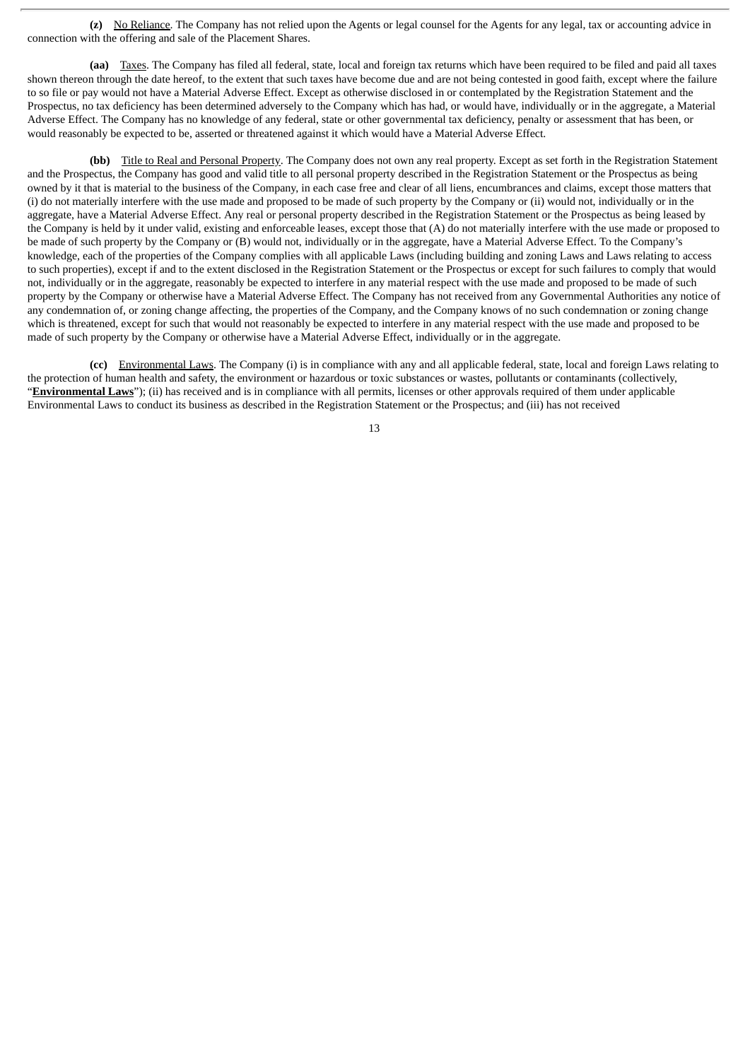**(z)** No Reliance. The Company has not relied upon the Agents or legal counsel for the Agents for any legal, tax or accounting advice in connection with the offering and sale of the Placement Shares.

**(aa)** Taxes. The Company has filed all federal, state, local and foreign tax returns which have been required to be filed and paid all taxes shown thereon through the date hereof, to the extent that such taxes have become due and are not being contested in good faith, except where the failure to so file or pay would not have a Material Adverse Effect. Except as otherwise disclosed in or contemplated by the Registration Statement and the Prospectus, no tax deficiency has been determined adversely to the Company which has had, or would have, individually or in the aggregate, a Material Adverse Effect. The Company has no knowledge of any federal, state or other governmental tax deficiency, penalty or assessment that has been, or would reasonably be expected to be, asserted or threatened against it which would have a Material Adverse Effect.

**(bb)** Title to Real and Personal Property. The Company does not own any real property. Except as set forth in the Registration Statement and the Prospectus, the Company has good and valid title to all personal property described in the Registration Statement or the Prospectus as being owned by it that is material to the business of the Company, in each case free and clear of all liens, encumbrances and claims, except those matters that (i) do not materially interfere with the use made and proposed to be made of such property by the Company or (ii) would not, individually or in the aggregate, have a Material Adverse Effect. Any real or personal property described in the Registration Statement or the Prospectus as being leased by the Company is held by it under valid, existing and enforceable leases, except those that (A) do not materially interfere with the use made or proposed to be made of such property by the Company or (B) would not, individually or in the aggregate, have a Material Adverse Effect. To the Company's knowledge, each of the properties of the Company complies with all applicable Laws (including building and zoning Laws and Laws relating to access to such properties), except if and to the extent disclosed in the Registration Statement or the Prospectus or except for such failures to comply that would not, individually or in the aggregate, reasonably be expected to interfere in any material respect with the use made and proposed to be made of such property by the Company or otherwise have a Material Adverse Effect. The Company has not received from any Governmental Authorities any notice of any condemnation of, or zoning change affecting, the properties of the Company, and the Company knows of no such condemnation or zoning change which is threatened, except for such that would not reasonably be expected to interfere in any material respect with the use made and proposed to be made of such property by the Company or otherwise have a Material Adverse Effect, individually or in the aggregate.

**(cc)** Environmental Laws. The Company (i) is in compliance with any and all applicable federal, state, local and foreign Laws relating to the protection of human health and safety, the environment or hazardous or toxic substances or wastes, pollutants or contaminants (collectively, "**Environmental Laws**"); (ii) has received and is in compliance with all permits, licenses or other approvals required of them under applicable Environmental Laws to conduct its business as described in the Registration Statement or the Prospectus; and (iii) has not received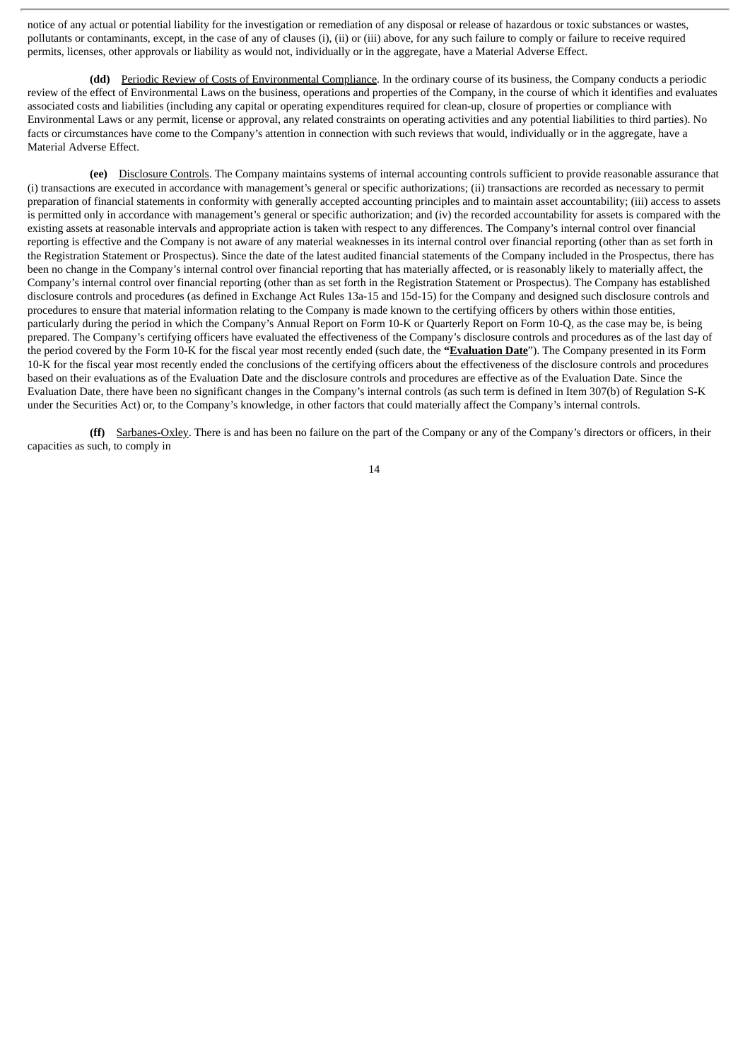notice of any actual or potential liability for the investigation or remediation of any disposal or release of hazardous or toxic substances or wastes, pollutants or contaminants, except, in the case of any of clauses (i), (ii) or (iii) above, for any such failure to comply or failure to receive required permits, licenses, other approvals or liability as would not, individually or in the aggregate, have a Material Adverse Effect.

**(dd)** Periodic Review of Costs of Environmental Compliance. In the ordinary course of its business, the Company conducts a periodic review of the effect of Environmental Laws on the business, operations and properties of the Company, in the course of which it identifies and evaluates associated costs and liabilities (including any capital or operating expenditures required for clean-up, closure of properties or compliance with Environmental Laws or any permit, license or approval, any related constraints on operating activities and any potential liabilities to third parties). No facts or circumstances have come to the Company's attention in connection with such reviews that would, individually or in the aggregate, have a Material Adverse Effect.

**(ee)** Disclosure Controls. The Company maintains systems of internal accounting controls sufficient to provide reasonable assurance that (i) transactions are executed in accordance with management's general or specific authorizations; (ii) transactions are recorded as necessary to permit preparation of financial statements in conformity with generally accepted accounting principles and to maintain asset accountability; (iii) access to assets is permitted only in accordance with management's general or specific authorization; and (iv) the recorded accountability for assets is compared with the existing assets at reasonable intervals and appropriate action is taken with respect to any differences. The Company's internal control over financial reporting is effective and the Company is not aware of any material weaknesses in its internal control over financial reporting (other than as set forth in the Registration Statement or Prospectus). Since the date of the latest audited financial statements of the Company included in the Prospectus, there has been no change in the Company's internal control over financial reporting that has materially affected, or is reasonably likely to materially affect, the Company's internal control over financial reporting (other than as set forth in the Registration Statement or Prospectus). The Company has established disclosure controls and procedures (as defined in Exchange Act Rules 13a-15 and 15d-15) for the Company and designed such disclosure controls and procedures to ensure that material information relating to the Company is made known to the certifying officers by others within those entities, particularly during the period in which the Company's Annual Report on Form 10-K or Quarterly Report on Form 10-Q, as the case may be, is being prepared. The Company's certifying officers have evaluated the effectiveness of the Company's disclosure controls and procedures as of the last day of the period covered by the Form 10-K for the fiscal year most recently ended (such date, the **"Evaluation Date**"). The Company presented in its Form 10-K for the fiscal year most recently ended the conclusions of the certifying officers about the effectiveness of the disclosure controls and procedures based on their evaluations as of the Evaluation Date and the disclosure controls and procedures are effective as of the Evaluation Date. Since the Evaluation Date, there have been no significant changes in the Company's internal controls (as such term is defined in Item 307(b) of Regulation S-K under the Securities Act) or, to the Company's knowledge, in other factors that could materially affect the Company's internal controls.

**(ff)** Sarbanes-Oxley. There is and has been no failure on the part of the Company or any of the Company's directors or officers, in their capacities as such, to comply in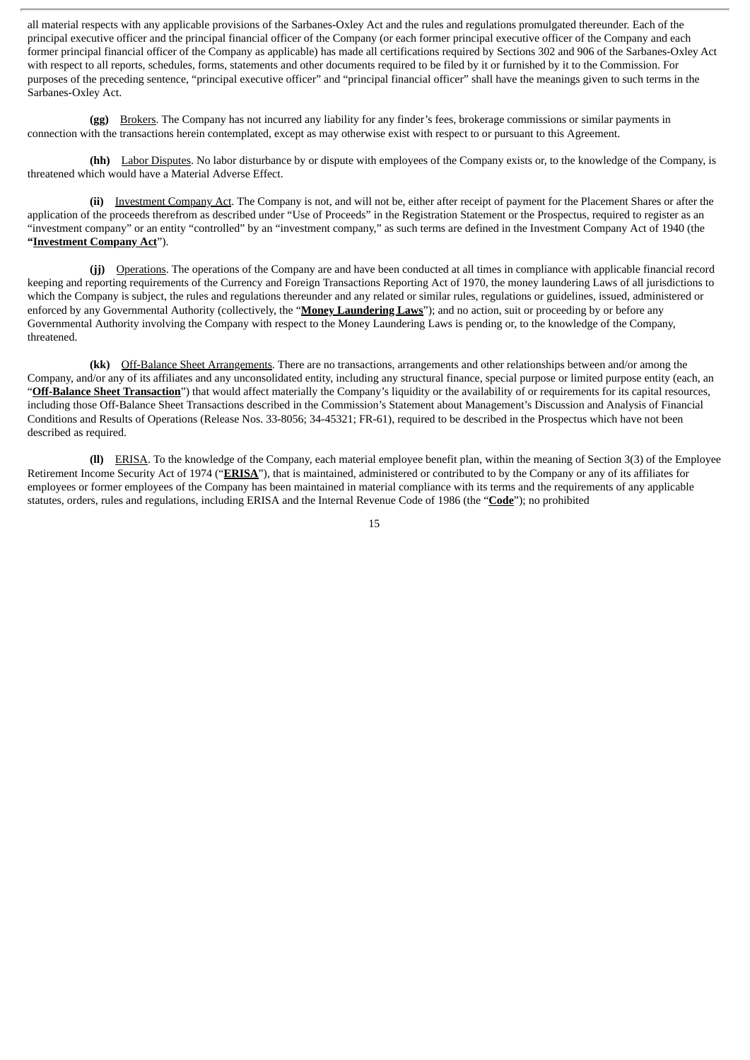all material respects with any applicable provisions of the Sarbanes-Oxley Act and the rules and regulations promulgated thereunder. Each of the principal executive officer and the principal financial officer of the Company (or each former principal executive officer of the Company and each former principal financial officer of the Company as applicable) has made all certifications required by Sections 302 and 906 of the Sarbanes-Oxley Act with respect to all reports, schedules, forms, statements and other documents required to be filed by it or furnished by it to the Commission. For purposes of the preceding sentence, "principal executive officer" and "principal financial officer" shall have the meanings given to such terms in the Sarbanes-Oxley Act.

**(gg)** Brokers. The Company has not incurred any liability for any finder's fees, brokerage commissions or similar payments in connection with the transactions herein contemplated, except as may otherwise exist with respect to or pursuant to this Agreement.

**(hh)** Labor Disputes. No labor disturbance by or dispute with employees of the Company exists or, to the knowledge of the Company, is threatened which would have a Material Adverse Effect.

**(ii)** Investment Company Act. The Company is not, and will not be, either after receipt of payment for the Placement Shares or after the application of the proceeds therefrom as described under "Use of Proceeds" in the Registration Statement or the Prospectus, required to register as an "investment company" or an entity "controlled" by an "investment company," as such terms are defined in the Investment Company Act of 1940 (the **"Investment Company Act**").

**(jj)** Operations. The operations of the Company are and have been conducted at all times in compliance with applicable financial record keeping and reporting requirements of the Currency and Foreign Transactions Reporting Act of 1970, the money laundering Laws of all jurisdictions to which the Company is subject, the rules and regulations thereunder and any related or similar rules, regulations or guidelines, issued, administered or enforced by any Governmental Authority (collectively, the "**Money Laundering Laws**"); and no action, suit or proceeding by or before any Governmental Authority involving the Company with respect to the Money Laundering Laws is pending or, to the knowledge of the Company, threatened.

**(kk)** Off-Balance Sheet Arrangements. There are no transactions, arrangements and other relationships between and/or among the Company, and/or any of its affiliates and any unconsolidated entity, including any structural finance, special purpose or limited purpose entity (each, an "**Off-Balance Sheet Transaction**") that would affect materially the Company's liquidity or the availability of or requirements for its capital resources, including those Off-Balance Sheet Transactions described in the Commission's Statement about Management's Discussion and Analysis of Financial Conditions and Results of Operations (Release Nos. 33-8056; 34-45321; FR-61), required to be described in the Prospectus which have not been described as required.

**(ll)** ERISA. To the knowledge of the Company, each material employee benefit plan, within the meaning of Section 3(3) of the Employee Retirement Income Security Act of 1974 ("**ERISA**"), that is maintained, administered or contributed to by the Company or any of its affiliates for employees or former employees of the Company has been maintained in material compliance with its terms and the requirements of any applicable statutes, orders, rules and regulations, including ERISA and the Internal Revenue Code of 1986 (the "**Code**"); no prohibited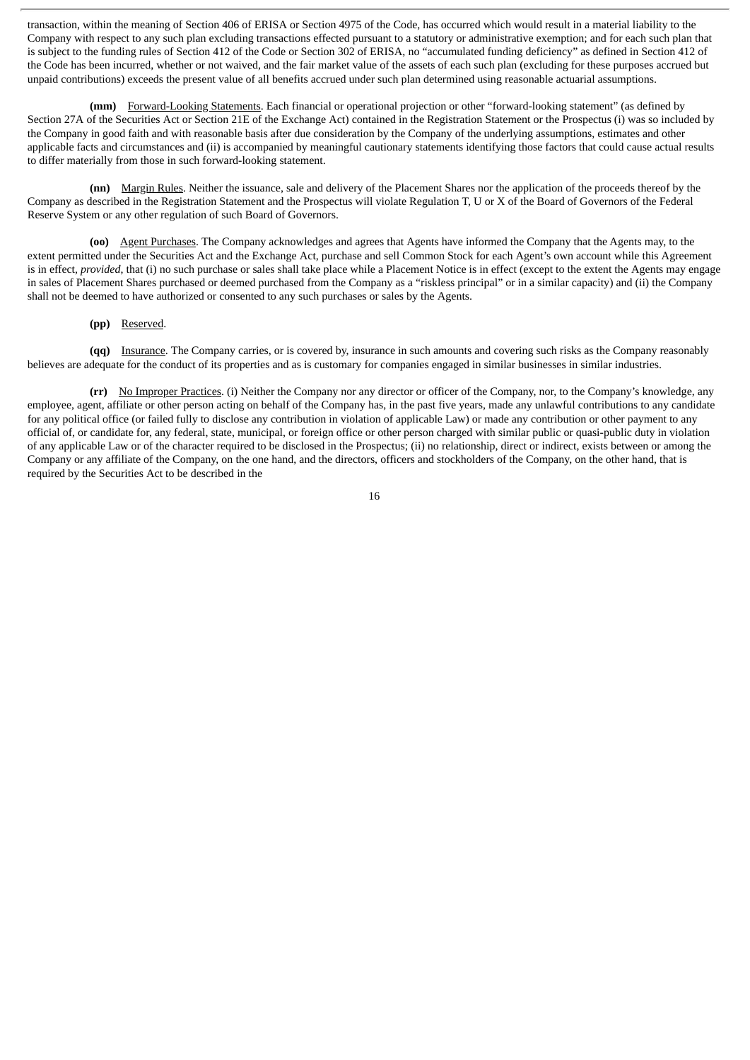transaction, within the meaning of Section 406 of ERISA or Section 4975 of the Code, has occurred which would result in a material liability to the Company with respect to any such plan excluding transactions effected pursuant to a statutory or administrative exemption; and for each such plan that is subject to the funding rules of Section 412 of the Code or Section 302 of ERISA, no "accumulated funding deficiency" as defined in Section 412 of the Code has been incurred, whether or not waived, and the fair market value of the assets of each such plan (excluding for these purposes accrued but unpaid contributions) exceeds the present value of all benefits accrued under such plan determined using reasonable actuarial assumptions.

**(mm)** Forward-Looking Statements. Each financial or operational projection or other "forward-looking statement" (as defined by Section 27A of the Securities Act or Section 21E of the Exchange Act) contained in the Registration Statement or the Prospectus (i) was so included by the Company in good faith and with reasonable basis after due consideration by the Company of the underlying assumptions, estimates and other applicable facts and circumstances and (ii) is accompanied by meaningful cautionary statements identifying those factors that could cause actual results to differ materially from those in such forward-looking statement.

**(nn)** Margin Rules. Neither the issuance, sale and delivery of the Placement Shares nor the application of the proceeds thereof by the Company as described in the Registration Statement and the Prospectus will violate Regulation T, U or X of the Board of Governors of the Federal Reserve System or any other regulation of such Board of Governors.

**(oo)** Agent Purchases. The Company acknowledges and agrees that Agents have informed the Company that the Agents may, to the extent permitted under the Securities Act and the Exchange Act, purchase and sell Common Stock for each Agent's own account while this Agreement is in effect, *provided*, that (i) no such purchase or sales shall take place while a Placement Notice is in effect (except to the extent the Agents may engage in sales of Placement Shares purchased or deemed purchased from the Company as a "riskless principal" or in a similar capacity) and (ii) the Company shall not be deemed to have authorized or consented to any such purchases or sales by the Agents.

#### **(pp)** Reserved.

**(qq)** Insurance. The Company carries, or is covered by, insurance in such amounts and covering such risks as the Company reasonably believes are adequate for the conduct of its properties and as is customary for companies engaged in similar businesses in similar industries.

**(rr)** No Improper Practices. (i) Neither the Company nor any director or officer of the Company, nor, to the Company's knowledge, any employee, agent, affiliate or other person acting on behalf of the Company has, in the past five years, made any unlawful contributions to any candidate for any political office (or failed fully to disclose any contribution in violation of applicable Law) or made any contribution or other payment to any official of, or candidate for, any federal, state, municipal, or foreign office or other person charged with similar public or quasi-public duty in violation of any applicable Law or of the character required to be disclosed in the Prospectus; (ii) no relationship, direct or indirect, exists between or among the Company or any affiliate of the Company, on the one hand, and the directors, officers and stockholders of the Company, on the other hand, that is required by the Securities Act to be described in the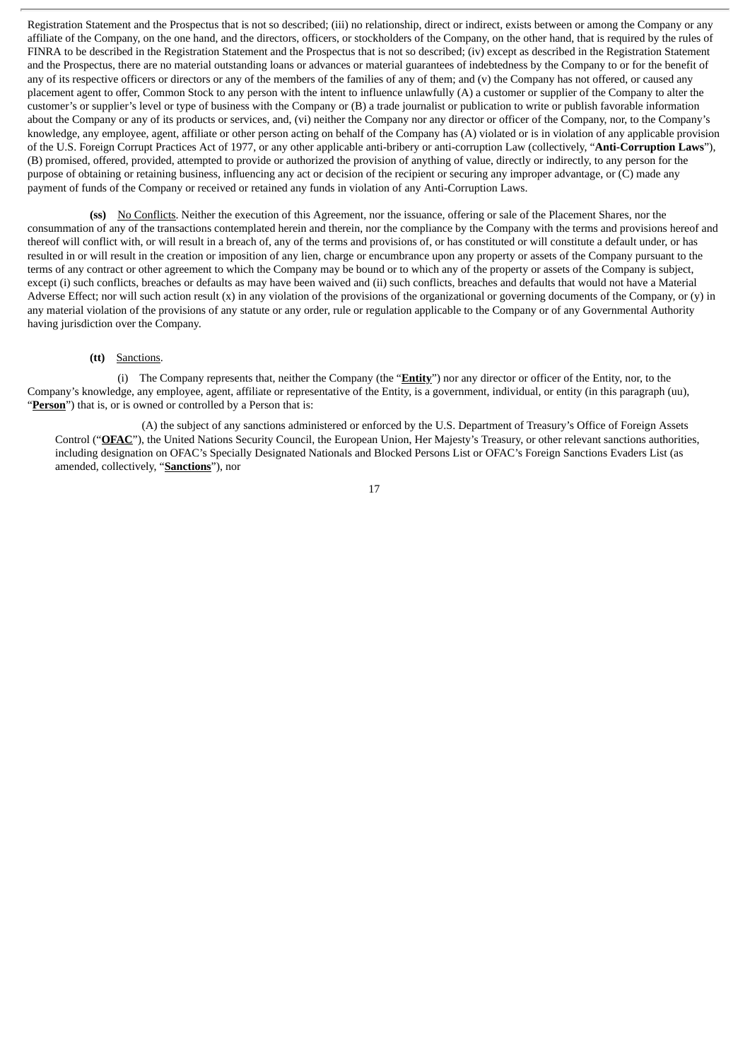Registration Statement and the Prospectus that is not so described; (iii) no relationship, direct or indirect, exists between or among the Company or any affiliate of the Company, on the one hand, and the directors, officers, or stockholders of the Company, on the other hand, that is required by the rules of FINRA to be described in the Registration Statement and the Prospectus that is not so described; (iv) except as described in the Registration Statement and the Prospectus, there are no material outstanding loans or advances or material guarantees of indebtedness by the Company to or for the benefit of any of its respective officers or directors or any of the members of the families of any of them; and (v) the Company has not offered, or caused any placement agent to offer, Common Stock to any person with the intent to influence unlawfully (A) a customer or supplier of the Company to alter the customer's or supplier's level or type of business with the Company or (B) a trade journalist or publication to write or publish favorable information about the Company or any of its products or services, and, (vi) neither the Company nor any director or officer of the Company, nor, to the Company's knowledge, any employee, agent, affiliate or other person acting on behalf of the Company has (A) violated or is in violation of any applicable provision of the U.S. Foreign Corrupt Practices Act of 1977, or any other applicable anti-bribery or anti-corruption Law (collectively, "**Anti-Corruption Laws**"), (B) promised, offered, provided, attempted to provide or authorized the provision of anything of value, directly or indirectly, to any person for the purpose of obtaining or retaining business, influencing any act or decision of the recipient or securing any improper advantage, or (C) made any payment of funds of the Company or received or retained any funds in violation of any Anti-Corruption Laws.

**(ss)** No Conflicts. Neither the execution of this Agreement, nor the issuance, offering or sale of the Placement Shares, nor the consummation of any of the transactions contemplated herein and therein, nor the compliance by the Company with the terms and provisions hereof and thereof will conflict with, or will result in a breach of, any of the terms and provisions of, or has constituted or will constitute a default under, or has resulted in or will result in the creation or imposition of any lien, charge or encumbrance upon any property or assets of the Company pursuant to the terms of any contract or other agreement to which the Company may be bound or to which any of the property or assets of the Company is subject, except (i) such conflicts, breaches or defaults as may have been waived and (ii) such conflicts, breaches and defaults that would not have a Material Adverse Effect; nor will such action result  $(x)$  in any violation of the provisions of the organizational or governing documents of the Company, or  $(y)$  in any material violation of the provisions of any statute or any order, rule or regulation applicable to the Company or of any Governmental Authority having jurisdiction over the Company.

# **(tt)** Sanctions.

(i) The Company represents that, neither the Company (the "**Entity**") nor any director or officer of the Entity, nor, to the Company's knowledge, any employee, agent, affiliate or representative of the Entity, is a government, individual, or entity (in this paragraph (uu), "**Person**") that is, or is owned or controlled by a Person that is:

(A) the subject of any sanctions administered or enforced by the U.S. Department of Treasury's Office of Foreign Assets Control ("**OFAC**"), the United Nations Security Council, the European Union, Her Majesty's Treasury, or other relevant sanctions authorities, including designation on OFAC's Specially Designated Nationals and Blocked Persons List or OFAC's Foreign Sanctions Evaders List (as amended, collectively, "**Sanctions**"), nor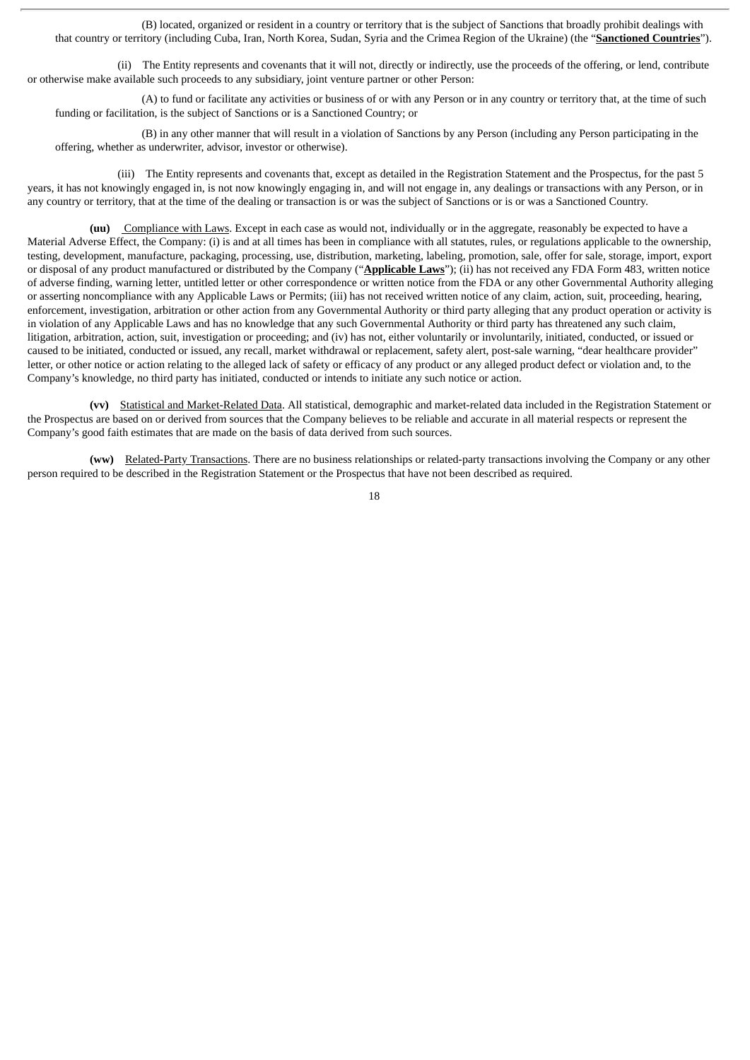(B) located, organized or resident in a country or territory that is the subject of Sanctions that broadly prohibit dealings with that country or territory (including Cuba, Iran, North Korea, Sudan, Syria and the Crimea Region of the Ukraine) (the "**Sanctioned Countries**").

(ii) The Entity represents and covenants that it will not, directly or indirectly, use the proceeds of the offering, or lend, contribute or otherwise make available such proceeds to any subsidiary, joint venture partner or other Person:

(A) to fund or facilitate any activities or business of or with any Person or in any country or territory that, at the time of such funding or facilitation, is the subject of Sanctions or is a Sanctioned Country; or

(B) in any other manner that will result in a violation of Sanctions by any Person (including any Person participating in the offering, whether as underwriter, advisor, investor or otherwise).

(iii) The Entity represents and covenants that, except as detailed in the Registration Statement and the Prospectus, for the past 5 years, it has not knowingly engaged in, is not now knowingly engaging in, and will not engage in, any dealings or transactions with any Person, or in any country or territory, that at the time of the dealing or transaction is or was the subject of Sanctions or is or was a Sanctioned Country.

**(uu)** Compliance with Laws. Except in each case as would not, individually or in the aggregate, reasonably be expected to have a Material Adverse Effect, the Company: (i) is and at all times has been in compliance with all statutes, rules, or regulations applicable to the ownership, testing, development, manufacture, packaging, processing, use, distribution, marketing, labeling, promotion, sale, offer for sale, storage, import, export or disposal of any product manufactured or distributed by the Company ("**Applicable Laws**"); (ii) has not received any FDA Form 483, written notice of adverse finding, warning letter, untitled letter or other correspondence or written notice from the FDA or any other Governmental Authority alleging or asserting noncompliance with any Applicable Laws or Permits; (iii) has not received written notice of any claim, action, suit, proceeding, hearing, enforcement, investigation, arbitration or other action from any Governmental Authority or third party alleging that any product operation or activity is in violation of any Applicable Laws and has no knowledge that any such Governmental Authority or third party has threatened any such claim, litigation, arbitration, action, suit, investigation or proceeding; and (iv) has not, either voluntarily or involuntarily, initiated, conducted, or issued or caused to be initiated, conducted or issued, any recall, market withdrawal or replacement, safety alert, post-sale warning, "dear healthcare provider" letter, or other notice or action relating to the alleged lack of safety or efficacy of any product or any alleged product defect or violation and, to the Company's knowledge, no third party has initiated, conducted or intends to initiate any such notice or action.

**(vv)** Statistical and Market-Related Data. All statistical, demographic and market-related data included in the Registration Statement or the Prospectus are based on or derived from sources that the Company believes to be reliable and accurate in all material respects or represent the Company's good faith estimates that are made on the basis of data derived from such sources.

**(ww)** Related-Party Transactions. There are no business relationships or related-party transactions involving the Company or any other person required to be described in the Registration Statement or the Prospectus that have not been described as required.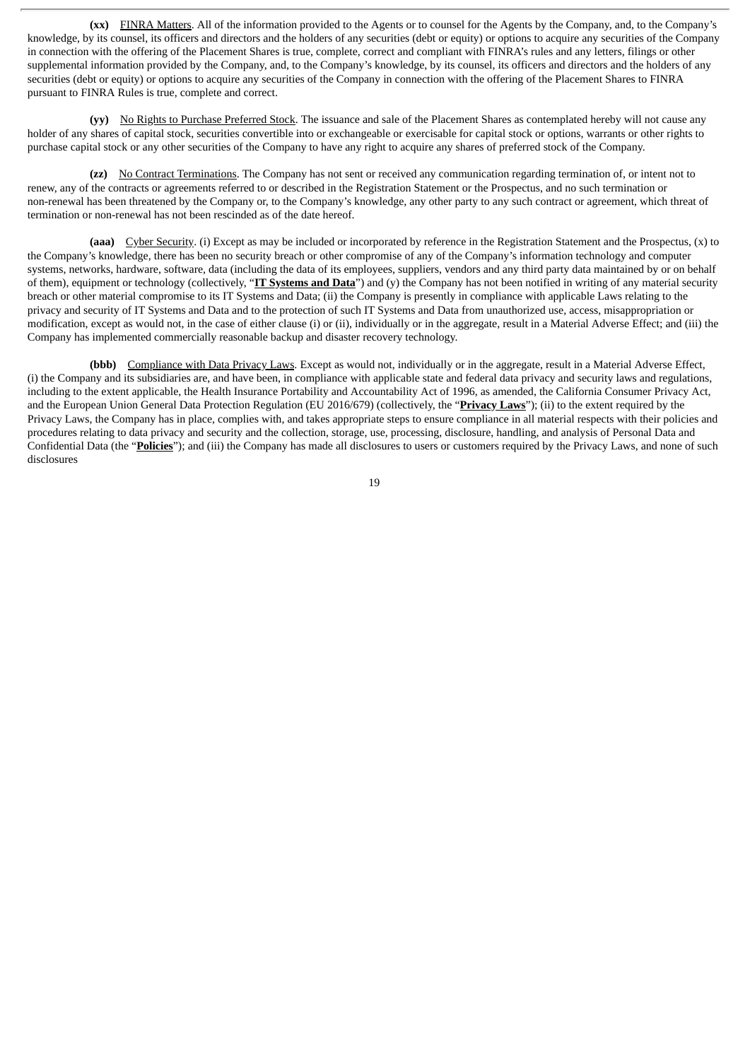**(xx)** FINRA Matters. All of the information provided to the Agents or to counsel for the Agents by the Company, and, to the Company's knowledge, by its counsel, its officers and directors and the holders of any securities (debt or equity) or options to acquire any securities of the Company in connection with the offering of the Placement Shares is true, complete, correct and compliant with FINRA's rules and any letters, filings or other supplemental information provided by the Company, and, to the Company's knowledge, by its counsel, its officers and directors and the holders of any securities (debt or equity) or options to acquire any securities of the Company in connection with the offering of the Placement Shares to FINRA pursuant to FINRA Rules is true, complete and correct.

**(yy)** No Rights to Purchase Preferred Stock. The issuance and sale of the Placement Shares as contemplated hereby will not cause any holder of any shares of capital stock, securities convertible into or exchangeable or exercisable for capital stock or options, warrants or other rights to purchase capital stock or any other securities of the Company to have any right to acquire any shares of preferred stock of the Company.

**(zz)** No Contract Terminations. The Company has not sent or received any communication regarding termination of, or intent not to renew, any of the contracts or agreements referred to or described in the Registration Statement or the Prospectus, and no such termination or non-renewal has been threatened by the Company or, to the Company's knowledge, any other party to any such contract or agreement, which threat of termination or non-renewal has not been rescinded as of the date hereof.

**(aaa)** Cyber Security. (i) Except as may be included or incorporated by reference in the Registration Statement and the Prospectus, (x) to the Company's knowledge, there has been no security breach or other compromise of any of the Company's information technology and computer systems, networks, hardware, software, data (including the data of its employees, suppliers, vendors and any third party data maintained by or on behalf of them), equipment or technology (collectively, "**IT Systems and Data**") and (y) the Company has not been notified in writing of any material security breach or other material compromise to its IT Systems and Data; (ii) the Company is presently in compliance with applicable Laws relating to the privacy and security of IT Systems and Data and to the protection of such IT Systems and Data from unauthorized use, access, misappropriation or modification, except as would not, in the case of either clause (i) or (ii), individually or in the aggregate, result in a Material Adverse Effect; and (iii) the Company has implemented commercially reasonable backup and disaster recovery technology.

**(bbb)** Compliance with Data Privacy Laws. Except as would not, individually or in the aggregate, result in a Material Adverse Effect, (i) the Company and its subsidiaries are, and have been, in compliance with applicable state and federal data privacy and security laws and regulations, including to the extent applicable, the Health Insurance Portability and Accountability Act of 1996, as amended, the California Consumer Privacy Act, and the European Union General Data Protection Regulation (EU 2016/679) (collectively, the "**Privacy Laws**"); (ii) to the extent required by the Privacy Laws, the Company has in place, complies with, and takes appropriate steps to ensure compliance in all material respects with their policies and procedures relating to data privacy and security and the collection, storage, use, processing, disclosure, handling, and analysis of Personal Data and Confidential Data (the "**Policies**"); and (iii) the Company has made all disclosures to users or customers required by the Privacy Laws, and none of such disclosures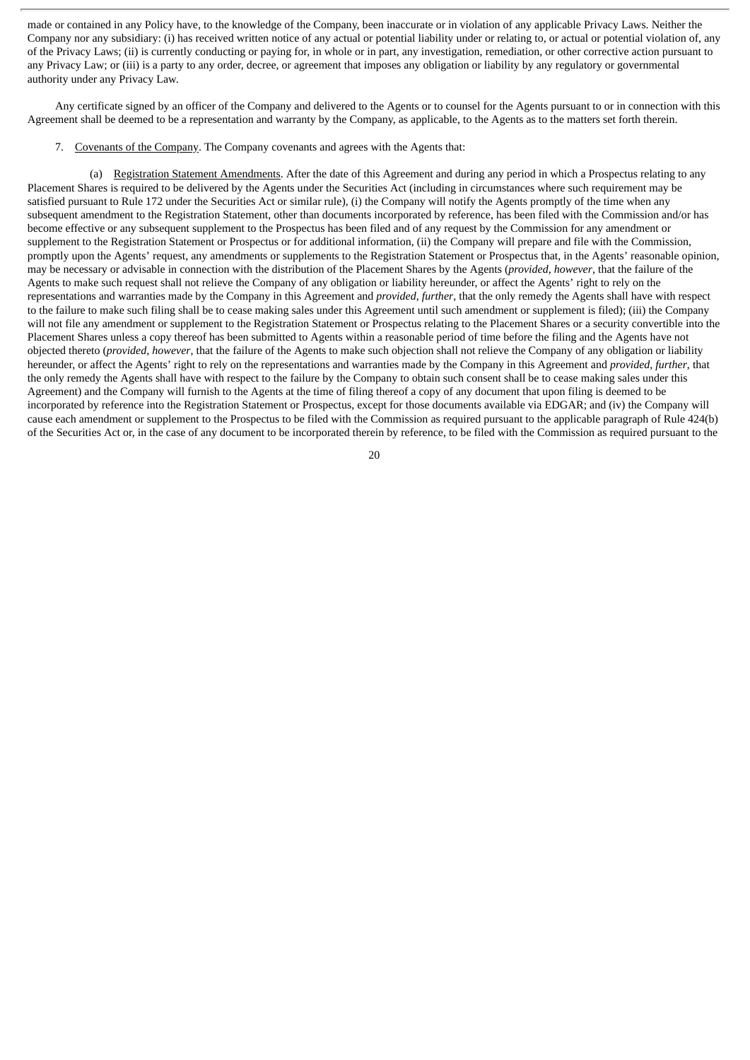made or contained in any Policy have, to the knowledge of the Company, been inaccurate or in violation of any applicable Privacy Laws. Neither the Company nor any subsidiary: (i) has received written notice of any actual or potential liability under or relating to, or actual or potential violation of, any of the Privacy Laws; (ii) is currently conducting or paying for, in whole or in part, any investigation, remediation, or other corrective action pursuant to any Privacy Law; or (iii) is a party to any order, decree, or agreement that imposes any obligation or liability by any regulatory or governmental authority under any Privacy Law.

Any certificate signed by an officer of the Company and delivered to the Agents or to counsel for the Agents pursuant to or in connection with this Agreement shall be deemed to be a representation and warranty by the Company, as applicable, to the Agents as to the matters set forth therein.

7. Covenants of the Company. The Company covenants and agrees with the Agents that:

(a) Registration Statement Amendments. After the date of this Agreement and during any period in which a Prospectus relating to any Placement Shares is required to be delivered by the Agents under the Securities Act (including in circumstances where such requirement may be satisfied pursuant to Rule 172 under the Securities Act or similar rule), (i) the Company will notify the Agents promptly of the time when any subsequent amendment to the Registration Statement, other than documents incorporated by reference, has been filed with the Commission and/or has become effective or any subsequent supplement to the Prospectus has been filed and of any request by the Commission for any amendment or supplement to the Registration Statement or Prospectus or for additional information, (ii) the Company will prepare and file with the Commission, promptly upon the Agents' request, any amendments or supplements to the Registration Statement or Prospectus that, in the Agents' reasonable opinion, may be necessary or advisable in connection with the distribution of the Placement Shares by the Agents (*provided*, *however*, that the failure of the Agents to make such request shall not relieve the Company of any obligation or liability hereunder, or affect the Agents' right to rely on the representations and warranties made by the Company in this Agreement and *provided*, *further*, that the only remedy the Agents shall have with respect to the failure to make such filing shall be to cease making sales under this Agreement until such amendment or supplement is filed); (iii) the Company will not file any amendment or supplement to the Registration Statement or Prospectus relating to the Placement Shares or a security convertible into the Placement Shares unless a copy thereof has been submitted to Agents within a reasonable period of time before the filing and the Agents have not objected thereto (*provided*, *however*, that the failure of the Agents to make such objection shall not relieve the Company of any obligation or liability hereunder, or affect the Agents' right to rely on the representations and warranties made by the Company in this Agreement and *provided*, *further*, that the only remedy the Agents shall have with respect to the failure by the Company to obtain such consent shall be to cease making sales under this Agreement) and the Company will furnish to the Agents at the time of filing thereof a copy of any document that upon filing is deemed to be incorporated by reference into the Registration Statement or Prospectus, except for those documents available via EDGAR; and (iv) the Company will cause each amendment or supplement to the Prospectus to be filed with the Commission as required pursuant to the applicable paragraph of Rule 424(b) of the Securities Act or, in the case of any document to be incorporated therein by reference, to be filed with the Commission as required pursuant to the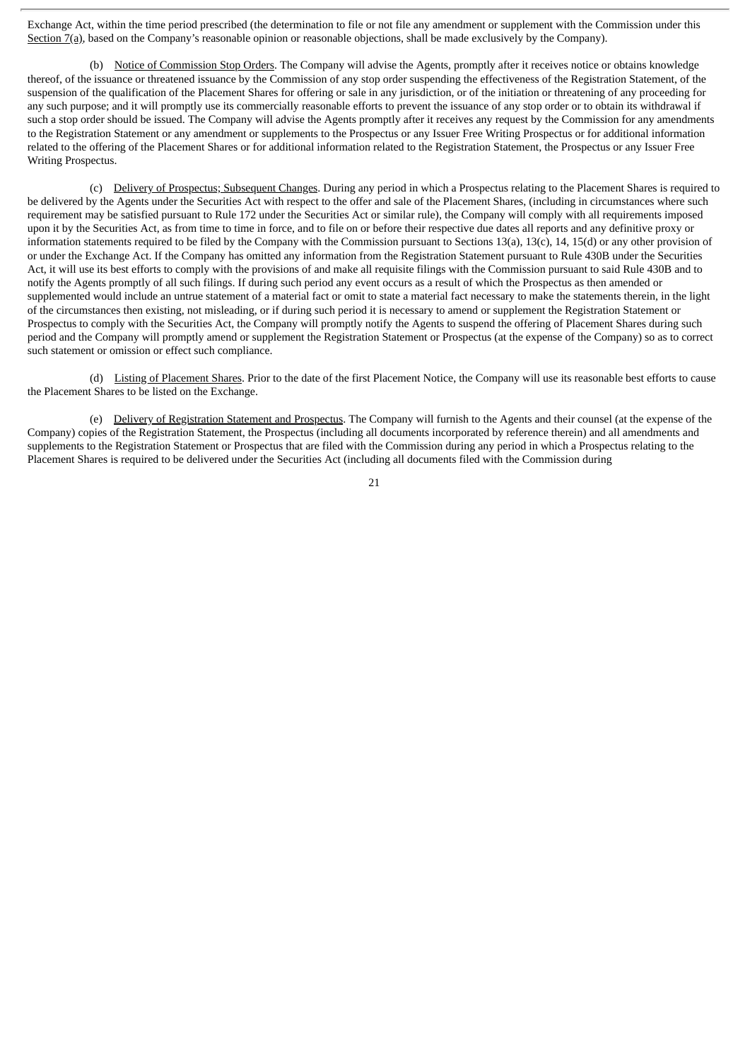Exchange Act, within the time period prescribed (the determination to file or not file any amendment or supplement with the Commission under this Section 7(a), based on the Company's reasonable opinion or reasonable objections, shall be made exclusively by the Company).

(b) Notice of Commission Stop Orders. The Company will advise the Agents, promptly after it receives notice or obtains knowledge thereof, of the issuance or threatened issuance by the Commission of any stop order suspending the effectiveness of the Registration Statement, of the suspension of the qualification of the Placement Shares for offering or sale in any jurisdiction, or of the initiation or threatening of any proceeding for any such purpose; and it will promptly use its commercially reasonable efforts to prevent the issuance of any stop order or to obtain its withdrawal if such a stop order should be issued. The Company will advise the Agents promptly after it receives any request by the Commission for any amendments to the Registration Statement or any amendment or supplements to the Prospectus or any Issuer Free Writing Prospectus or for additional information related to the offering of the Placement Shares or for additional information related to the Registration Statement, the Prospectus or any Issuer Free Writing Prospectus.

(c) Delivery of Prospectus; Subsequent Changes. During any period in which a Prospectus relating to the Placement Shares is required to be delivered by the Agents under the Securities Act with respect to the offer and sale of the Placement Shares, (including in circumstances where such requirement may be satisfied pursuant to Rule 172 under the Securities Act or similar rule), the Company will comply with all requirements imposed upon it by the Securities Act, as from time to time in force, and to file on or before their respective due dates all reports and any definitive proxy or information statements required to be filed by the Company with the Commission pursuant to Sections 13(a), 13(c), 14, 15(d) or any other provision of or under the Exchange Act. If the Company has omitted any information from the Registration Statement pursuant to Rule 430B under the Securities Act, it will use its best efforts to comply with the provisions of and make all requisite filings with the Commission pursuant to said Rule 430B and to notify the Agents promptly of all such filings. If during such period any event occurs as a result of which the Prospectus as then amended or supplemented would include an untrue statement of a material fact or omit to state a material fact necessary to make the statements therein, in the light of the circumstances then existing, not misleading, or if during such period it is necessary to amend or supplement the Registration Statement or Prospectus to comply with the Securities Act, the Company will promptly notify the Agents to suspend the offering of Placement Shares during such period and the Company will promptly amend or supplement the Registration Statement or Prospectus (at the expense of the Company) so as to correct such statement or omission or effect such compliance.

(d) Listing of Placement Shares. Prior to the date of the first Placement Notice, the Company will use its reasonable best efforts to cause the Placement Shares to be listed on the Exchange.

(e) Delivery of Registration Statement and Prospectus. The Company will furnish to the Agents and their counsel (at the expense of the Company) copies of the Registration Statement, the Prospectus (including all documents incorporated by reference therein) and all amendments and supplements to the Registration Statement or Prospectus that are filed with the Commission during any period in which a Prospectus relating to the Placement Shares is required to be delivered under the Securities Act (including all documents filed with the Commission during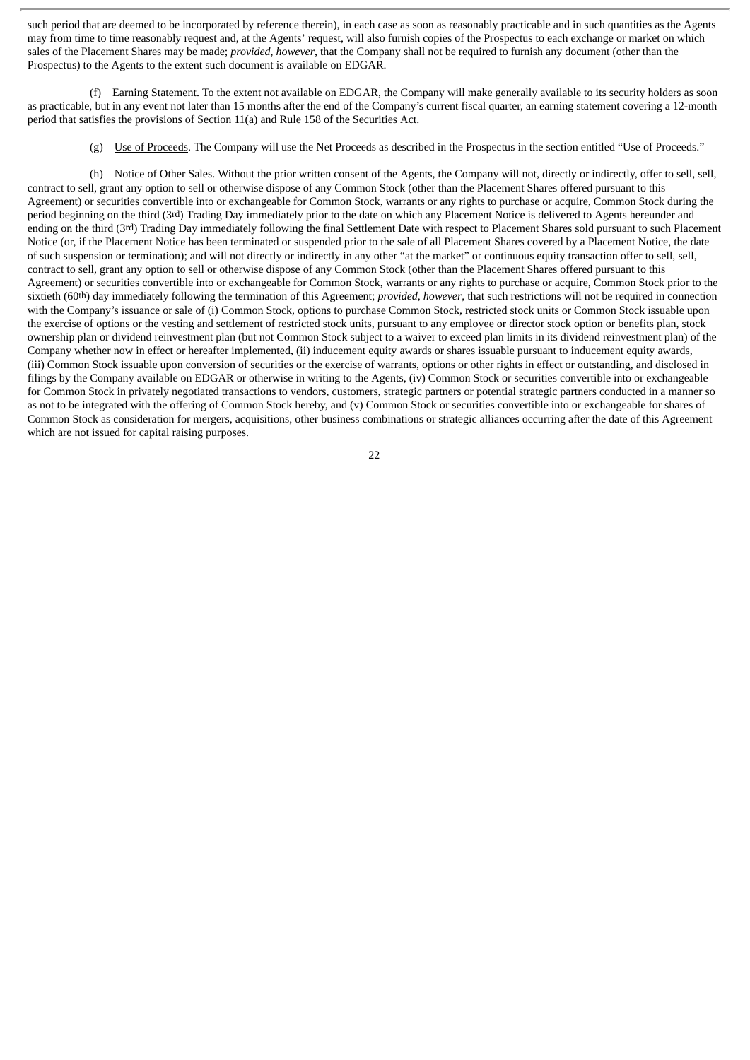such period that are deemed to be incorporated by reference therein), in each case as soon as reasonably practicable and in such quantities as the Agents may from time to time reasonably request and, at the Agents' request, will also furnish copies of the Prospectus to each exchange or market on which sales of the Placement Shares may be made; *provided*, *however*, that the Company shall not be required to furnish any document (other than the Prospectus) to the Agents to the extent such document is available on EDGAR.

(f) Earning Statement. To the extent not available on EDGAR, the Company will make generally available to its security holders as soon as practicable, but in any event not later than 15 months after the end of the Company's current fiscal quarter, an earning statement covering a 12-month period that satisfies the provisions of Section 11(a) and Rule 158 of the Securities Act.

(g) Use of Proceeds. The Company will use the Net Proceeds as described in the Prospectus in the section entitled "Use of Proceeds."

(h) Notice of Other Sales. Without the prior written consent of the Agents, the Company will not, directly or indirectly, offer to sell, sell, contract to sell, grant any option to sell or otherwise dispose of any Common Stock (other than the Placement Shares offered pursuant to this Agreement) or securities convertible into or exchangeable for Common Stock, warrants or any rights to purchase or acquire, Common Stock during the period beginning on the third (3rd) Trading Day immediately prior to the date on which any Placement Notice is delivered to Agents hereunder and ending on the third (3rd) Trading Day immediately following the final Settlement Date with respect to Placement Shares sold pursuant to such Placement Notice (or, if the Placement Notice has been terminated or suspended prior to the sale of all Placement Shares covered by a Placement Notice, the date of such suspension or termination); and will not directly or indirectly in any other "at the market" or continuous equity transaction offer to sell, sell, contract to sell, grant any option to sell or otherwise dispose of any Common Stock (other than the Placement Shares offered pursuant to this Agreement) or securities convertible into or exchangeable for Common Stock, warrants or any rights to purchase or acquire, Common Stock prior to the sixtieth (60th) day immediately following the termination of this Agreement; *provided*, *however*, that such restrictions will not be required in connection with the Company's issuance or sale of (i) Common Stock, options to purchase Common Stock, restricted stock units or Common Stock issuable upon the exercise of options or the vesting and settlement of restricted stock units, pursuant to any employee or director stock option or benefits plan, stock ownership plan or dividend reinvestment plan (but not Common Stock subject to a waiver to exceed plan limits in its dividend reinvestment plan) of the Company whether now in effect or hereafter implemented, (ii) inducement equity awards or shares issuable pursuant to inducement equity awards, (iii) Common Stock issuable upon conversion of securities or the exercise of warrants, options or other rights in effect or outstanding, and disclosed in filings by the Company available on EDGAR or otherwise in writing to the Agents, (iv) Common Stock or securities convertible into or exchangeable for Common Stock in privately negotiated transactions to vendors, customers, strategic partners or potential strategic partners conducted in a manner so as not to be integrated with the offering of Common Stock hereby, and (v) Common Stock or securities convertible into or exchangeable for shares of Common Stock as consideration for mergers, acquisitions, other business combinations or strategic alliances occurring after the date of this Agreement which are not issued for capital raising purposes.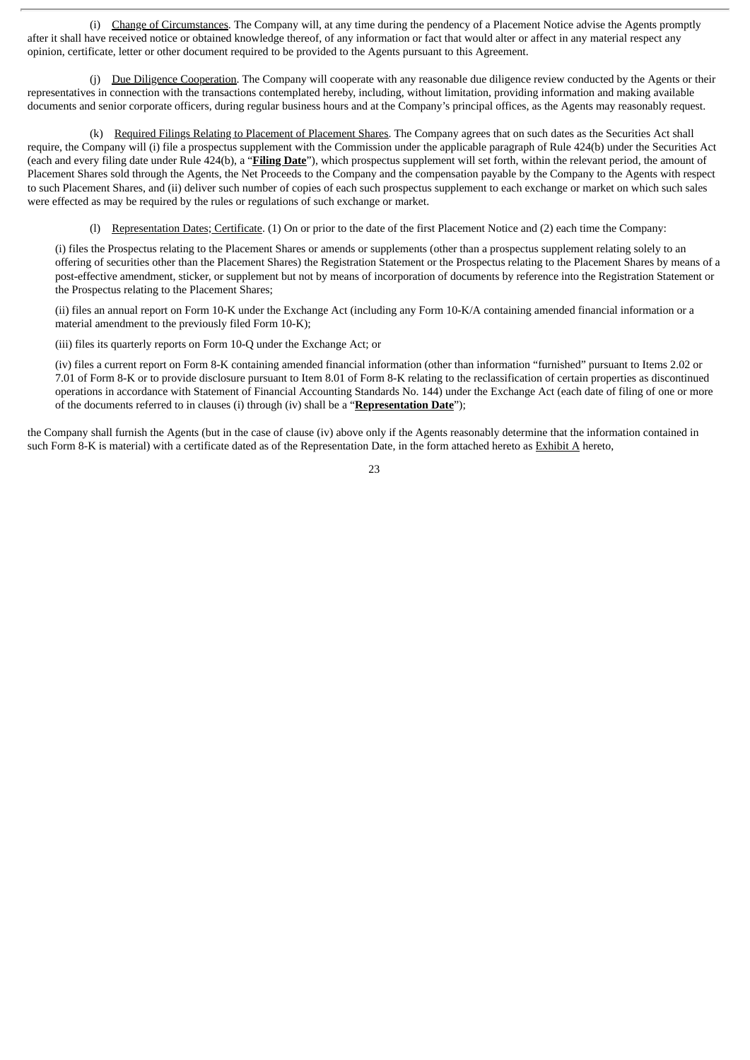(i) Change of Circumstances. The Company will, at any time during the pendency of a Placement Notice advise the Agents promptly after it shall have received notice or obtained knowledge thereof, of any information or fact that would alter or affect in any material respect any opinion, certificate, letter or other document required to be provided to the Agents pursuant to this Agreement.

(j) Due Diligence Cooperation. The Company will cooperate with any reasonable due diligence review conducted by the Agents or their representatives in connection with the transactions contemplated hereby, including, without limitation, providing information and making available documents and senior corporate officers, during regular business hours and at the Company's principal offices, as the Agents may reasonably request.

(k) Required Filings Relating to Placement of Placement Shares. The Company agrees that on such dates as the Securities Act shall require, the Company will (i) file a prospectus supplement with the Commission under the applicable paragraph of Rule 424(b) under the Securities Act (each and every filing date under Rule 424(b), a "**Filing Date**"), which prospectus supplement will set forth, within the relevant period, the amount of Placement Shares sold through the Agents, the Net Proceeds to the Company and the compensation payable by the Company to the Agents with respect to such Placement Shares, and (ii) deliver such number of copies of each such prospectus supplement to each exchange or market on which such sales were effected as may be required by the rules or regulations of such exchange or market.

(l) Representation Dates; Certificate. (1) On or prior to the date of the first Placement Notice and (2) each time the Company:

(i) files the Prospectus relating to the Placement Shares or amends or supplements (other than a prospectus supplement relating solely to an offering of securities other than the Placement Shares) the Registration Statement or the Prospectus relating to the Placement Shares by means of a post-effective amendment, sticker, or supplement but not by means of incorporation of documents by reference into the Registration Statement or the Prospectus relating to the Placement Shares;

(ii) files an annual report on Form 10-K under the Exchange Act (including any Form 10-K/A containing amended financial information or a material amendment to the previously filed Form 10-K);

(iii) files its quarterly reports on Form 10-Q under the Exchange Act; or

(iv) files a current report on Form 8-K containing amended financial information (other than information "furnished" pursuant to Items 2.02 or 7.01 of Form 8-K or to provide disclosure pursuant to Item 8.01 of Form 8-K relating to the reclassification of certain properties as discontinued operations in accordance with Statement of Financial Accounting Standards No. 144) under the Exchange Act (each date of filing of one or more of the documents referred to in clauses (i) through (iv) shall be a "**Representation Date**");

the Company shall furnish the Agents (but in the case of clause (iv) above only if the Agents reasonably determine that the information contained in such Form 8-K is material) with a certificate dated as of the Representation Date, in the form attached hereto as Exhibit A hereto,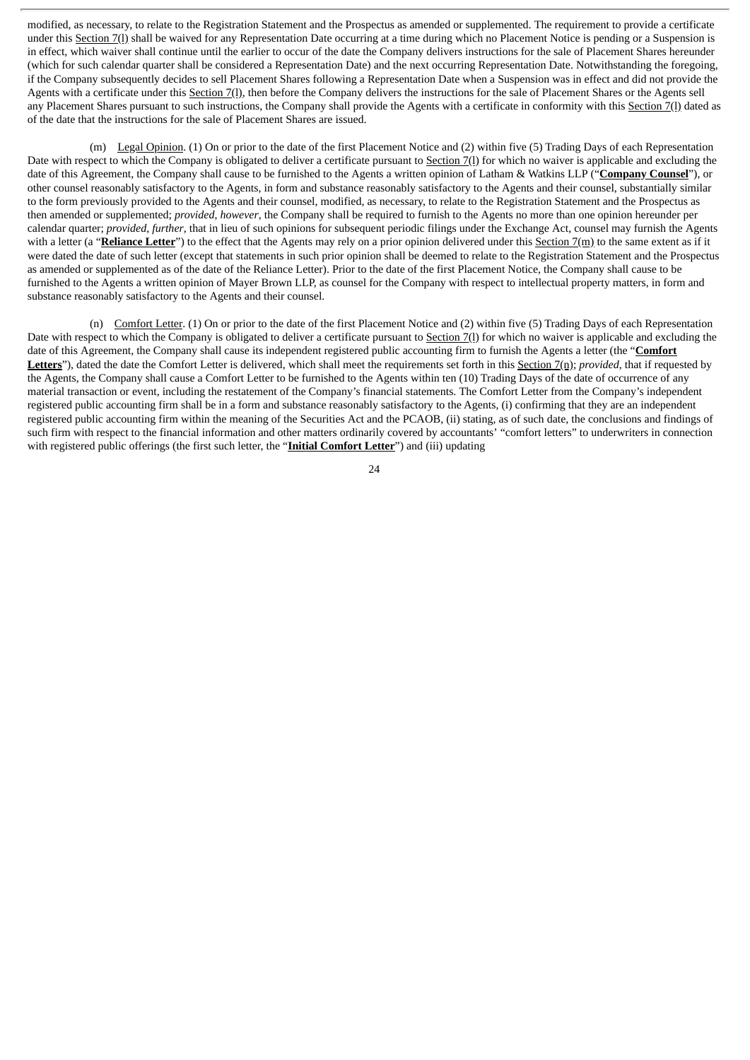modified, as necessary, to relate to the Registration Statement and the Prospectus as amended or supplemented. The requirement to provide a certificate under this Section 7(l) shall be waived for any Representation Date occurring at a time during which no Placement Notice is pending or a Suspension is in effect, which waiver shall continue until the earlier to occur of the date the Company delivers instructions for the sale of Placement Shares hereunder (which for such calendar quarter shall be considered a Representation Date) and the next occurring Representation Date. Notwithstanding the foregoing, if the Company subsequently decides to sell Placement Shares following a Representation Date when a Suspension was in effect and did not provide the Agents with a certificate under this Section 7(1), then before the Company delivers the instructions for the sale of Placement Shares or the Agents sell any Placement Shares pursuant to such instructions, the Company shall provide the Agents with a certificate in conformity with this Section 7(l) dated as of the date that the instructions for the sale of Placement Shares are issued.

(m) Legal Opinion. (1) On or prior to the date of the first Placement Notice and (2) within five (5) Trading Days of each Representation Date with respect to which the Company is obligated to deliver a certificate pursuant to Section 7(1) for which no waiver is applicable and excluding the date of this Agreement, the Company shall cause to be furnished to the Agents a written opinion of Latham & Watkins LLP ("**Company Counsel**"), or other counsel reasonably satisfactory to the Agents, in form and substance reasonably satisfactory to the Agents and their counsel, substantially similar to the form previously provided to the Agents and their counsel, modified, as necessary, to relate to the Registration Statement and the Prospectus as then amended or supplemented; *provided*, *however*, the Company shall be required to furnish to the Agents no more than one opinion hereunder per calendar quarter; *provided*, *further*, that in lieu of such opinions for subsequent periodic filings under the Exchange Act, counsel may furnish the Agents with a letter (a "**Reliance Letter**") to the effect that the Agents may rely on a prior opinion delivered under this Section 7(m) to the same extent as if it were dated the date of such letter (except that statements in such prior opinion shall be deemed to relate to the Registration Statement and the Prospectus as amended or supplemented as of the date of the Reliance Letter). Prior to the date of the first Placement Notice, the Company shall cause to be furnished to the Agents a written opinion of Mayer Brown LLP, as counsel for the Company with respect to intellectual property matters, in form and substance reasonably satisfactory to the Agents and their counsel.

(n) Comfort Letter. (1) On or prior to the date of the first Placement Notice and (2) within five (5) Trading Days of each Representation Date with respect to which the Company is obligated to deliver a certificate pursuant to Section 7(1) for which no waiver is applicable and excluding the date of this Agreement, the Company shall cause its independent registered public accounting firm to furnish the Agents a letter (the "**Comfort Letters**"), dated the date the Comfort Letter is delivered, which shall meet the requirements set forth in this Section 7(n); *provided*, that if requested by the Agents, the Company shall cause a Comfort Letter to be furnished to the Agents within ten (10) Trading Days of the date of occurrence of any material transaction or event, including the restatement of the Company's financial statements. The Comfort Letter from the Company's independent registered public accounting firm shall be in a form and substance reasonably satisfactory to the Agents, (i) confirming that they are an independent registered public accounting firm within the meaning of the Securities Act and the PCAOB, (ii) stating, as of such date, the conclusions and findings of such firm with respect to the financial information and other matters ordinarily covered by accountants' "comfort letters" to underwriters in connection with registered public offerings (the first such letter, the "**Initial Comfort Letter**") and (iii) updating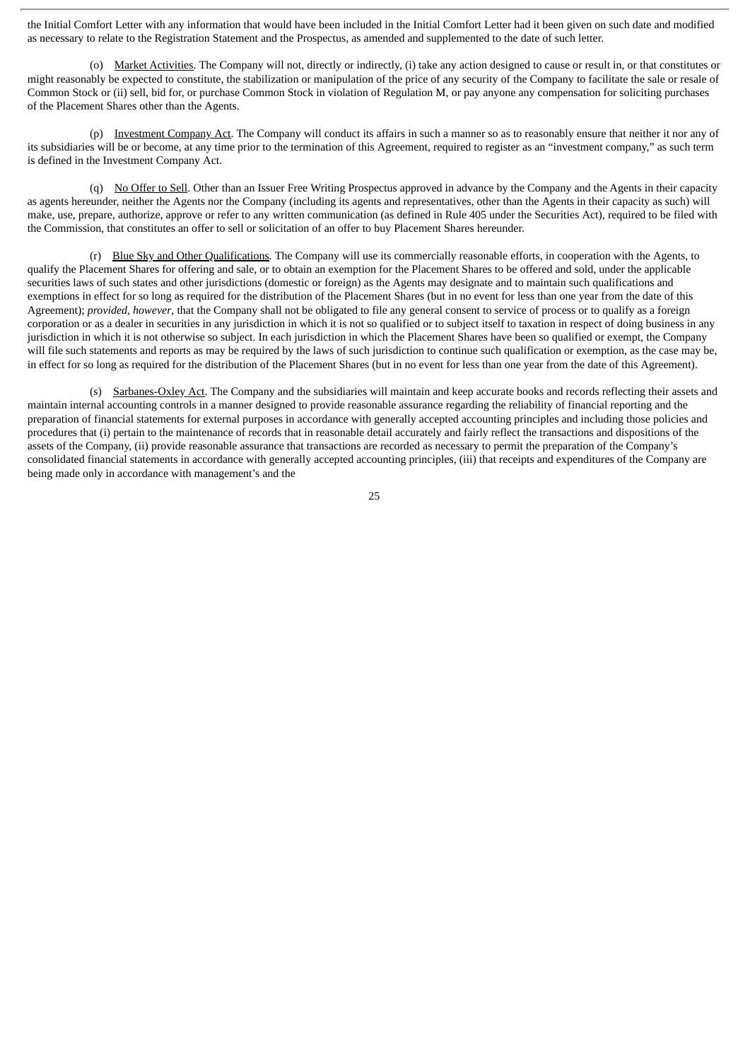the Initial Comfort Letter with any information that would have been included in the Initial Comfort Letter had it been given on such date and modified as necessary to relate to the Registration Statement and the Prospectus, as amended and supplemented to the date of such letter.

(o) Market Activities. The Company will not, directly or indirectly, (i) take any action designed to cause or result in, or that constitutes or might reasonably be expected to constitute, the stabilization or manipulation of the price of any security of the Company to facilitate the sale or resale of Common Stock or (ii) sell, bid for, or purchase Common Stock in violation of Regulation M, or pay anyone any compensation for soliciting purchases of the Placement Shares other than the Agents.

(p) Investment Company Act. The Company will conduct its affairs in such a manner so as to reasonably ensure that neither it nor any of its subsidiaries will be or become, at any time prior to the termination of this Agreement, required to register as an "investment company," as such term is defined in the Investment Company Act.

(q) No Offer to Sell. Other than an Issuer Free Writing Prospectus approved in advance by the Company and the Agents in their capacity as agents hereunder, neither the Agents nor the Company (including its agents and representatives, other than the Agents in their capacity as such) will make, use, prepare, authorize, approve or refer to any written communication (as defined in Rule 405 under the Securities Act), required to be filed with the Commission, that constitutes an offer to sell or solicitation of an offer to buy Placement Shares hereunder.

(r) Blue Sky and Other Qualifications*.* The Company will use its commercially reasonable efforts, in cooperation with the Agents, to qualify the Placement Shares for offering and sale, or to obtain an exemption for the Placement Shares to be offered and sold, under the applicable securities laws of such states and other jurisdictions (domestic or foreign) as the Agents may designate and to maintain such qualifications and exemptions in effect for so long as required for the distribution of the Placement Shares (but in no event for less than one year from the date of this Agreement); *provided*, *however*, that the Company shall not be obligated to file any general consent to service of process or to qualify as a foreign corporation or as a dealer in securities in any jurisdiction in which it is not so qualified or to subject itself to taxation in respect of doing business in any jurisdiction in which it is not otherwise so subject. In each jurisdiction in which the Placement Shares have been so qualified or exempt, the Company will file such statements and reports as may be required by the laws of such jurisdiction to continue such qualification or exemption, as the case may be, in effect for so long as required for the distribution of the Placement Shares (but in no event for less than one year from the date of this Agreement).

(s) Sarbanes-Oxley Act. The Company and the subsidiaries will maintain and keep accurate books and records reflecting their assets and maintain internal accounting controls in a manner designed to provide reasonable assurance regarding the reliability of financial reporting and the preparation of financial statements for external purposes in accordance with generally accepted accounting principles and including those policies and procedures that (i) pertain to the maintenance of records that in reasonable detail accurately and fairly reflect the transactions and dispositions of the assets of the Company, (ii) provide reasonable assurance that transactions are recorded as necessary to permit the preparation of the Company's consolidated financial statements in accordance with generally accepted accounting principles, (iii) that receipts and expenditures of the Company are being made only in accordance with management's and the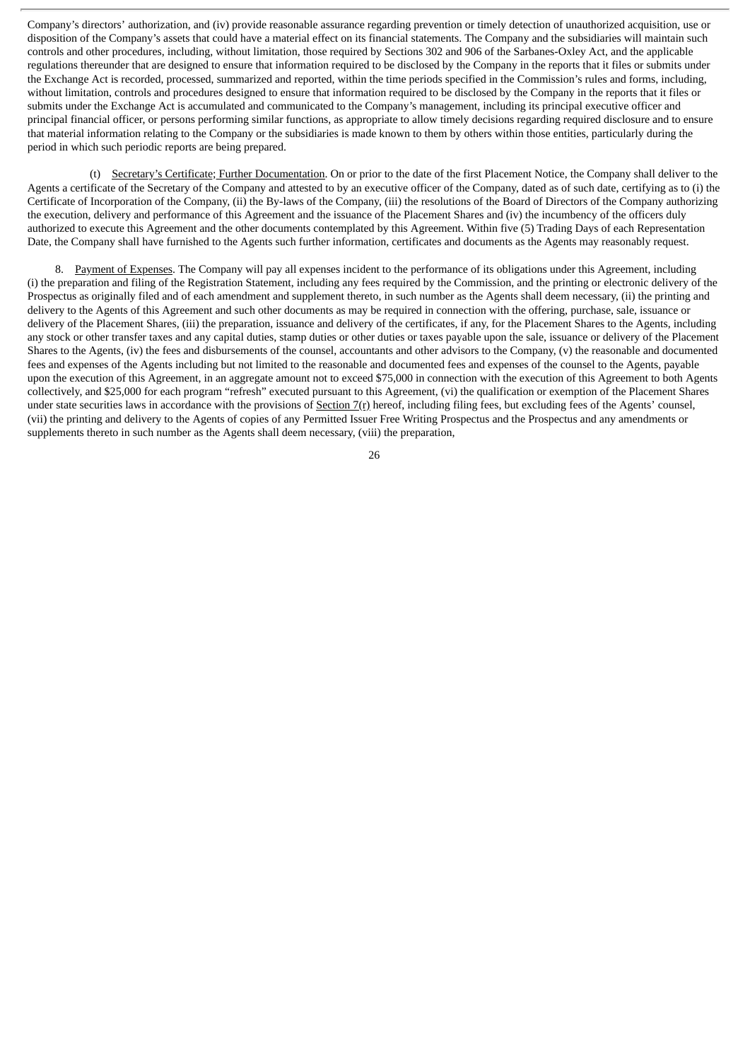Company's directors' authorization, and (iv) provide reasonable assurance regarding prevention or timely detection of unauthorized acquisition, use or disposition of the Company's assets that could have a material effect on its financial statements. The Company and the subsidiaries will maintain such controls and other procedures, including, without limitation, those required by Sections 302 and 906 of the Sarbanes-Oxley Act, and the applicable regulations thereunder that are designed to ensure that information required to be disclosed by the Company in the reports that it files or submits under the Exchange Act is recorded, processed, summarized and reported, within the time periods specified in the Commission's rules and forms, including, without limitation, controls and procedures designed to ensure that information required to be disclosed by the Company in the reports that it files or submits under the Exchange Act is accumulated and communicated to the Company's management, including its principal executive officer and principal financial officer, or persons performing similar functions, as appropriate to allow timely decisions regarding required disclosure and to ensure that material information relating to the Company or the subsidiaries is made known to them by others within those entities, particularly during the period in which such periodic reports are being prepared.

(t) Secretary's Certificate; Further Documentation. On or prior to the date of the first Placement Notice, the Company shall deliver to the Agents a certificate of the Secretary of the Company and attested to by an executive officer of the Company, dated as of such date, certifying as to (i) the Certificate of Incorporation of the Company, (ii) the By-laws of the Company, (iii) the resolutions of the Board of Directors of the Company authorizing the execution, delivery and performance of this Agreement and the issuance of the Placement Shares and (iv) the incumbency of the officers duly authorized to execute this Agreement and the other documents contemplated by this Agreement. Within five (5) Trading Days of each Representation Date, the Company shall have furnished to the Agents such further information, certificates and documents as the Agents may reasonably request.

8. Payment of Expenses. The Company will pay all expenses incident to the performance of its obligations under this Agreement, including (i) the preparation and filing of the Registration Statement, including any fees required by the Commission, and the printing or electronic delivery of the Prospectus as originally filed and of each amendment and supplement thereto, in such number as the Agents shall deem necessary, (ii) the printing and delivery to the Agents of this Agreement and such other documents as may be required in connection with the offering, purchase, sale, issuance or delivery of the Placement Shares, (iii) the preparation, issuance and delivery of the certificates, if any, for the Placement Shares to the Agents, including any stock or other transfer taxes and any capital duties, stamp duties or other duties or taxes payable upon the sale, issuance or delivery of the Placement Shares to the Agents, (iv) the fees and disbursements of the counsel, accountants and other advisors to the Company, (v) the reasonable and documented fees and expenses of the Agents including but not limited to the reasonable and documented fees and expenses of the counsel to the Agents, payable upon the execution of this Agreement, in an aggregate amount not to exceed \$75,000 in connection with the execution of this Agreement to both Agents collectively, and \$25,000 for each program "refresh" executed pursuant to this Agreement, (vi) the qualification or exemption of the Placement Shares under state securities laws in accordance with the provisions of Section 7(r) hereof, including filing fees, but excluding fees of the Agents' counsel, (vii) the printing and delivery to the Agents of copies of any Permitted Issuer Free Writing Prospectus and the Prospectus and any amendments or supplements thereto in such number as the Agents shall deem necessary, (viii) the preparation,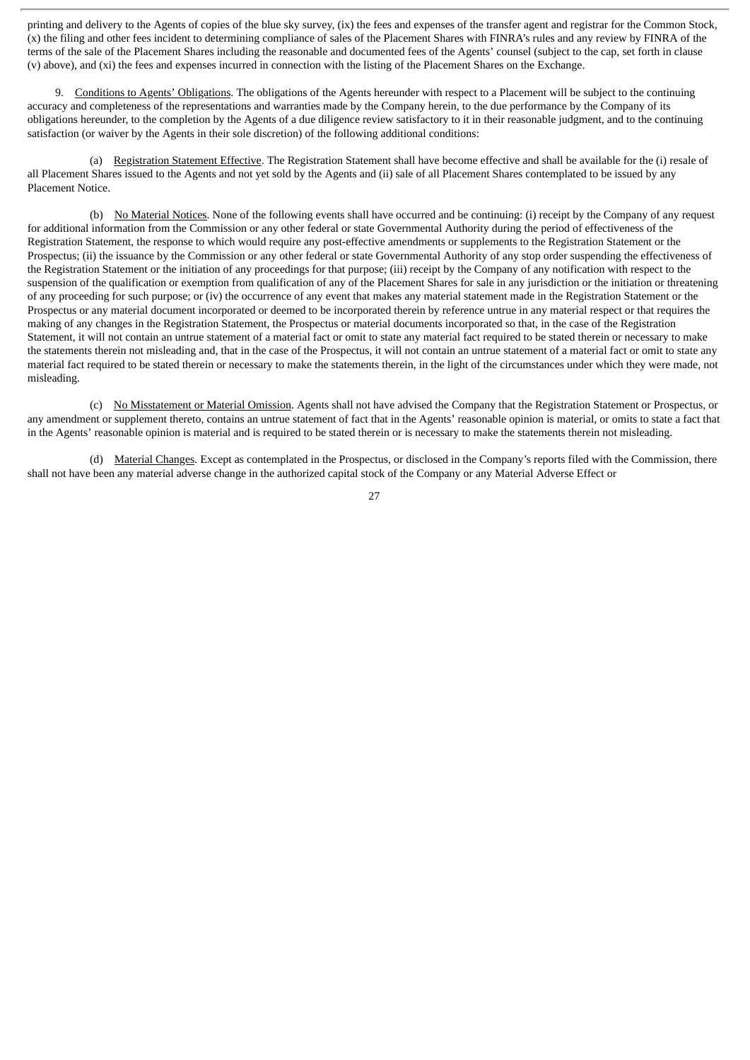printing and delivery to the Agents of copies of the blue sky survey, (ix) the fees and expenses of the transfer agent and registrar for the Common Stock, (x) the filing and other fees incident to determining compliance of sales of the Placement Shares with FINRA's rules and any review by FINRA of the terms of the sale of the Placement Shares including the reasonable and documented fees of the Agents' counsel (subject to the cap, set forth in clause (v) above), and (xi) the fees and expenses incurred in connection with the listing of the Placement Shares on the Exchange.

9. Conditions to Agents' Obligations. The obligations of the Agents hereunder with respect to a Placement will be subject to the continuing accuracy and completeness of the representations and warranties made by the Company herein, to the due performance by the Company of its obligations hereunder, to the completion by the Agents of a due diligence review satisfactory to it in their reasonable judgment, and to the continuing satisfaction (or waiver by the Agents in their sole discretion) of the following additional conditions:

(a) Registration Statement Effective. The Registration Statement shall have become effective and shall be available for the (i) resale of all Placement Shares issued to the Agents and not yet sold by the Agents and (ii) sale of all Placement Shares contemplated to be issued by any Placement Notice.

(b) No Material Notices. None of the following events shall have occurred and be continuing: (i) receipt by the Company of any request for additional information from the Commission or any other federal or state Governmental Authority during the period of effectiveness of the Registration Statement, the response to which would require any post-effective amendments or supplements to the Registration Statement or the Prospectus; (ii) the issuance by the Commission or any other federal or state Governmental Authority of any stop order suspending the effectiveness of the Registration Statement or the initiation of any proceedings for that purpose; (iii) receipt by the Company of any notification with respect to the suspension of the qualification or exemption from qualification of any of the Placement Shares for sale in any jurisdiction or the initiation or threatening of any proceeding for such purpose; or (iv) the occurrence of any event that makes any material statement made in the Registration Statement or the Prospectus or any material document incorporated or deemed to be incorporated therein by reference untrue in any material respect or that requires the making of any changes in the Registration Statement, the Prospectus or material documents incorporated so that, in the case of the Registration Statement, it will not contain an untrue statement of a material fact or omit to state any material fact required to be stated therein or necessary to make the statements therein not misleading and, that in the case of the Prospectus, it will not contain an untrue statement of a material fact or omit to state any material fact required to be stated therein or necessary to make the statements therein, in the light of the circumstances under which they were made, not misleading.

(c) No Misstatement or Material Omission. Agents shall not have advised the Company that the Registration Statement or Prospectus, or any amendment or supplement thereto, contains an untrue statement of fact that in the Agents' reasonable opinion is material, or omits to state a fact that in the Agents' reasonable opinion is material and is required to be stated therein or is necessary to make the statements therein not misleading.

(d) Material Changes. Except as contemplated in the Prospectus, or disclosed in the Company's reports filed with the Commission, there shall not have been any material adverse change in the authorized capital stock of the Company or any Material Adverse Effect or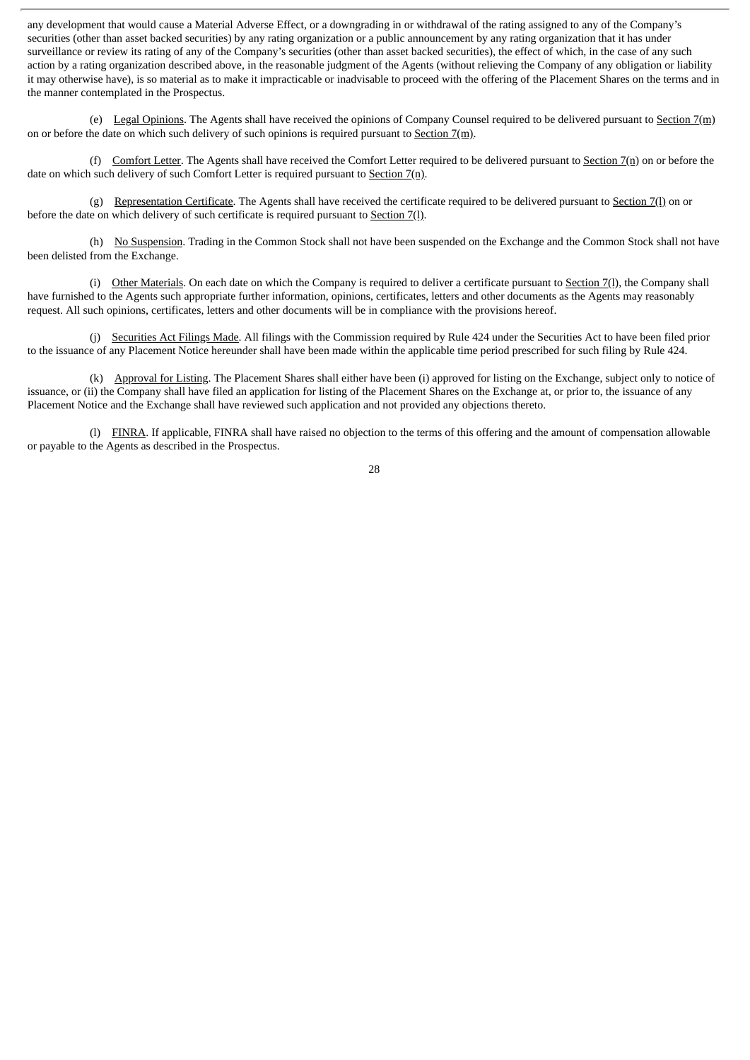any development that would cause a Material Adverse Effect, or a downgrading in or withdrawal of the rating assigned to any of the Company's securities (other than asset backed securities) by any rating organization or a public announcement by any rating organization that it has under surveillance or review its rating of any of the Company's securities (other than asset backed securities), the effect of which, in the case of any such action by a rating organization described above, in the reasonable judgment of the Agents (without relieving the Company of any obligation or liability it may otherwise have), is so material as to make it impracticable or inadvisable to proceed with the offering of the Placement Shares on the terms and in the manner contemplated in the Prospectus.

(e) Legal Opinions. The Agents shall have received the opinions of Company Counsel required to be delivered pursuant to Section  $7(m)$ on or before the date on which such delivery of such opinions is required pursuant to Section 7(m).

(f) Comfort Letter. The Agents shall have received the Comfort Letter required to be delivered pursuant to Section 7(n) on or before the date on which such delivery of such Comfort Letter is required pursuant to Section 7(n).

(g) Representation Certificate. The Agents shall have received the certificate required to be delivered pursuant to Section 7(l) on or before the date on which delivery of such certificate is required pursuant to Section 7(l).

(h) No Suspension. Trading in the Common Stock shall not have been suspended on the Exchange and the Common Stock shall not have been delisted from the Exchange.

(i) Other Materials. On each date on which the Company is required to deliver a certificate pursuant to Section 7(l), the Company shall have furnished to the Agents such appropriate further information, opinions, certificates, letters and other documents as the Agents may reasonably request. All such opinions, certificates, letters and other documents will be in compliance with the provisions hereof.

(j) Securities Act Filings Made. All filings with the Commission required by Rule 424 under the Securities Act to have been filed prior to the issuance of any Placement Notice hereunder shall have been made within the applicable time period prescribed for such filing by Rule 424.

(k) Approval for Listing. The Placement Shares shall either have been (i) approved for listing on the Exchange, subject only to notice of issuance, or (ii) the Company shall have filed an application for listing of the Placement Shares on the Exchange at, or prior to, the issuance of any Placement Notice and the Exchange shall have reviewed such application and not provided any objections thereto.

(l) FINRA. If applicable, FINRA shall have raised no objection to the terms of this offering and the amount of compensation allowable or payable to the Agents as described in the Prospectus.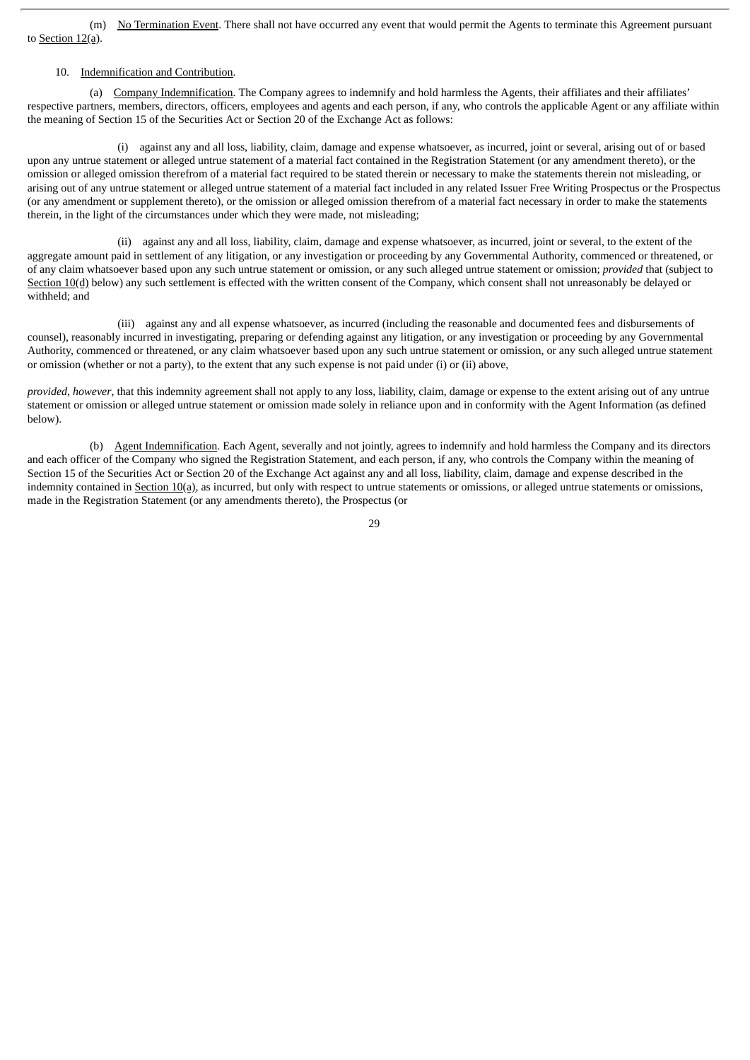(m) No Termination Event. There shall not have occurred any event that would permit the Agents to terminate this Agreement pursuant to Section 12(a).

## 10. Indemnification and Contribution.

(a) Company Indemnification. The Company agrees to indemnify and hold harmless the Agents, their affiliates and their affiliates' respective partners, members, directors, officers, employees and agents and each person, if any, who controls the applicable Agent or any affiliate within the meaning of Section 15 of the Securities Act or Section 20 of the Exchange Act as follows:

(i) against any and all loss, liability, claim, damage and expense whatsoever, as incurred, joint or several, arising out of or based upon any untrue statement or alleged untrue statement of a material fact contained in the Registration Statement (or any amendment thereto), or the omission or alleged omission therefrom of a material fact required to be stated therein or necessary to make the statements therein not misleading, or arising out of any untrue statement or alleged untrue statement of a material fact included in any related Issuer Free Writing Prospectus or the Prospectus (or any amendment or supplement thereto), or the omission or alleged omission therefrom of a material fact necessary in order to make the statements therein, in the light of the circumstances under which they were made, not misleading;

(ii) against any and all loss, liability, claim, damage and expense whatsoever, as incurred, joint or several, to the extent of the aggregate amount paid in settlement of any litigation, or any investigation or proceeding by any Governmental Authority, commenced or threatened, or of any claim whatsoever based upon any such untrue statement or omission, or any such alleged untrue statement or omission; *provided* that (subject to Section 10(d) below) any such settlement is effected with the written consent of the Company, which consent shall not unreasonably be delayed or withheld; and

(iii) against any and all expense whatsoever, as incurred (including the reasonable and documented fees and disbursements of counsel), reasonably incurred in investigating, preparing or defending against any litigation, or any investigation or proceeding by any Governmental Authority, commenced or threatened, or any claim whatsoever based upon any such untrue statement or omission, or any such alleged untrue statement or omission (whether or not a party), to the extent that any such expense is not paid under (i) or (ii) above,

*provided*, *however*, that this indemnity agreement shall not apply to any loss, liability, claim, damage or expense to the extent arising out of any untrue statement or omission or alleged untrue statement or omission made solely in reliance upon and in conformity with the Agent Information (as defined below).

(b) Agent Indemnification. Each Agent, severally and not jointly, agrees to indemnify and hold harmless the Company and its directors and each officer of the Company who signed the Registration Statement, and each person, if any, who controls the Company within the meaning of Section 15 of the Securities Act or Section 20 of the Exchange Act against any and all loss, liability, claim, damage and expense described in the indemnity contained in Section 10(a), as incurred, but only with respect to untrue statements or omissions, or alleged untrue statements or omissions, made in the Registration Statement (or any amendments thereto), the Prospectus (or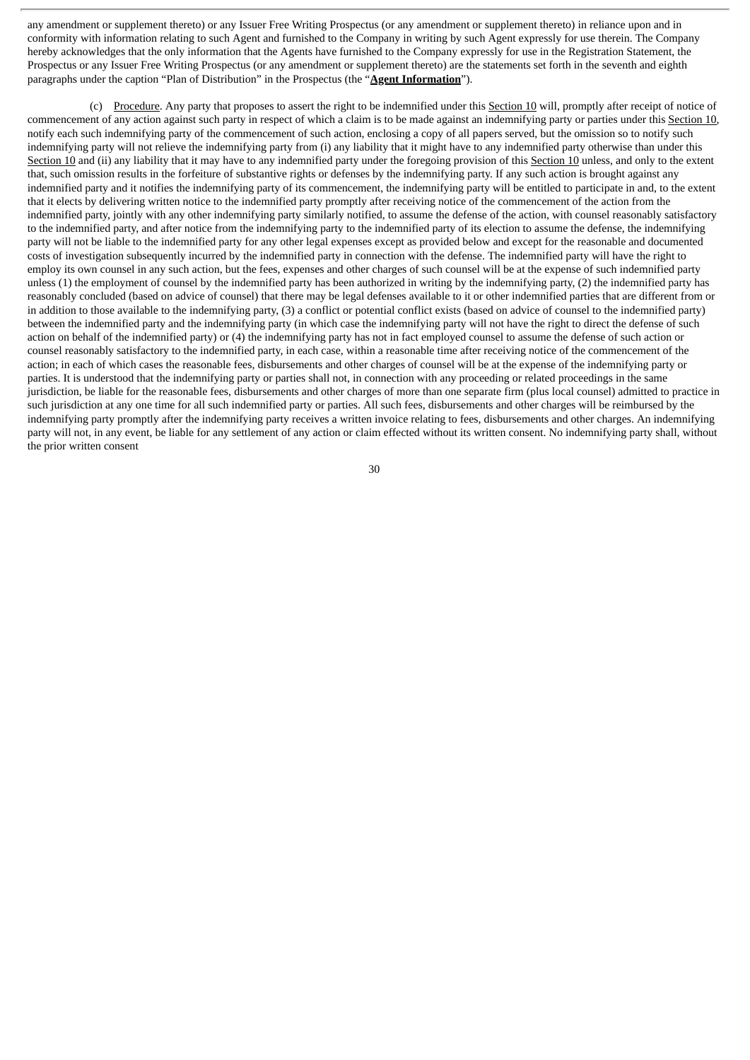any amendment or supplement thereto) or any Issuer Free Writing Prospectus (or any amendment or supplement thereto) in reliance upon and in conformity with information relating to such Agent and furnished to the Company in writing by such Agent expressly for use therein. The Company hereby acknowledges that the only information that the Agents have furnished to the Company expressly for use in the Registration Statement, the Prospectus or any Issuer Free Writing Prospectus (or any amendment or supplement thereto) are the statements set forth in the seventh and eighth paragraphs under the caption "Plan of Distribution" in the Prospectus (the "**Agent Information**").

(c) Procedure. Any party that proposes to assert the right to be indemnified under this Section 10 will, promptly after receipt of notice of commencement of any action against such party in respect of which a claim is to be made against an indemnifying party or parties under this Section 10, notify each such indemnifying party of the commencement of such action, enclosing a copy of all papers served, but the omission so to notify such indemnifying party will not relieve the indemnifying party from (i) any liability that it might have to any indemnified party otherwise than under this Section 10 and (ii) any liability that it may have to any indemnified party under the foregoing provision of this Section 10 unless, and only to the extent that, such omission results in the forfeiture of substantive rights or defenses by the indemnifying party. If any such action is brought against any indemnified party and it notifies the indemnifying party of its commencement, the indemnifying party will be entitled to participate in and, to the extent that it elects by delivering written notice to the indemnified party promptly after receiving notice of the commencement of the action from the indemnified party, jointly with any other indemnifying party similarly notified, to assume the defense of the action, with counsel reasonably satisfactory to the indemnified party, and after notice from the indemnifying party to the indemnified party of its election to assume the defense, the indemnifying party will not be liable to the indemnified party for any other legal expenses except as provided below and except for the reasonable and documented costs of investigation subsequently incurred by the indemnified party in connection with the defense. The indemnified party will have the right to employ its own counsel in any such action, but the fees, expenses and other charges of such counsel will be at the expense of such indemnified party unless (1) the employment of counsel by the indemnified party has been authorized in writing by the indemnifying party, (2) the indemnified party has reasonably concluded (based on advice of counsel) that there may be legal defenses available to it or other indemnified parties that are different from or in addition to those available to the indemnifying party, (3) a conflict or potential conflict exists (based on advice of counsel to the indemnified party) between the indemnified party and the indemnifying party (in which case the indemnifying party will not have the right to direct the defense of such action on behalf of the indemnified party) or (4) the indemnifying party has not in fact employed counsel to assume the defense of such action or counsel reasonably satisfactory to the indemnified party, in each case, within a reasonable time after receiving notice of the commencement of the action; in each of which cases the reasonable fees, disbursements and other charges of counsel will be at the expense of the indemnifying party or parties. It is understood that the indemnifying party or parties shall not, in connection with any proceeding or related proceedings in the same jurisdiction, be liable for the reasonable fees, disbursements and other charges of more than one separate firm (plus local counsel) admitted to practice in such jurisdiction at any one time for all such indemnified party or parties. All such fees, disbursements and other charges will be reimbursed by the indemnifying party promptly after the indemnifying party receives a written invoice relating to fees, disbursements and other charges. An indemnifying party will not, in any event, be liable for any settlement of any action or claim effected without its written consent. No indemnifying party shall, without the prior written consent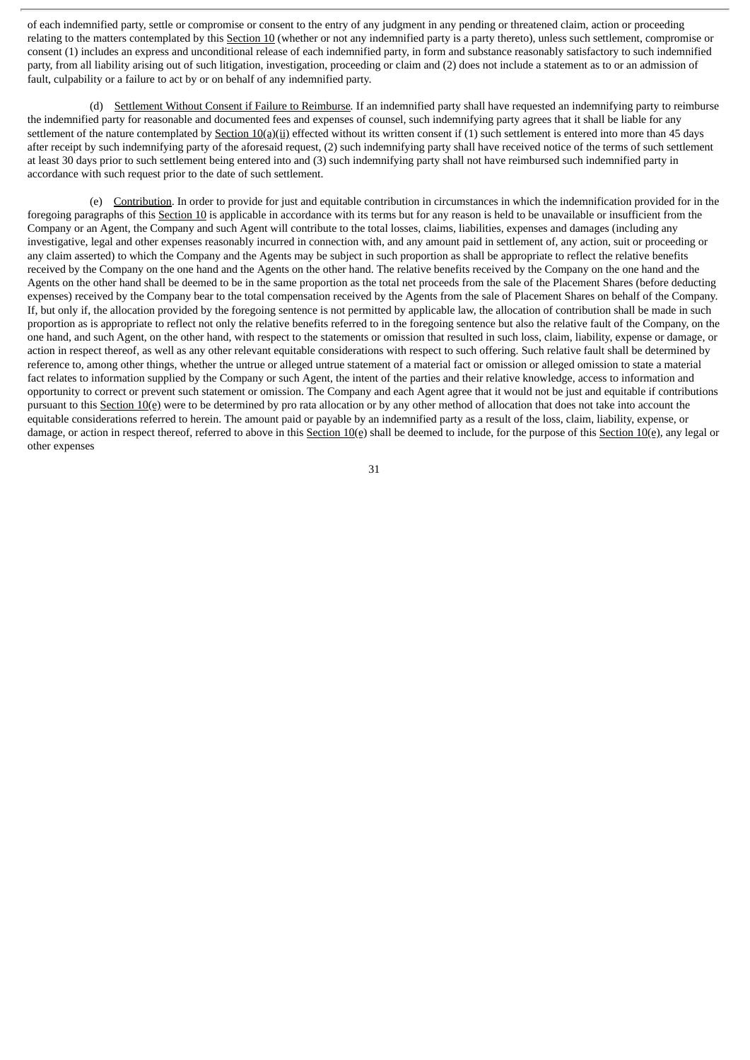of each indemnified party, settle or compromise or consent to the entry of any judgment in any pending or threatened claim, action or proceeding relating to the matters contemplated by this Section 10 (whether or not any indemnified party is a party thereto), unless such settlement, compromise or consent (1) includes an express and unconditional release of each indemnified party, in form and substance reasonably satisfactory to such indemnified party, from all liability arising out of such litigation, investigation, proceeding or claim and (2) does not include a statement as to or an admission of fault, culpability or a failure to act by or on behalf of any indemnified party.

(d) Settlement Without Consent if Failure to Reimburse*.* If an indemnified party shall have requested an indemnifying party to reimburse the indemnified party for reasonable and documented fees and expenses of counsel, such indemnifying party agrees that it shall be liable for any settlement of the nature contemplated by Section  $10(a)(ii)$  effected without its written consent if (1) such settlement is entered into more than 45 days after receipt by such indemnifying party of the aforesaid request, (2) such indemnifying party shall have received notice of the terms of such settlement at least 30 days prior to such settlement being entered into and (3) such indemnifying party shall not have reimbursed such indemnified party in accordance with such request prior to the date of such settlement.

(e) Contribution. In order to provide for just and equitable contribution in circumstances in which the indemnification provided for in the foregoing paragraphs of this Section 10 is applicable in accordance with its terms but for any reason is held to be unavailable or insufficient from the Company or an Agent, the Company and such Agent will contribute to the total losses, claims, liabilities, expenses and damages (including any investigative, legal and other expenses reasonably incurred in connection with, and any amount paid in settlement of, any action, suit or proceeding or any claim asserted) to which the Company and the Agents may be subject in such proportion as shall be appropriate to reflect the relative benefits received by the Company on the one hand and the Agents on the other hand. The relative benefits received by the Company on the one hand and the Agents on the other hand shall be deemed to be in the same proportion as the total net proceeds from the sale of the Placement Shares (before deducting expenses) received by the Company bear to the total compensation received by the Agents from the sale of Placement Shares on behalf of the Company. If, but only if, the allocation provided by the foregoing sentence is not permitted by applicable law, the allocation of contribution shall be made in such proportion as is appropriate to reflect not only the relative benefits referred to in the foregoing sentence but also the relative fault of the Company, on the one hand, and such Agent, on the other hand, with respect to the statements or omission that resulted in such loss, claim, liability, expense or damage, or action in respect thereof, as well as any other relevant equitable considerations with respect to such offering. Such relative fault shall be determined by reference to, among other things, whether the untrue or alleged untrue statement of a material fact or omission or alleged omission to state a material fact relates to information supplied by the Company or such Agent, the intent of the parties and their relative knowledge, access to information and opportunity to correct or prevent such statement or omission. The Company and each Agent agree that it would not be just and equitable if contributions pursuant to this Section 10(e) were to be determined by pro rata allocation or by any other method of allocation that does not take into account the equitable considerations referred to herein. The amount paid or payable by an indemnified party as a result of the loss, claim, liability, expense, or damage, or action in respect thereof, referred to above in this Section  $10(e)$  shall be deemed to include, for the purpose of this Section  $10(e)$ , any legal or other expenses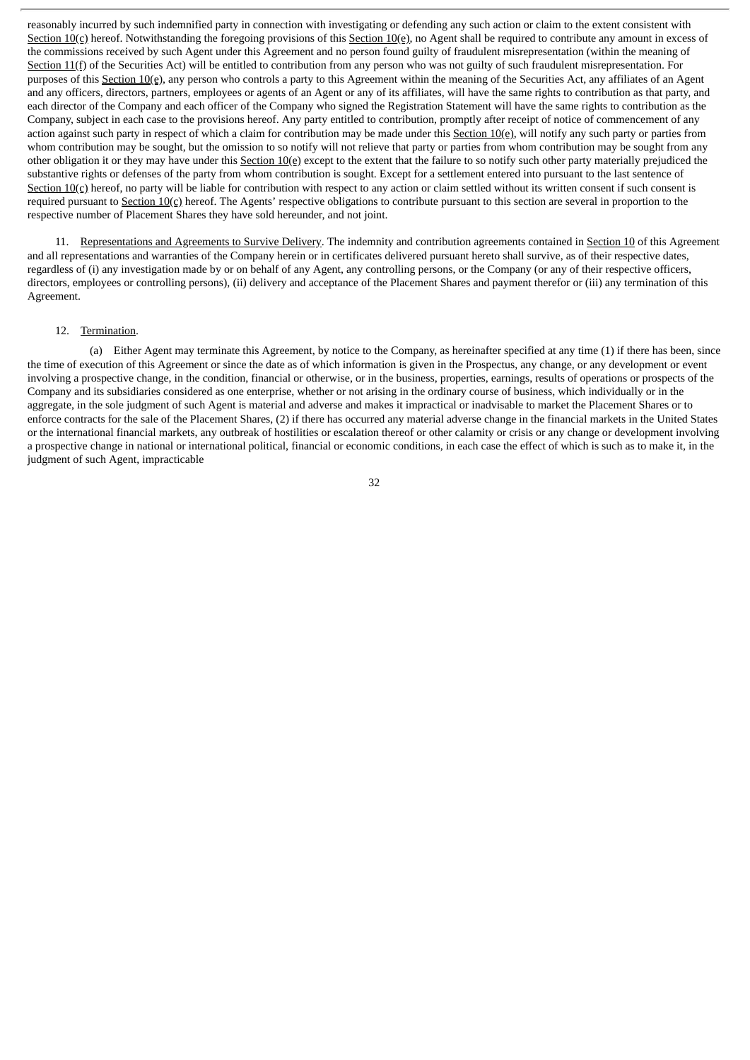reasonably incurred by such indemnified party in connection with investigating or defending any such action or claim to the extent consistent with Section 10(c) hereof. Notwithstanding the foregoing provisions of this Section 10(e), no Agent shall be required to contribute any amount in excess of the commissions received by such Agent under this Agreement and no person found guilty of fraudulent misrepresentation (within the meaning of Section 11(f) of the Securities Act) will be entitled to contribution from any person who was not guilty of such fraudulent misrepresentation. For purposes of this Section 10(e), any person who controls a party to this Agreement within the meaning of the Securities Act, any affiliates of an Agent and any officers, directors, partners, employees or agents of an Agent or any of its affiliates, will have the same rights to contribution as that party, and each director of the Company and each officer of the Company who signed the Registration Statement will have the same rights to contribution as the Company, subject in each case to the provisions hereof. Any party entitled to contribution, promptly after receipt of notice of commencement of any action against such party in respect of which a claim for contribution may be made under this Section  $10(e)$ , will notify any such party or parties from whom contribution may be sought, but the omission to so notify will not relieve that party or parties from whom contribution may be sought from any other obligation it or they may have under this Section  $10(e)$  except to the extent that the failure to so notify such other party materially prejudiced the substantive rights or defenses of the party from whom contribution is sought. Except for a settlement entered into pursuant to the last sentence of Section 10(c) hereof, no party will be liable for contribution with respect to any action or claim settled without its written consent if such consent is required pursuant to Section 10(c) hereof. The Agents' respective obligations to contribute pursuant to this section are several in proportion to the respective number of Placement Shares they have sold hereunder, and not joint.

11. Representations and Agreements to Survive Delivery. The indemnity and contribution agreements contained in Section 10 of this Agreement and all representations and warranties of the Company herein or in certificates delivered pursuant hereto shall survive, as of their respective dates, regardless of (i) any investigation made by or on behalf of any Agent, any controlling persons, or the Company (or any of their respective officers, directors, employees or controlling persons), (ii) delivery and acceptance of the Placement Shares and payment therefor or (iii) any termination of this Agreement.

## 12. Termination.

(a) Either Agent may terminate this Agreement, by notice to the Company, as hereinafter specified at any time (1) if there has been, since the time of execution of this Agreement or since the date as of which information is given in the Prospectus, any change, or any development or event involving a prospective change, in the condition, financial or otherwise, or in the business, properties, earnings, results of operations or prospects of the Company and its subsidiaries considered as one enterprise, whether or not arising in the ordinary course of business, which individually or in the aggregate, in the sole judgment of such Agent is material and adverse and makes it impractical or inadvisable to market the Placement Shares or to enforce contracts for the sale of the Placement Shares, (2) if there has occurred any material adverse change in the financial markets in the United States or the international financial markets, any outbreak of hostilities or escalation thereof or other calamity or crisis or any change or development involving a prospective change in national or international political, financial or economic conditions, in each case the effect of which is such as to make it, in the judgment of such Agent, impracticable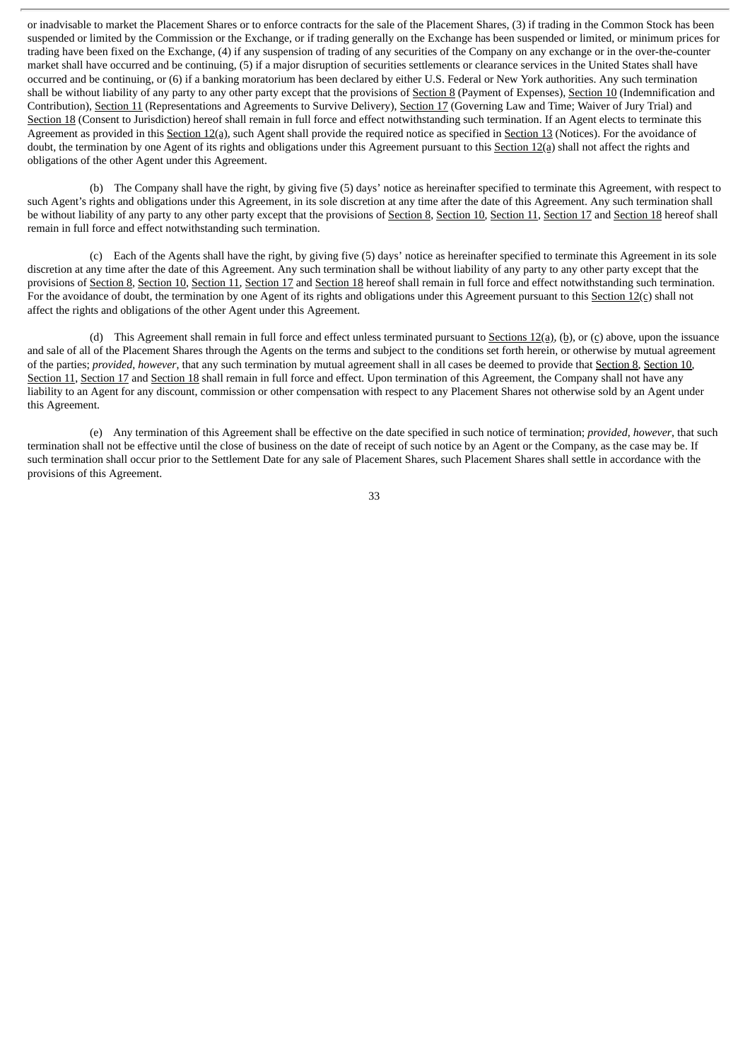or inadvisable to market the Placement Shares or to enforce contracts for the sale of the Placement Shares, (3) if trading in the Common Stock has been suspended or limited by the Commission or the Exchange, or if trading generally on the Exchange has been suspended or limited, or minimum prices for trading have been fixed on the Exchange, (4) if any suspension of trading of any securities of the Company on any exchange or in the over-the-counter market shall have occurred and be continuing, (5) if a major disruption of securities settlements or clearance services in the United States shall have occurred and be continuing, or (6) if a banking moratorium has been declared by either U.S. Federal or New York authorities. Any such termination shall be without liability of any party to any other party except that the provisions of Section 8 (Payment of Expenses), Section 10 (Indemnification and Contribution), Section 11 (Representations and Agreements to Survive Delivery), Section 17 (Governing Law and Time; Waiver of Jury Trial) and Section 18 (Consent to Jurisdiction) hereof shall remain in full force and effect notwithstanding such termination. If an Agent elects to terminate this Agreement as provided in this Section 12(a), such Agent shall provide the required notice as specified in Section 13 (Notices). For the avoidance of doubt, the termination by one Agent of its rights and obligations under this Agreement pursuant to this Section 12(a) shall not affect the rights and obligations of the other Agent under this Agreement.

(b) The Company shall have the right, by giving five (5) days' notice as hereinafter specified to terminate this Agreement, with respect to such Agent's rights and obligations under this Agreement, in its sole discretion at any time after the date of this Agreement. Any such termination shall be without liability of any party to any other party except that the provisions of Section 8, Section 10, Section 11, Section 17 and Section 18 hereof shall remain in full force and effect notwithstanding such termination.

(c) Each of the Agents shall have the right, by giving five (5) days' notice as hereinafter specified to terminate this Agreement in its sole discretion at any time after the date of this Agreement. Any such termination shall be without liability of any party to any other party except that the provisions of Section 8, Section 10, Section 11, Section 17 and Section 18 hereof shall remain in full force and effect notwithstanding such termination. For the avoidance of doubt, the termination by one Agent of its rights and obligations under this Agreement pursuant to this Section  $12(c)$  shall not affect the rights and obligations of the other Agent under this Agreement.

(d) This Agreement shall remain in full force and effect unless terminated pursuant to Sections  $12(a)$ , (b), or (c) above, upon the issuance and sale of all of the Placement Shares through the Agents on the terms and subject to the conditions set forth herein, or otherwise by mutual agreement of the parties; *provided*, *however*, that any such termination by mutual agreement shall in all cases be deemed to provide that Section 8, Section 10, Section 11, Section 17 and Section 18 shall remain in full force and effect. Upon termination of this Agreement, the Company shall not have any liability to an Agent for any discount, commission or other compensation with respect to any Placement Shares not otherwise sold by an Agent under this Agreement.

(e) Any termination of this Agreement shall be effective on the date specified in such notice of termination; *provided*, *however*, that such termination shall not be effective until the close of business on the date of receipt of such notice by an Agent or the Company, as the case may be. If such termination shall occur prior to the Settlement Date for any sale of Placement Shares, such Placement Shares shall settle in accordance with the provisions of this Agreement.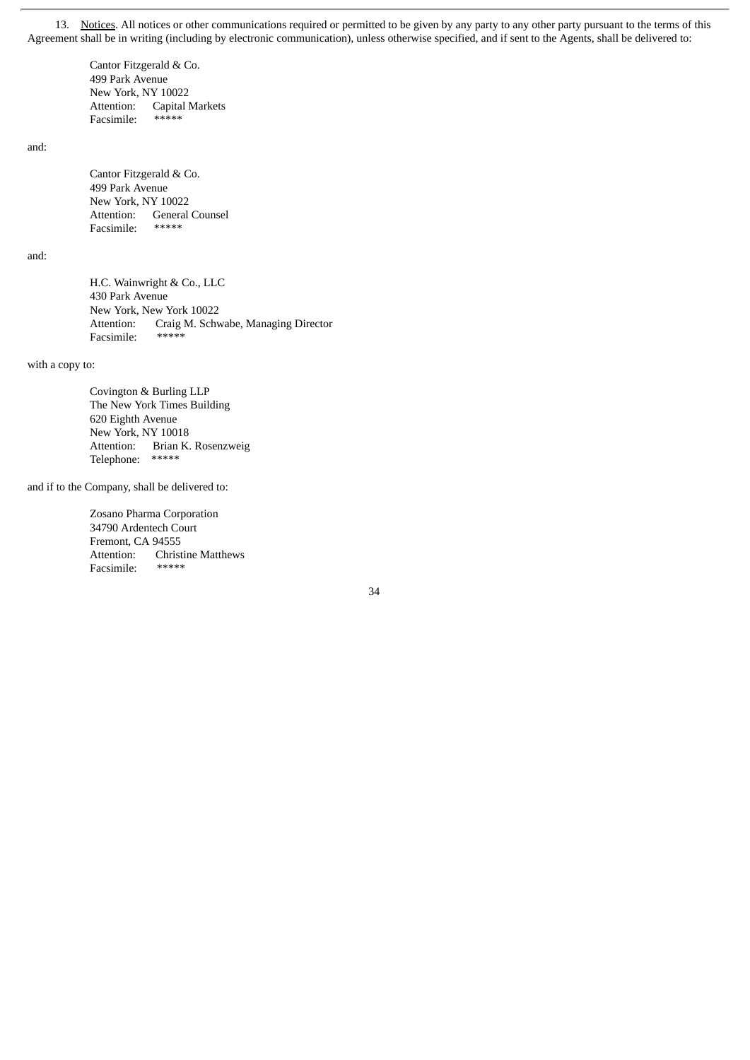13. Notices. All notices or other communications required or permitted to be given by any party to any other party pursuant to the terms of this Agreement shall be in writing (including by electronic communication), unless otherwise specified, and if sent to the Agents, shall be delivered to:

Cantor Fitzgerald & Co. 499 Park Avenue New York, NY 10022 Attention: Capital Markets Facsimile: \*\*\*\*\*

and:

Cantor Fitzgerald & Co. 499 Park Avenue New York, NY 10022 Attention: General Counsel Facsimile: \*\*\*\*\*

and:

H.C. Wainwright & Co., LLC 430 Park Avenue New York, New York 10022 Attention: Craig M. Schwabe, Managing Director<br>Facsimile: \*\*\*\*\* Facsimile:

with a copy to:

Covington & Burling LLP The New York Times Building 620 Eighth Avenue New York, NY 10018 Attention: Brian K. Rosenzweig Telephone: \*\*\*\*\*

and if to the Company, shall be delivered to:

Zosano Pharma Corporation 34790 Ardentech Court Fremont, CA 94555 Attention: Christine Matthews Facsimile: \*\*\*\*\*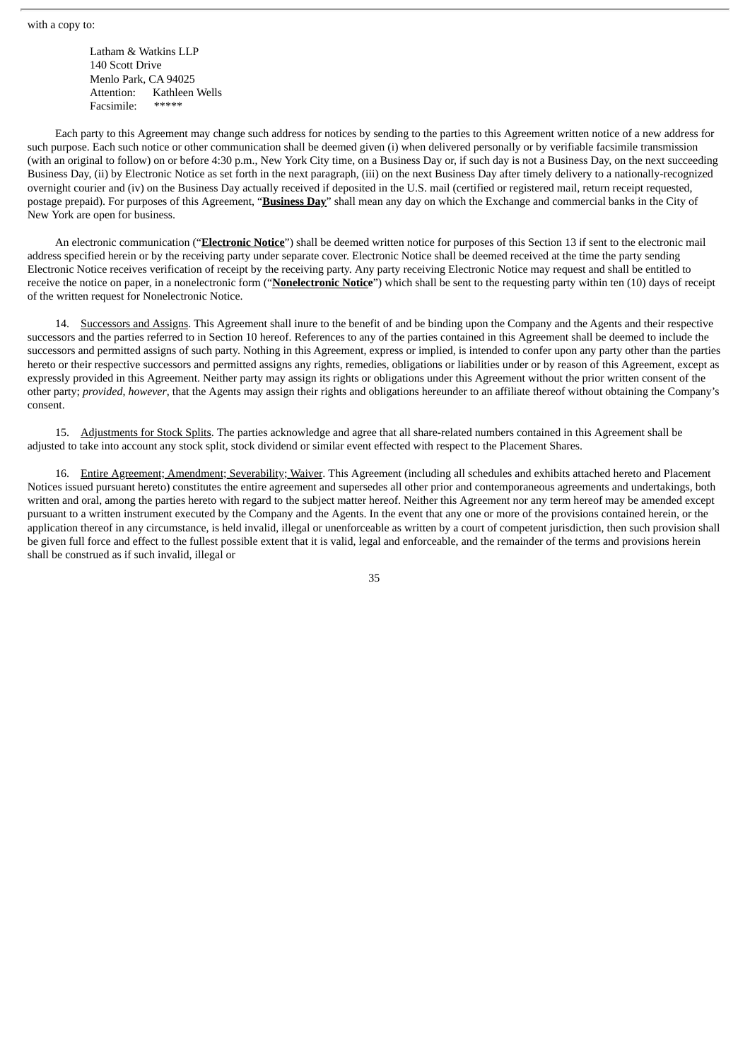Latham & Watkins LLP 140 Scott Drive Menlo Park, CA 94025 Attention: Kathleen Wells Facsimile: \*\*\*\*\*

Each party to this Agreement may change such address for notices by sending to the parties to this Agreement written notice of a new address for such purpose. Each such notice or other communication shall be deemed given (i) when delivered personally or by verifiable facsimile transmission (with an original to follow) on or before 4:30 p.m., New York City time, on a Business Day or, if such day is not a Business Day, on the next succeeding Business Day, (ii) by Electronic Notice as set forth in the next paragraph, (iii) on the next Business Day after timely delivery to a nationally-recognized overnight courier and (iv) on the Business Day actually received if deposited in the U.S. mail (certified or registered mail, return receipt requested, postage prepaid). For purposes of this Agreement, "**Business Day**" shall mean any day on which the Exchange and commercial banks in the City of New York are open for business.

An electronic communication ("**Electronic Notice**") shall be deemed written notice for purposes of this Section 13 if sent to the electronic mail address specified herein or by the receiving party under separate cover. Electronic Notice shall be deemed received at the time the party sending Electronic Notice receives verification of receipt by the receiving party. Any party receiving Electronic Notice may request and shall be entitled to receive the notice on paper, in a nonelectronic form ("**Nonelectronic Notice**") which shall be sent to the requesting party within ten (10) days of receipt of the written request for Nonelectronic Notice.

14. Successors and Assigns. This Agreement shall inure to the benefit of and be binding upon the Company and the Agents and their respective successors and the parties referred to in Section 10 hereof. References to any of the parties contained in this Agreement shall be deemed to include the successors and permitted assigns of such party. Nothing in this Agreement, express or implied, is intended to confer upon any party other than the parties hereto or their respective successors and permitted assigns any rights, remedies, obligations or liabilities under or by reason of this Agreement, except as expressly provided in this Agreement. Neither party may assign its rights or obligations under this Agreement without the prior written consent of the other party; *provided*, *however*, that the Agents may assign their rights and obligations hereunder to an affiliate thereof without obtaining the Company's consent.

15. Adjustments for Stock Splits. The parties acknowledge and agree that all share-related numbers contained in this Agreement shall be adjusted to take into account any stock split, stock dividend or similar event effected with respect to the Placement Shares.

16. Entire Agreement; Amendment; Severability; Waiver. This Agreement (including all schedules and exhibits attached hereto and Placement Notices issued pursuant hereto) constitutes the entire agreement and supersedes all other prior and contemporaneous agreements and undertakings, both written and oral, among the parties hereto with regard to the subject matter hereof. Neither this Agreement nor any term hereof may be amended except pursuant to a written instrument executed by the Company and the Agents. In the event that any one or more of the provisions contained herein, or the application thereof in any circumstance, is held invalid, illegal or unenforceable as written by a court of competent jurisdiction, then such provision shall be given full force and effect to the fullest possible extent that it is valid, legal and enforceable, and the remainder of the terms and provisions herein shall be construed as if such invalid, illegal or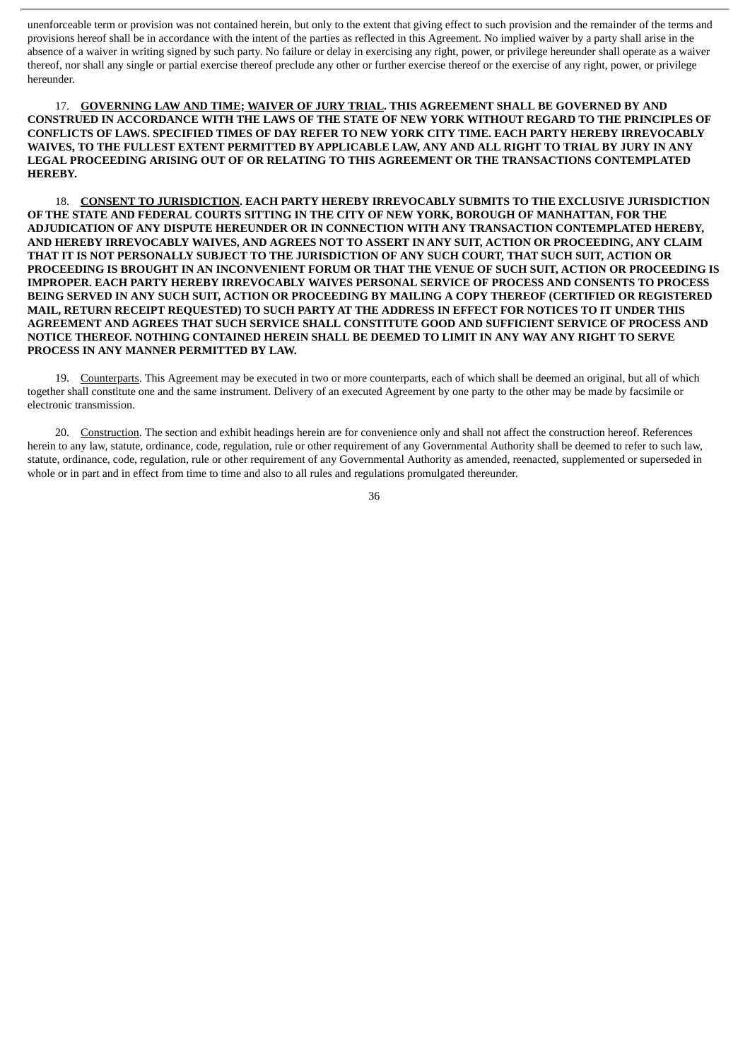unenforceable term or provision was not contained herein, but only to the extent that giving effect to such provision and the remainder of the terms and provisions hereof shall be in accordance with the intent of the parties as reflected in this Agreement. No implied waiver by a party shall arise in the absence of a waiver in writing signed by such party. No failure or delay in exercising any right, power, or privilege hereunder shall operate as a waiver thereof, nor shall any single or partial exercise thereof preclude any other or further exercise thereof or the exercise of any right, power, or privilege hereunder.

17. **GOVERNING LAW AND TIME; WAIVER OF JURY TRIAL. THIS AGREEMENT SHALL BE GOVERNED BY AND CONSTRUED IN ACCORDANCE WITH THE LAWS OF THE STATE OF NEW YORK WITHOUT REGARD TO THE PRINCIPLES OF CONFLICTS OF LAWS. SPECIFIED TIMES OF DAY REFER TO NEW YORK CITY TIME. EACH PARTY HEREBY IRREVOCABLY** WAIVES, TO THE FULLEST EXTENT PERMITTED BY APPLICABLE LAW, ANY AND ALL RIGHT TO TRIAL BY JURY IN ANY **LEGAL PROCEEDING ARISING OUT OF OR RELATING TO THIS AGREEMENT OR THE TRANSACTIONS CONTEMPLATED HEREBY.**

18. **CONSENT TO JURISDICTION. EACH PARTY HEREBY IRREVOCABLY SUBMITS TO THE EXCLUSIVE JURISDICTION OF THE STATE AND FEDERAL COURTS SITTING IN THE CITY OF NEW YORK, BOROUGH OF MANHATTAN, FOR THE ADJUDICATION OF ANY DISPUTE HEREUNDER OR IN CONNECTION WITH ANY TRANSACTION CONTEMPLATED HEREBY, AND HEREBY IRREVOCABLY WAIVES, AND AGREES NOT TO ASSERT IN ANY SUIT, ACTION OR PROCEEDING, ANY CLAIM THAT IT IS NOT PERSONALLY SUBJECT TO THE JURISDICTION OF ANY SUCH COURT, THAT SUCH SUIT, ACTION OR** PROCEEDING IS BROUGHT IN AN INCONVENIENT FORUM OR THAT THE VENUE OF SUCH SUIT, ACTION OR PROCEEDING IS **IMPROPER. EACH PARTY HEREBY IRREVOCABLY WAIVES PERSONAL SERVICE OF PROCESS AND CONSENTS TO PROCESS BEING SERVED IN ANY SUCH SUIT, ACTION OR PROCEEDING BY MAILING A COPY THEREOF (CERTIFIED OR REGISTERED** MAIL, RETURN RECEIPT REQUESTED) TO SUCH PARTY AT THE ADDRESS IN EFFECT FOR NOTICES TO IT UNDER THIS **AGREEMENT AND AGREES THAT SUCH SERVICE SHALL CONSTITUTE GOOD AND SUFFICIENT SERVICE OF PROCESS AND NOTICE THEREOF. NOTHING CONTAINED HEREIN SHALL BE DEEMED TO LIMIT IN ANY WAY ANY RIGHT TO SERVE PROCESS IN ANY MANNER PERMITTED BY LAW.**

19. Counterparts. This Agreement may be executed in two or more counterparts, each of which shall be deemed an original, but all of which together shall constitute one and the same instrument. Delivery of an executed Agreement by one party to the other may be made by facsimile or electronic transmission.

20. Construction. The section and exhibit headings herein are for convenience only and shall not affect the construction hereof. References herein to any law, statute, ordinance, code, regulation, rule or other requirement of any Governmental Authority shall be deemed to refer to such law, statute, ordinance, code, regulation, rule or other requirement of any Governmental Authority as amended, reenacted, supplemented or superseded in whole or in part and in effect from time to time and also to all rules and regulations promulgated thereunder.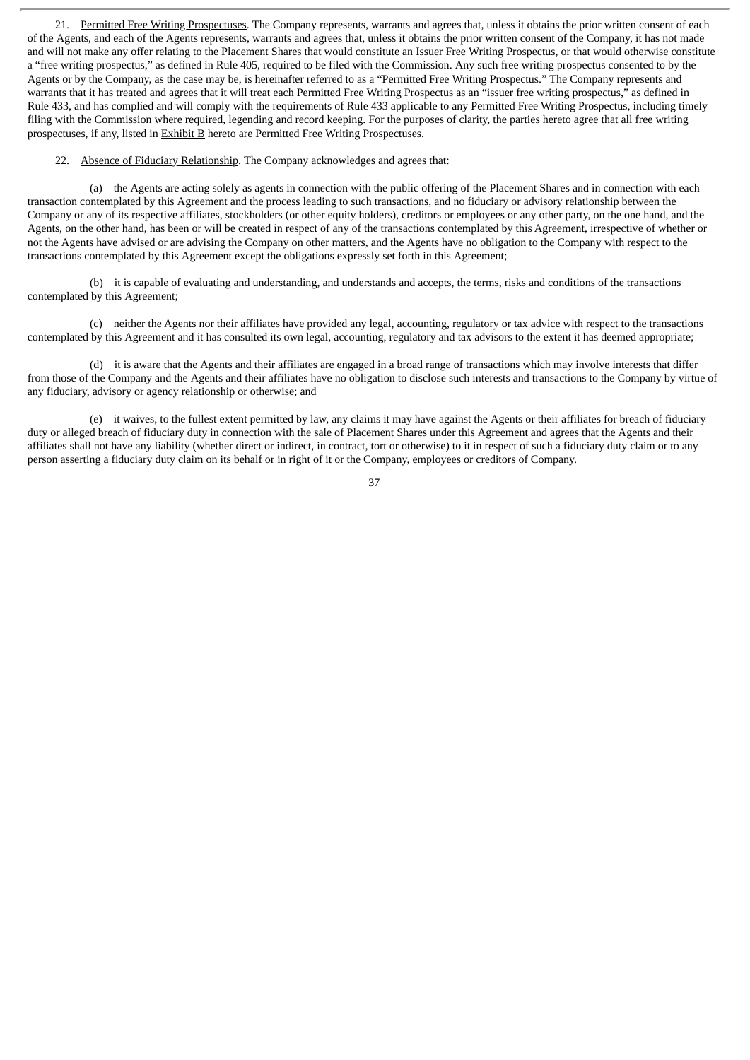21. Permitted Free Writing Prospectuses. The Company represents, warrants and agrees that, unless it obtains the prior written consent of each of the Agents, and each of the Agents represents, warrants and agrees that, unless it obtains the prior written consent of the Company, it has not made and will not make any offer relating to the Placement Shares that would constitute an Issuer Free Writing Prospectus, or that would otherwise constitute a "free writing prospectus," as defined in Rule 405, required to be filed with the Commission. Any such free writing prospectus consented to by the Agents or by the Company, as the case may be, is hereinafter referred to as a "Permitted Free Writing Prospectus." The Company represents and warrants that it has treated and agrees that it will treat each Permitted Free Writing Prospectus as an "issuer free writing prospectus," as defined in Rule 433, and has complied and will comply with the requirements of Rule 433 applicable to any Permitted Free Writing Prospectus, including timely filing with the Commission where required, legending and record keeping. For the purposes of clarity, the parties hereto agree that all free writing prospectuses, if any, listed in Exhibit B hereto are Permitted Free Writing Prospectuses.

22. Absence of Fiduciary Relationship. The Company acknowledges and agrees that:

(a) the Agents are acting solely as agents in connection with the public offering of the Placement Shares and in connection with each transaction contemplated by this Agreement and the process leading to such transactions, and no fiduciary or advisory relationship between the Company or any of its respective affiliates, stockholders (or other equity holders), creditors or employees or any other party, on the one hand, and the Agents, on the other hand, has been or will be created in respect of any of the transactions contemplated by this Agreement, irrespective of whether or not the Agents have advised or are advising the Company on other matters, and the Agents have no obligation to the Company with respect to the transactions contemplated by this Agreement except the obligations expressly set forth in this Agreement;

(b) it is capable of evaluating and understanding, and understands and accepts, the terms, risks and conditions of the transactions contemplated by this Agreement;

(c) neither the Agents nor their affiliates have provided any legal, accounting, regulatory or tax advice with respect to the transactions contemplated by this Agreement and it has consulted its own legal, accounting, regulatory and tax advisors to the extent it has deemed appropriate;

(d) it is aware that the Agents and their affiliates are engaged in a broad range of transactions which may involve interests that differ from those of the Company and the Agents and their affiliates have no obligation to disclose such interests and transactions to the Company by virtue of any fiduciary, advisory or agency relationship or otherwise; and

(e) it waives, to the fullest extent permitted by law, any claims it may have against the Agents or their affiliates for breach of fiduciary duty or alleged breach of fiduciary duty in connection with the sale of Placement Shares under this Agreement and agrees that the Agents and their affiliates shall not have any liability (whether direct or indirect, in contract, tort or otherwise) to it in respect of such a fiduciary duty claim or to any person asserting a fiduciary duty claim on its behalf or in right of it or the Company, employees or creditors of Company.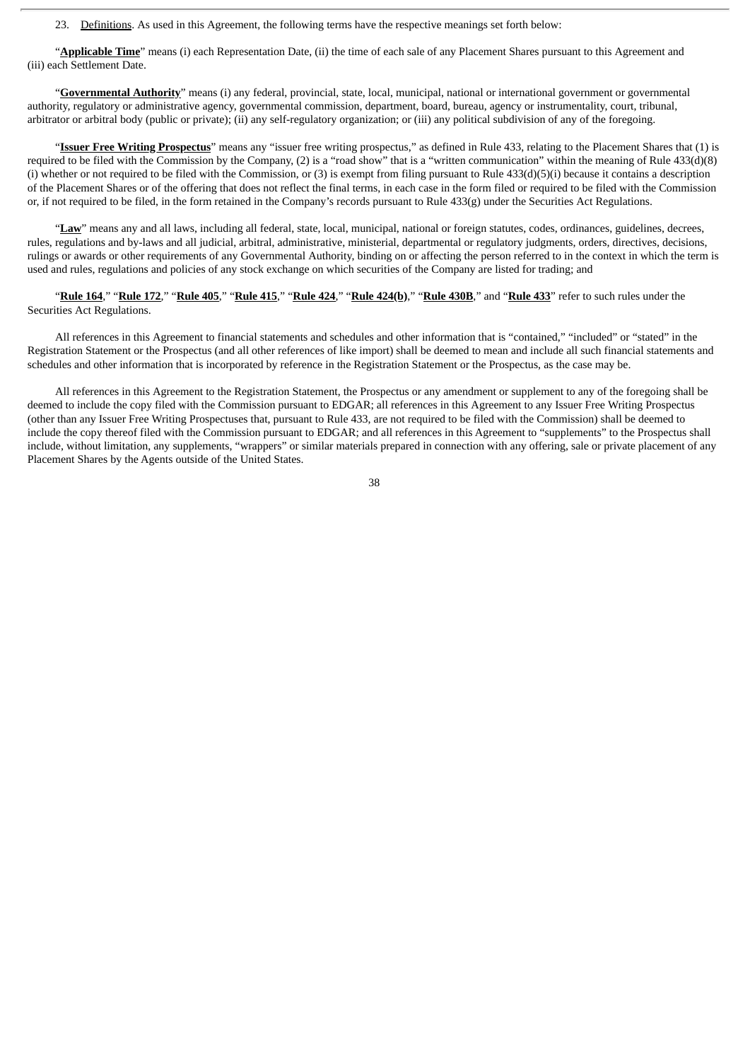23. Definitions. As used in this Agreement, the following terms have the respective meanings set forth below:

"**Applicable Time**" means (i) each Representation Date, (ii) the time of each sale of any Placement Shares pursuant to this Agreement and (iii) each Settlement Date.

"**Governmental Authority**" means (i) any federal, provincial, state, local, municipal, national or international government or governmental authority, regulatory or administrative agency, governmental commission, department, board, bureau, agency or instrumentality, court, tribunal, arbitrator or arbitral body (public or private); (ii) any self-regulatory organization; or (iii) any political subdivision of any of the foregoing.

"**Issuer Free Writing Prospectus**" means any "issuer free writing prospectus," as defined in Rule 433, relating to the Placement Shares that (1) is required to be filed with the Commission by the Company, (2) is a "road show" that is a "written communication" within the meaning of Rule 433(d)(8) (i) whether or not required to be filed with the Commission, or (3) is exempt from filing pursuant to Rule  $433(d)(5)(i)$  because it contains a description of the Placement Shares or of the offering that does not reflect the final terms, in each case in the form filed or required to be filed with the Commission or, if not required to be filed, in the form retained in the Company's records pursuant to Rule 433(g) under the Securities Act Regulations.

"**Law**" means any and all laws, including all federal, state, local, municipal, national or foreign statutes, codes, ordinances, guidelines, decrees, rules, regulations and by-laws and all judicial, arbitral, administrative, ministerial, departmental or regulatory judgments, orders, directives, decisions, rulings or awards or other requirements of any Governmental Authority, binding on or affecting the person referred to in the context in which the term is used and rules, regulations and policies of any stock exchange on which securities of the Company are listed for trading; and

"Rule 164," "Rule 172," "Rule 405," "Rule 415," "Rule 424," "Rule 424(b)," "Rule 430B," and "Rule 433" refer to such rules under the Securities Act Regulations.

All references in this Agreement to financial statements and schedules and other information that is "contained," "included" or "stated" in the Registration Statement or the Prospectus (and all other references of like import) shall be deemed to mean and include all such financial statements and schedules and other information that is incorporated by reference in the Registration Statement or the Prospectus, as the case may be.

All references in this Agreement to the Registration Statement, the Prospectus or any amendment or supplement to any of the foregoing shall be deemed to include the copy filed with the Commission pursuant to EDGAR; all references in this Agreement to any Issuer Free Writing Prospectus (other than any Issuer Free Writing Prospectuses that, pursuant to Rule 433, are not required to be filed with the Commission) shall be deemed to include the copy thereof filed with the Commission pursuant to EDGAR; and all references in this Agreement to "supplements" to the Prospectus shall include, without limitation, any supplements, "wrappers" or similar materials prepared in connection with any offering, sale or private placement of any Placement Shares by the Agents outside of the United States.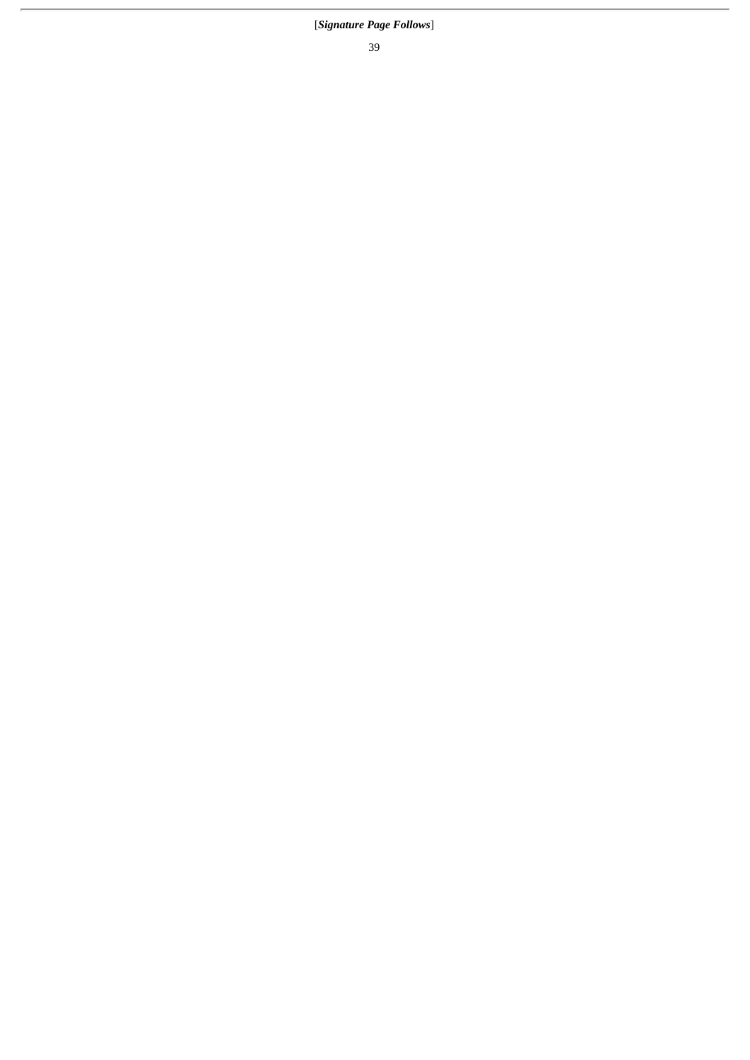# [*Signature Page Follows*]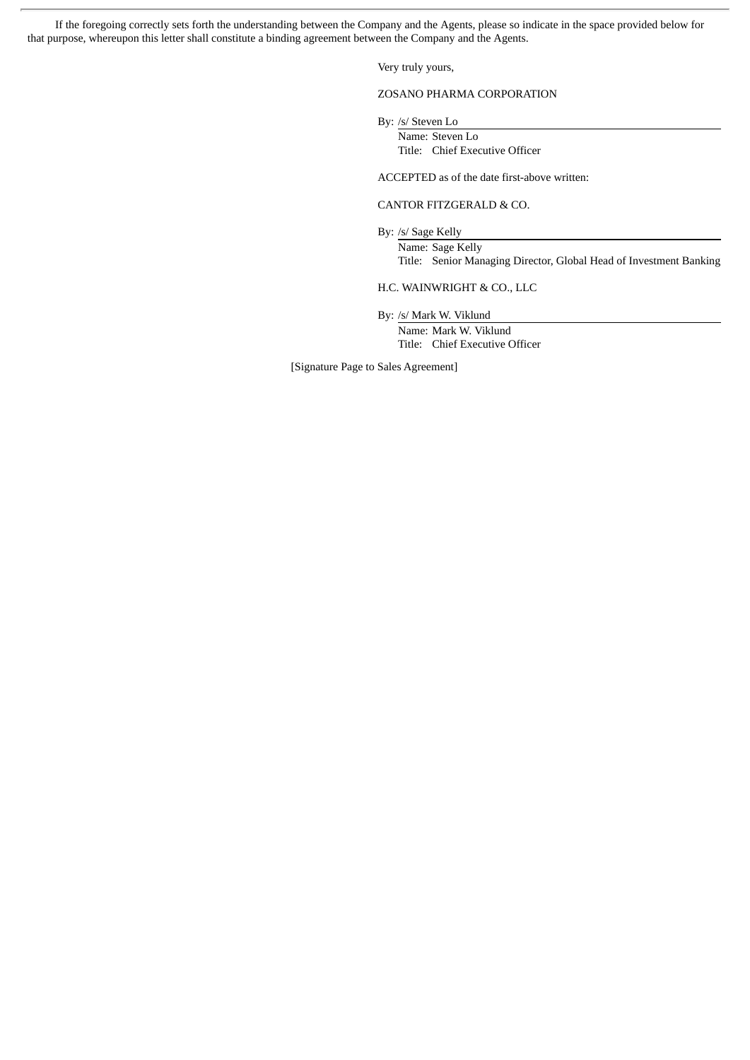If the foregoing correctly sets forth the understanding between the Company and the Agents, please so indicate in the space provided below for that purpose, whereupon this letter shall constitute a binding agreement between the Company and the Agents.

Very truly yours,

# ZOSANO PHARMA CORPORATION

By: /s/ Steven Lo

Name: Steven Lo Title: Chief Executive Officer

ACCEPTED as of the date first-above written:

#### CANTOR FITZGERALD & CO.

By: /s/ Sage Kelly

Name: Sage Kelly Title: Senior Managing Director, Global Head of Investment Banking

H.C. WAINWRIGHT & CO., LLC

By: /s/ Mark W. Viklund

Name: Mark W. Viklund Title: Chief Executive Officer

[Signature Page to Sales Agreement]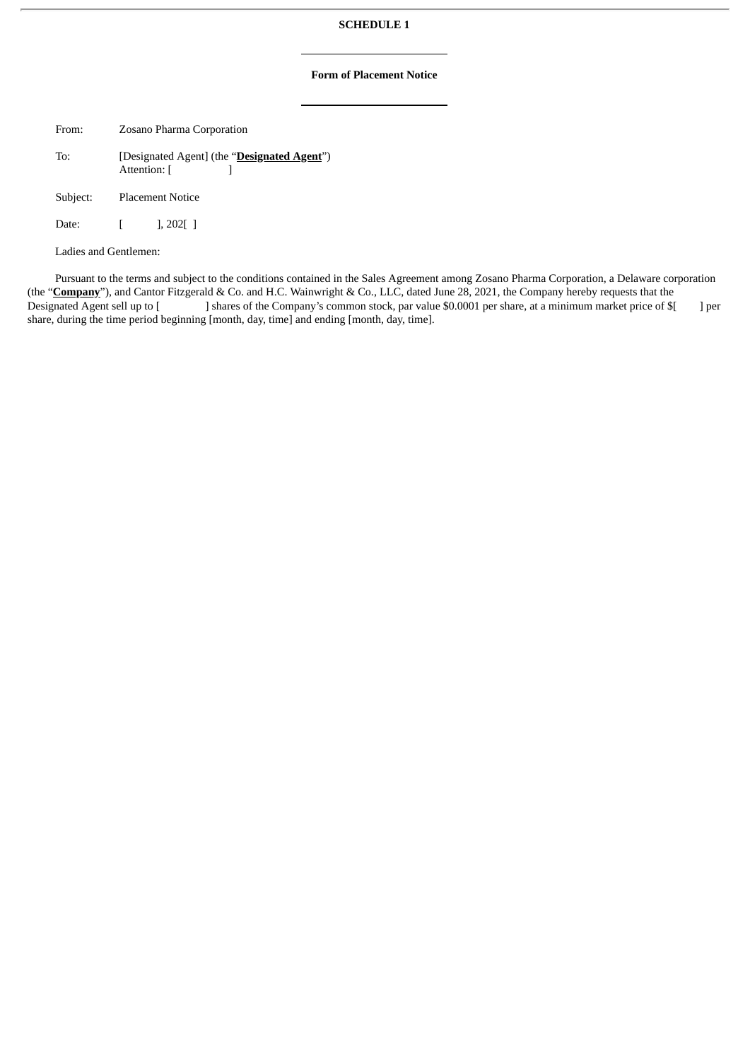# **SCHEDULE 1**

# **Form of Placement Notice**

From: Zosano Pharma Corporation

To: [Designated Agent] (the "**Designated Agent**") Attention: [ ]

Subject: Placement Notice

Date: [ ], 202[ ]

Ladies and Gentlemen:

Pursuant to the terms and subject to the conditions contained in the Sales Agreement among Zosano Pharma Corporation, a Delaware corporation (the "**Company**"), and Cantor Fitzgerald & Co. and H.C. Wainwright & Co., LLC, dated June 28, 2021, the Company hereby requests that the Designated Agent sell up to [ ] shares of the Company's common stock, par value \$0.0001 per share, at a minimum market price of \$[ ] per share, during the time period beginning [month, day, time] and ending [month, day, time].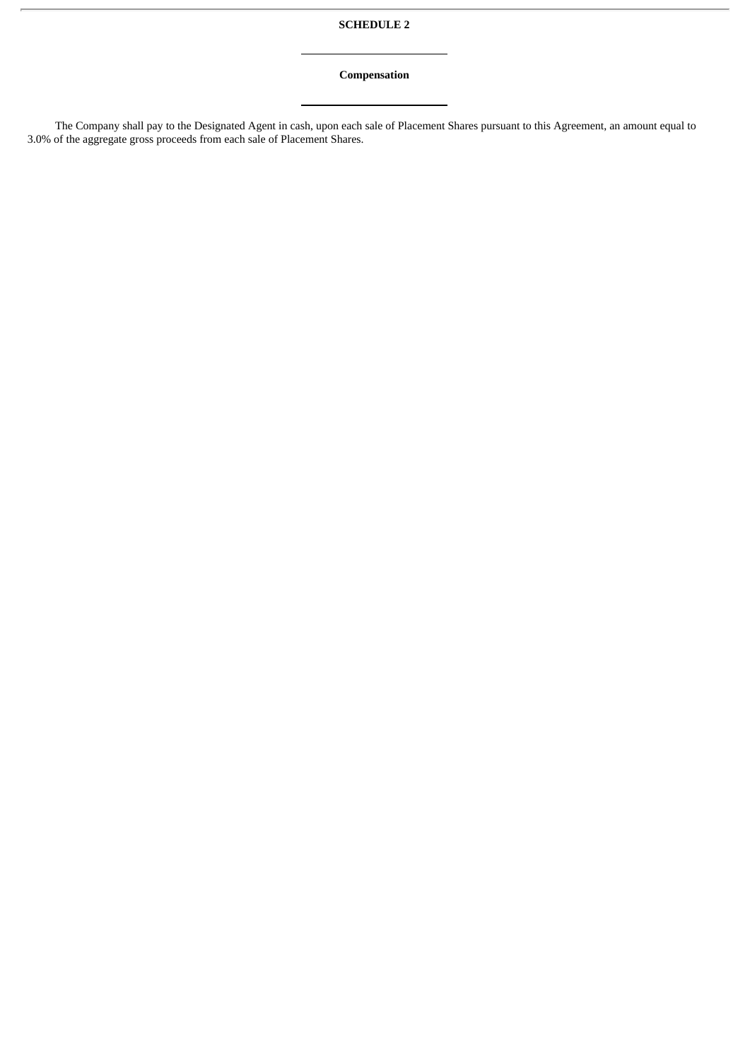# **SCHEDULE 2**

# **Compensation**

The Company shall pay to the Designated Agent in cash, upon each sale of Placement Shares pursuant to this Agreement, an amount equal to 3.0% of the aggregate gross proceeds from each sale of Placement Shares.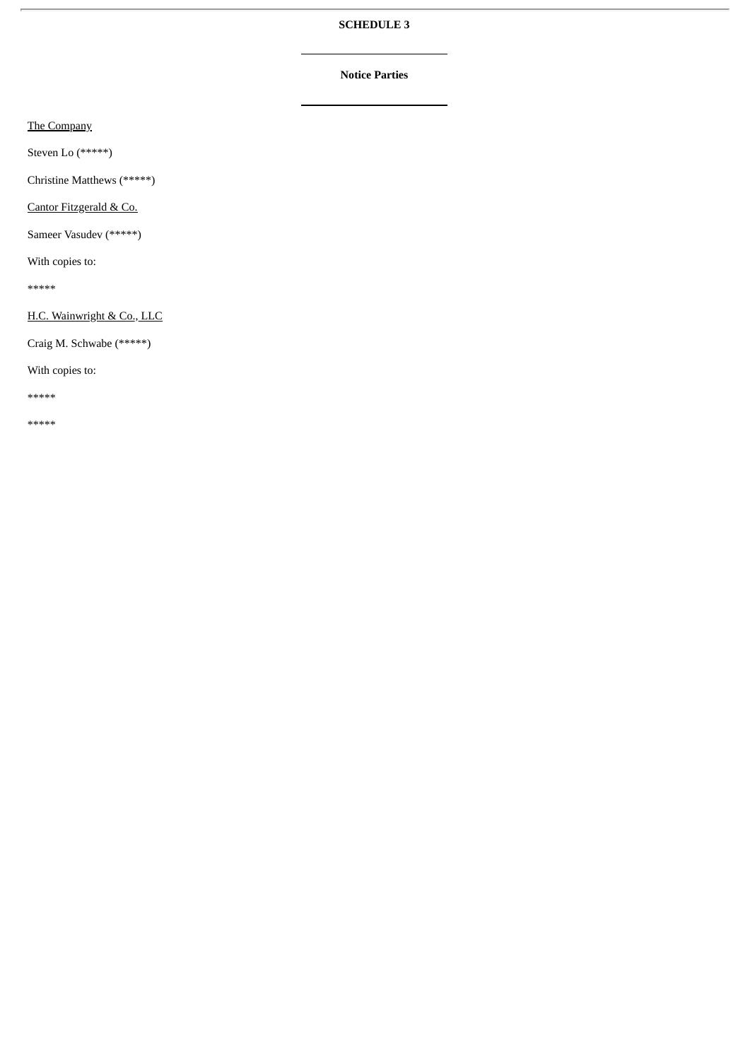# **SCHEDULE 3**

# **Notice Parties**

The Company

Steven Lo (\*\*\*\*\*)

Christine Matthews (\*\*\*\*\*)

Cantor Fitzgerald & Co.

Sameer Vasudev (\*\*\*\*\*)

With copies to:

\*\*\*\*\*

H.C. Wainwright & Co., LLC

Craig M. Schwabe (\*\*\*\*\*)

With copies to:

\*\*\*\*\*

\*\*\*\*\*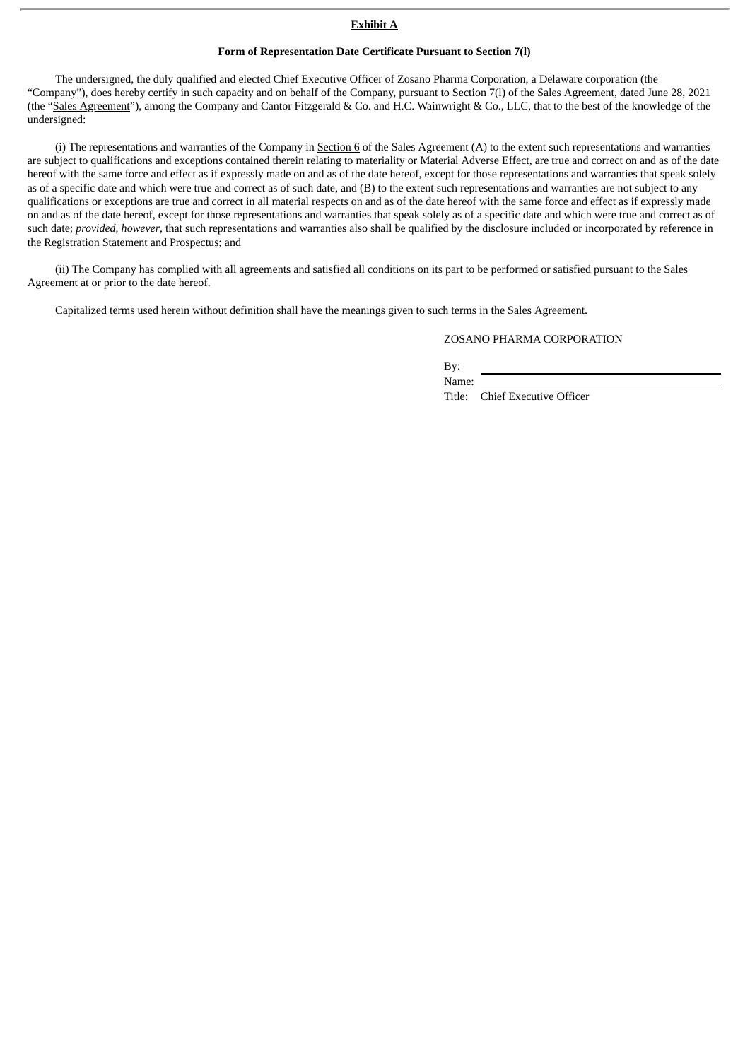#### **Exhibit A**

#### **Form of Representation Date Certificate Pursuant to Section 7(l)**

The undersigned, the duly qualified and elected Chief Executive Officer of Zosano Pharma Corporation, a Delaware corporation (the "Company"), does hereby certify in such capacity and on behalf of the Company, pursuant to Section 7(1) of the Sales Agreement, dated June 28, 2021 (the "Sales Agreement"), among the Company and Cantor Fitzgerald & Co. and H.C. Wainwright & Co., LLC, that to the best of the knowledge of the undersigned:

(i) The representations and warranties of the Company in Section  $6$  of the Sales Agreement (A) to the extent such representations and warranties are subject to qualifications and exceptions contained therein relating to materiality or Material Adverse Effect, are true and correct on and as of the date hereof with the same force and effect as if expressly made on and as of the date hereof, except for those representations and warranties that speak solely as of a specific date and which were true and correct as of such date, and (B) to the extent such representations and warranties are not subject to any qualifications or exceptions are true and correct in all material respects on and as of the date hereof with the same force and effect as if expressly made on and as of the date hereof, except for those representations and warranties that speak solely as of a specific date and which were true and correct as of such date; *provided*, *however*, that such representations and warranties also shall be qualified by the disclosure included or incorporated by reference in the Registration Statement and Prospectus; and

(ii) The Company has complied with all agreements and satisfied all conditions on its part to be performed or satisfied pursuant to the Sales Agreement at or prior to the date hereof.

Capitalized terms used herein without definition shall have the meanings given to such terms in the Sales Agreement.

#### ZOSANO PHARMA CORPORATION

By:

Name:

Title: Chief Executive Officer